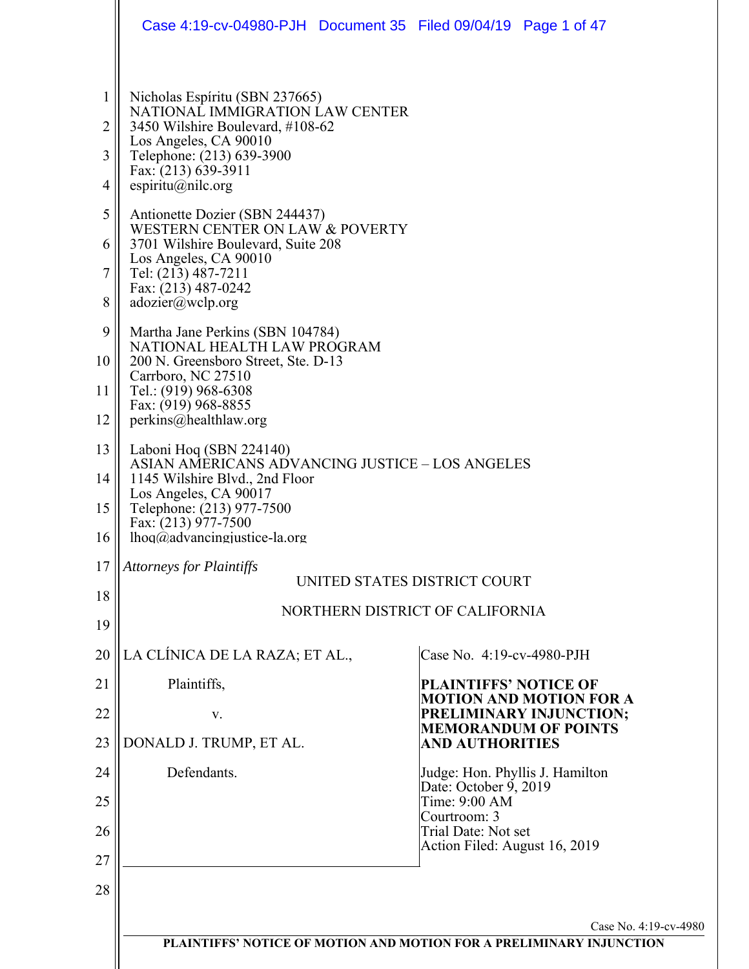|                        | Case 4:19-cv-04980-PJH Document 35 Filed 09/04/19 Page 1 of 47                                                                                              |                                                                      |
|------------------------|-------------------------------------------------------------------------------------------------------------------------------------------------------------|----------------------------------------------------------------------|
| $\mathbf{1}$<br>2<br>3 | Nicholas Espíritu (SBN 237665)<br>NATIONAL IMMIGRATION LAW CENTER<br>3450 Wilshire Boulevard, #108-62<br>Los Angeles, CA 90010<br>Telephone: (213) 639-3900 |                                                                      |
| 4                      | Fax: (213) 639-3911<br>espiritu@nilc.org                                                                                                                    |                                                                      |
| 5                      | Antionette Dozier (SBN 244437)<br>WESTERN CENTER ON LAW & POVERTY                                                                                           |                                                                      |
| 6                      | 3701 Wilshire Boulevard, Suite 208<br>Los Angeles, CA 90010                                                                                                 |                                                                      |
| 7                      | Tel: (213) 487-7211<br>Fax: (213) 487-0242                                                                                                                  |                                                                      |
| 8                      | adozier@wclp.org                                                                                                                                            |                                                                      |
| 9                      | Martha Jane Perkins (SBN 104784)<br>NATIONAL HEALTH LAW PROGRAM                                                                                             |                                                                      |
| 10                     | 200 N. Greensboro Street, Ste. D-13<br>Carrboro, NC 27510                                                                                                   |                                                                      |
| 11                     | Tel.: (919) 968-6308<br>Fax: (919) 968-8855                                                                                                                 |                                                                      |
| 12<br>13               | perkins@healthlaw.org                                                                                                                                       |                                                                      |
| 14                     | Laboni Hoq (SBN 224140)<br><b>ASIAN AMERICANS ADVANCING JUSTICE - LOS ANGELES</b><br>1145 Wilshire Blvd., 2nd Floor                                         |                                                                      |
| 15                     | Los Angeles, CA 90017<br>Telephone: (213) 977-7500                                                                                                          |                                                                      |
| 16                     | Fax: (213) 977-7500<br>$lhoq(\partial \alpha)$ advancingjustice-la.org                                                                                      |                                                                      |
| 17                     | <b>Attorneys for Plaintiffs</b>                                                                                                                             | UNITED STATES DISTRICT COURT                                         |
| 18                     |                                                                                                                                                             | NORTHERN DISTRICT OF CALIFORNIA                                      |
| 19                     |                                                                                                                                                             |                                                                      |
| 20                     | LA CLÍNICA DE LA RAZA; ET AL.,                                                                                                                              | Case No. 4:19-cv-4980-PJH                                            |
| 21                     | Plaintiffs,                                                                                                                                                 | <b>PLAINTIFFS' NOTICE OF</b><br><b>MOTION AND MOTION FOR A</b>       |
| 22                     | V.                                                                                                                                                          | PRELIMINARY INJUNCTION;<br><b>MEMORANDUM OF POINTS</b>               |
| 23                     | DONALD J. TRUMP, ET AL.                                                                                                                                     | <b>AND AUTHORITIES</b>                                               |
| 24                     | Defendants.                                                                                                                                                 | Judge: Hon. Phyllis J. Hamilton<br>Date: October 9, 2019             |
| 25<br>26               |                                                                                                                                                             | Time: 9:00 AM<br>Courtroom: 3<br>Trial Date: Not set                 |
| 27                     |                                                                                                                                                             | Action Filed: August 16, 2019                                        |
| 28                     |                                                                                                                                                             |                                                                      |
|                        |                                                                                                                                                             | Case No. 4:19-cv-4980                                                |
|                        |                                                                                                                                                             | PLAINTIFFS' NOTICE OF MOTION AND MOTION FOR A PRELIMINARY INJUNCTION |
|                        |                                                                                                                                                             |                                                                      |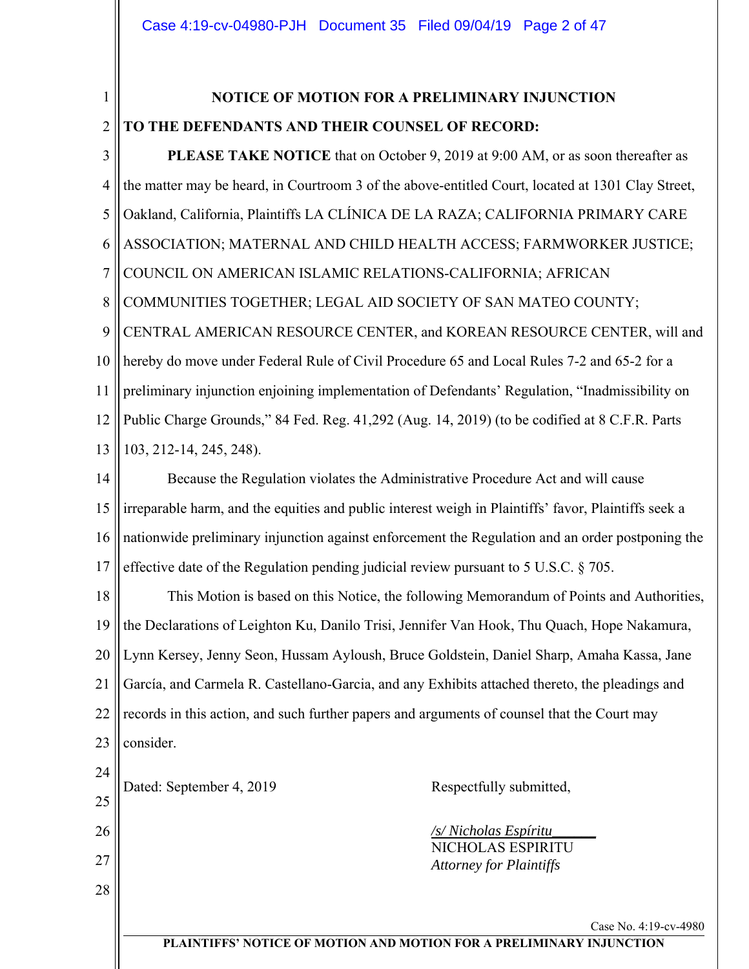#### 1 2 **NOTICE OF MOTION FOR A PRELIMINARY INJUNCTION TO THE DEFENDANTS AND THEIR COUNSEL OF RECORD:**

3 4 5 6 7 8 9 10 11 12 13 14 15 16 17 18 19 20 **PLEASE TAKE NOTICE** that on October 9, 2019 at 9:00 AM, or as soon thereafter as the matter may be heard, in Courtroom 3 of the above-entitled Court, located at 1301 Clay Street, Oakland, California, Plaintiffs LA CLÍNICA DE LA RAZA; CALIFORNIA PRIMARY CARE ASSOCIATION; MATERNAL AND CHILD HEALTH ACCESS; FARMWORKER JUSTICE; COUNCIL ON AMERICAN ISLAMIC RELATIONS-CALIFORNIA; AFRICAN COMMUNITIES TOGETHER; LEGAL AID SOCIETY OF SAN MATEO COUNTY; CENTRAL AMERICAN RESOURCE CENTER, and KOREAN RESOURCE CENTER, will and hereby do move under Federal Rule of Civil Procedure 65 and Local Rules 7-2 and 65-2 for a preliminary injunction enjoining implementation of Defendants' Regulation, "Inadmissibility on Public Charge Grounds," 84 Fed. Reg. 41,292 (Aug. 14, 2019) (to be codified at 8 C.F.R. Parts 103, 212-14, 245, 248). Because the Regulation violates the Administrative Procedure Act and will cause irreparable harm, and the equities and public interest weigh in Plaintiffs' favor, Plaintiffs seek a nationwide preliminary injunction against enforcement the Regulation and an order postponing the effective date of the Regulation pending judicial review pursuant to 5 U.S.C. § 705. This Motion is based on this Notice, the following Memorandum of Points and Authorities, the Declarations of Leighton Ku, Danilo Trisi, Jennifer Van Hook, Thu Quach, Hope Nakamura, Lynn Kersey, Jenny Seon, Hussam Ayloush, Bruce Goldstein, Daniel Sharp, Amaha Kassa, Jane

21 22 23 García, and Carmela R. Castellano-Garcia, and any Exhibits attached thereto, the pleadings and records in this action, and such further papers and arguments of counsel that the Court may consider.

| 24<br>25 | Dated: September 4, 2019 | Respectfully submitted,                             |                       |
|----------|--------------------------|-----------------------------------------------------|-----------------------|
| 26       |                          | /s/ Nicholas Espíritu                               |                       |
| 27       |                          | NICHOLAS ESPIRITU<br><b>Attorney for Plaintiffs</b> |                       |
| 28       |                          |                                                     |                       |
|          |                          |                                                     | Case No. 4:19-cv-4980 |

**PLAINTIFFS' NOTICE OF MOTION AND MOTION FOR A PRELIMINARY INJUNCTION**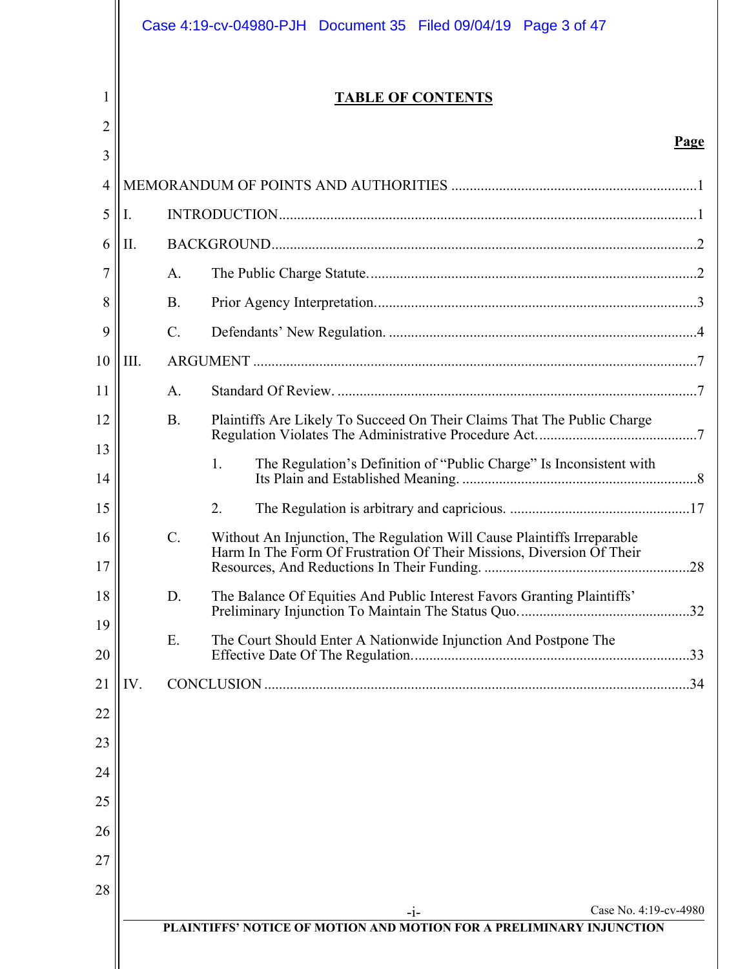|                   |      |                 | Case 4:19-cv-04980-PJH Document 35 Filed 09/04/19<br>Page 3 of 47                                                                                |      |
|-------------------|------|-----------------|--------------------------------------------------------------------------------------------------------------------------------------------------|------|
| $\mathbf{I}$<br>2 |      |                 | <b>TABLE OF CONTENTS</b>                                                                                                                         |      |
| 3                 |      |                 |                                                                                                                                                  | Page |
| 4                 |      |                 |                                                                                                                                                  |      |
| 5                 | Ι.   |                 |                                                                                                                                                  |      |
| 6                 | Π.   |                 |                                                                                                                                                  |      |
| 7                 |      | A.              |                                                                                                                                                  |      |
| 8                 |      | <b>B.</b>       |                                                                                                                                                  |      |
| 9                 |      | $\mathcal{C}$ . |                                                                                                                                                  |      |
| 10                | III. |                 |                                                                                                                                                  |      |
| 11                |      | A.              |                                                                                                                                                  |      |
| 12                |      | <b>B.</b>       | Plaintiffs Are Likely To Succeed On Their Claims That The Public Charge                                                                          |      |
| 13                |      |                 | 1.<br>The Regulation's Definition of "Public Charge" Is Inconsistent with                                                                        |      |
| 14                |      |                 |                                                                                                                                                  |      |
| 15                |      |                 | 2.                                                                                                                                               |      |
| 16<br>17          |      | $\mathcal{C}$ . | Without An Injunction, The Regulation Will Cause Plaintiffs Irreparable<br>Harm In The Form Of Frustration Of Their Missions, Diversion Of Their | .28  |
| 18                |      | D.              | The Balance Of Equities And Public Interest Favors Granting Plaintiffs'                                                                          |      |
| 19<br>20          |      | E.              | The Court Should Enter A Nationwide Injunction And Postpone The                                                                                  |      |
| 21                | IV.  |                 |                                                                                                                                                  |      |
| 22                |      |                 |                                                                                                                                                  |      |
| 23                |      |                 |                                                                                                                                                  |      |
| 24                |      |                 |                                                                                                                                                  |      |
| 25                |      |                 |                                                                                                                                                  |      |
| 26                |      |                 |                                                                                                                                                  |      |
| 27                |      |                 |                                                                                                                                                  |      |
| 28                |      |                 |                                                                                                                                                  |      |
|                   |      |                 | Case No. 4:19-cv-4980<br>$-1-$<br>PLAINTIFFS' NOTICE OF MOTION AND MOTION FOR A PRELIMINARY INJUNCTION                                           |      |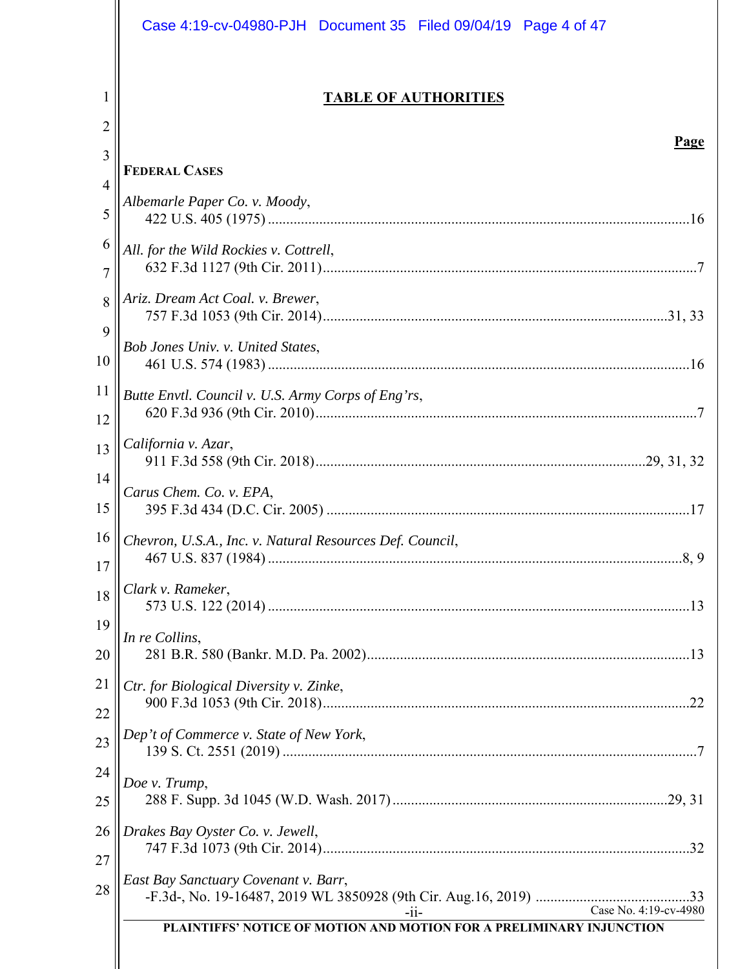|                     | Case 4:19-cv-04980-PJH Document 35 Filed 09/04/19 Page 4 of 47                                          |
|---------------------|---------------------------------------------------------------------------------------------------------|
| 1<br>$\overline{2}$ | <b>TABLE OF AUTHORITIES</b>                                                                             |
| 3                   | Page                                                                                                    |
| 4                   | <b>FEDERAL CASES</b>                                                                                    |
| 5                   | Albemarle Paper Co. v. Moody,                                                                           |
| 6                   | All. for the Wild Rockies v. Cottrell,                                                                  |
| $\overline{7}$      |                                                                                                         |
| 8                   | Ariz. Dream Act Coal. v. Brewer,                                                                        |
| 9                   |                                                                                                         |
| 10                  | Bob Jones Univ. v. United States,                                                                       |
| 11                  | Butte Envtl. Council v. U.S. Army Corps of Eng'rs,                                                      |
| 12                  |                                                                                                         |
| 13                  | California v. Azar,                                                                                     |
| 14                  | Carus Chem. Co. v. EPA,                                                                                 |
| 15                  |                                                                                                         |
| 16                  | Chevron, U.S.A., Inc. v. Natural Resources Def. Council,                                                |
| 17                  |                                                                                                         |
| 18                  | Clark v. Rameker,                                                                                       |
| 19                  | In re Collins,                                                                                          |
| 20                  |                                                                                                         |
| 21                  | Ctr. for Biological Diversity v. Zinke,                                                                 |
| 22                  |                                                                                                         |
| 23                  | Dep't of Commerce v. State of New York,                                                                 |
| 24                  | Doe v. Trump,                                                                                           |
| 25                  |                                                                                                         |
| 26                  | Drakes Bay Oyster Co. v. Jewell,                                                                        |
| 27                  | East Bay Sanctuary Covenant v. Barr,                                                                    |
| 28                  |                                                                                                         |
|                     | Case No. 4:19-cv-4980<br>$-11-$<br>PLAINTIFFS' NOTICE OF MOTION AND MOTION FOR A PRELIMINARY INJUNCTION |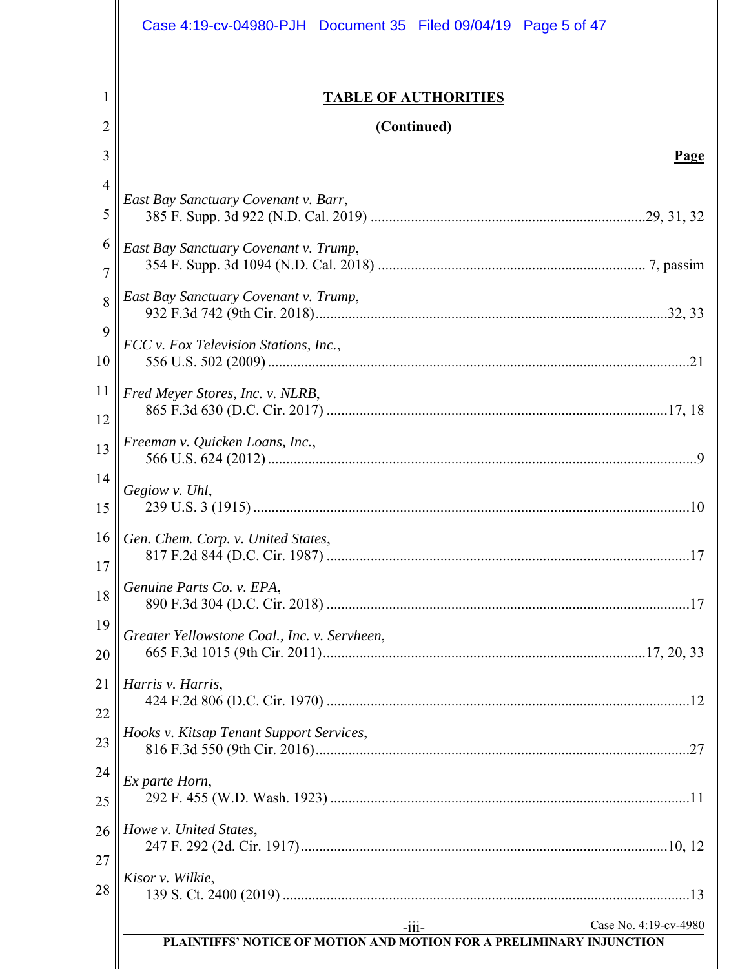|                     | Case 4:19-cv-04980-PJH Document 35 Filed 09/04/19 Page 5 of 47                                            |
|---------------------|-----------------------------------------------------------------------------------------------------------|
| 1                   | <b>TABLE OF AUTHORITIES</b>                                                                               |
| 2<br>3              | (Continued)<br>Page                                                                                       |
| $\overline{4}$      |                                                                                                           |
| 5                   | East Bay Sanctuary Covenant v. Barr,                                                                      |
| 6<br>$\overline{7}$ | East Bay Sanctuary Covenant v. Trump,                                                                     |
| 8                   | East Bay Sanctuary Covenant v. Trump,                                                                     |
| 9<br>10             | FCC v. Fox Television Stations, Inc.,                                                                     |
| 11<br>12            | Fred Meyer Stores, Inc. v. NLRB,                                                                          |
| 13                  | Freeman v. Quicken Loans, Inc.,                                                                           |
| 14<br>15            | Gegiow v. Uhl,                                                                                            |
| 16<br>17            | Gen. Chem. Corp. v. United States,                                                                        |
| 18                  | Genuine Parts Co. v. EPA,                                                                                 |
| 19<br>20            | Greater Yellowstone Coal., Inc. v. Servheen,                                                              |
| 21<br>22            | Harris v. Harris,                                                                                         |
| 23                  | Hooks v. Kitsap Tenant Support Services,                                                                  |
| 24<br>25            | Ex parte Horn,                                                                                            |
| 26<br>27            | Howe v. United States,                                                                                    |
| 28                  | Kisor v. Wilkie,                                                                                          |
|                     | Case No. 4:19-cv-4980<br>$-iii -$<br>PLAINTIFFS' NOTICE OF MOTION AND MOTION FOR A PRELIMINARY INJUNCTION |
|                     |                                                                                                           |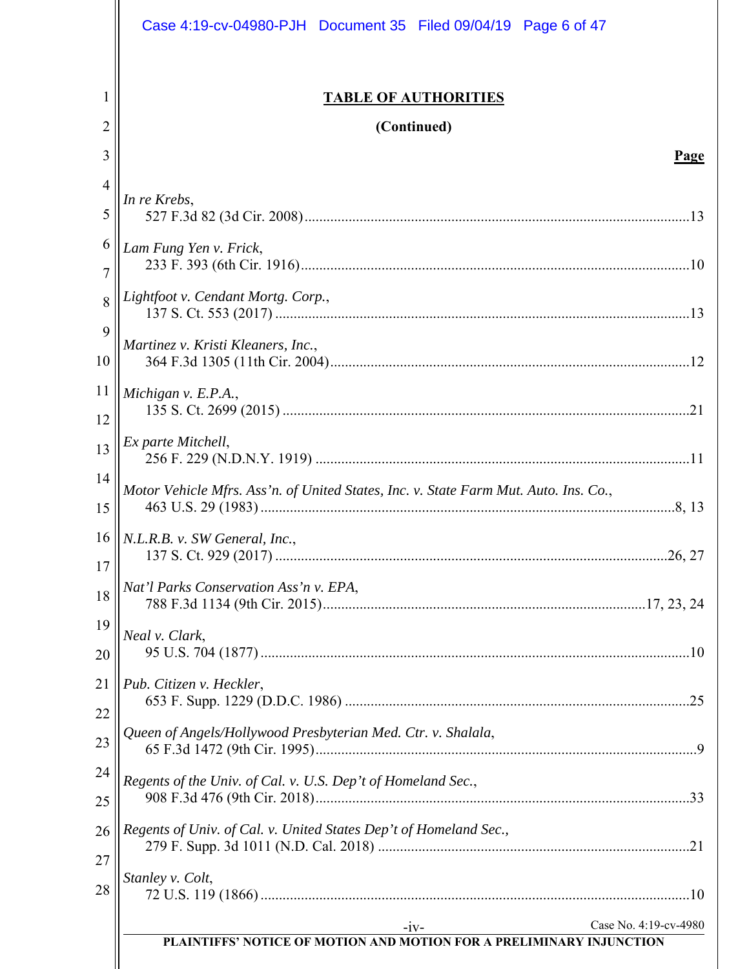|                     | Case 4:19-cv-04980-PJH Document 35 Filed 09/04/19 Page 6 of 47                       |
|---------------------|--------------------------------------------------------------------------------------|
| 1<br>2              | <b>TABLE OF AUTHORITIES</b><br>(Continued)                                           |
| 3                   | Page                                                                                 |
| $\overline{4}$      |                                                                                      |
| 5                   | In re Krebs,                                                                         |
| 6<br>$\overline{7}$ | Lam Fung Yen v. Frick,                                                               |
| 8                   | Lightfoot v. Cendant Mortg. Corp.,                                                   |
| 9<br>10             | Martinez v. Kristi Kleaners, Inc.,                                                   |
| 11<br>12            | Michigan v. E.P.A.,                                                                  |
| 13                  | Ex parte Mitchell,                                                                   |
| 14<br>15            | Motor Vehicle Mfrs. Ass'n. of United States, Inc. v. State Farm Mut. Auto. Ins. Co., |
| 16<br>17            | N.L.R.B. v. SW General, Inc.,                                                        |
| 18                  | Nat'l Parks Conservation Ass'n v. EPA,                                               |
| 19<br>20            | Neal v. Clark,                                                                       |
| 21<br>22            | Pub. Citizen v. Heckler,                                                             |
| 23                  | Queen of Angels/Hollywood Presbyterian Med. Ctr. v. Shalala,                         |
| 24<br>25            | Regents of the Univ. of Cal. v. U.S. Dep't of Homeland Sec.,                         |
| 26<br>27            | Regents of Univ. of Cal. v. United States Dep't of Homeland Sec.,                    |
| 28                  | Stanley v. Colt,                                                                     |
|                     | Case No. 4:19-cv-4980<br>$-iV$ -                                                     |
|                     | PLAINTIFFS' NOTICE OF MOTION AND MOTION FOR A PRELIMINARY INJUNCTION                 |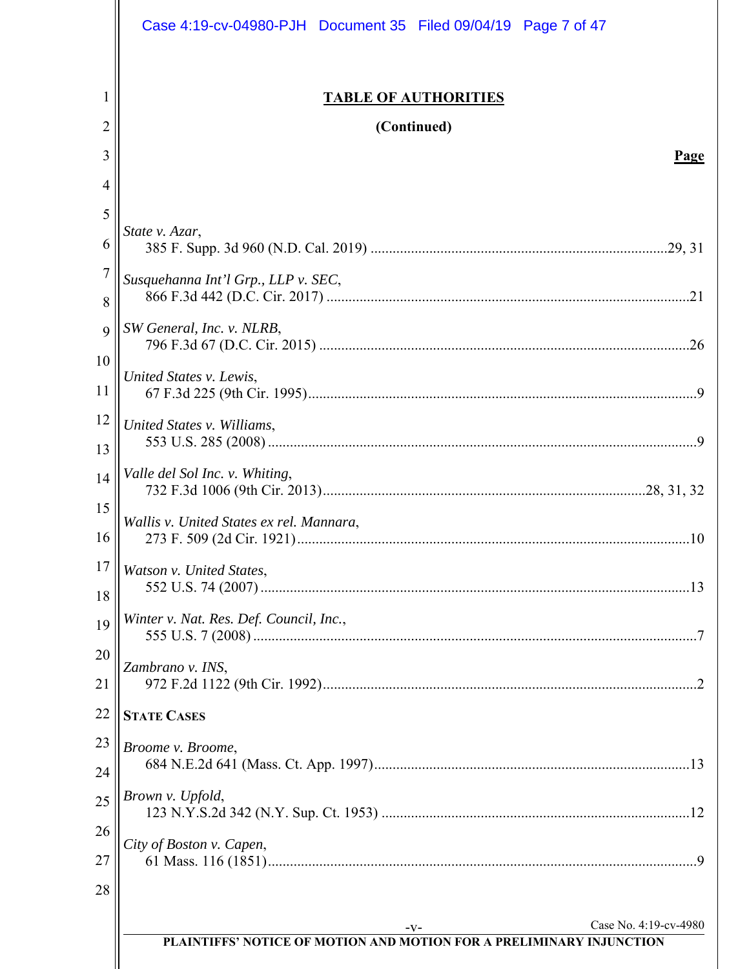|                     | Case 4:19-cv-04980-PJH Document 35 Filed 09/04/19 Page 7 of 47       |
|---------------------|----------------------------------------------------------------------|
| 1                   | <b>TABLE OF AUTHORITIES</b>                                          |
| 2                   | (Continued)                                                          |
| 3                   | <b>Page</b>                                                          |
| 4                   |                                                                      |
| 5                   | State v. Azar,                                                       |
| 6                   |                                                                      |
| $\overline{7}$<br>8 | Susquehanna Int'l Grp., LLP v. SEC,                                  |
| 9                   | SW General, Inc. v. NLRB,                                            |
| 10<br>11            | United States v. Lewis,                                              |
| 12                  | United States v. Williams,                                           |
| 13                  |                                                                      |
| 14<br>15            | Valle del Sol Inc. v. Whiting,                                       |
| 16                  | Wallis v. United States ex rel. Mannara,                             |
| 17<br>18            | Watson v. United States,                                             |
| 19                  | Winter v. Nat. Res. Def. Council, Inc.,                              |
| 20<br>21            | Zambrano v. INS,                                                     |
| 22                  | <b>STATE CASES</b>                                                   |
| 23                  | Broome v. Broome,                                                    |
| 24                  |                                                                      |
| 25                  | Brown v. Upfold,                                                     |
| 26<br>27            | City of Boston v. Capen,                                             |
| 28                  |                                                                      |
|                     | Case No. 4:19-cv-4980<br>$-V-$                                       |
|                     | PLAINTIFFS' NOTICE OF MOTION AND MOTION FOR A PRELIMINARY INJUNCTION |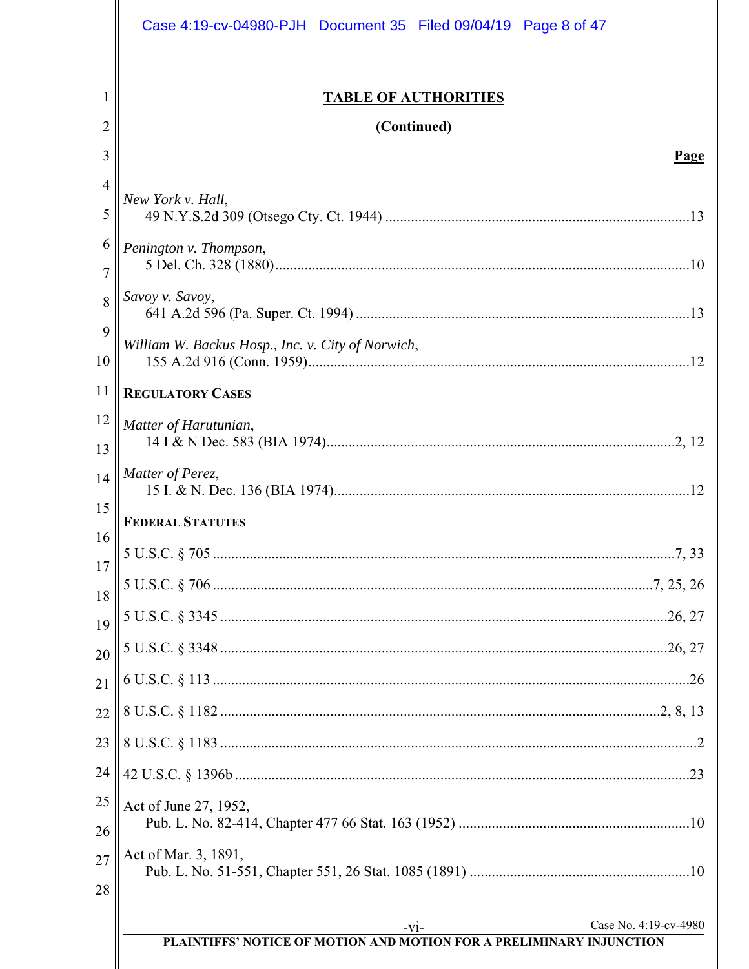|                     | Case 4:19-cv-04980-PJH Document 35 Filed 09/04/19 Page 8 of 47                 |
|---------------------|--------------------------------------------------------------------------------|
| 1<br>$\overline{2}$ | <b>TABLE OF AUTHORITIES</b><br>(Continued)                                     |
| 3                   | Page                                                                           |
| 4                   |                                                                                |
| 5                   | New York v. Hall,                                                              |
| 6<br>7              | Penington v. Thompson,                                                         |
| 8<br>9              | Savoy v. Savoy,                                                                |
| 10                  | William W. Backus Hosp., Inc. v. City of Norwich,                              |
| 11                  | <b>REGULATORY CASES</b>                                                        |
| 12<br>13            | Matter of Harutunian,                                                          |
| 14<br>15            | Matter of Perez,                                                               |
| 16                  | <b>FEDERAL STATUTES</b>                                                        |
| 17                  |                                                                                |
| 18                  |                                                                                |
| 19                  |                                                                                |
| 20                  |                                                                                |
| 21                  |                                                                                |
| 22                  |                                                                                |
| 23                  |                                                                                |
| 24                  |                                                                                |
| 25<br>26            | Act of June 27, 1952,                                                          |
| 27<br>28            | Act of Mar. 3, 1891,                                                           |
|                     | Case No. 4:19-cv-4980                                                          |
|                     | $-V1-$<br>PLAINTIFFS' NOTICE OF MOTION AND MOTION FOR A PRELIMINARY INJUNCTION |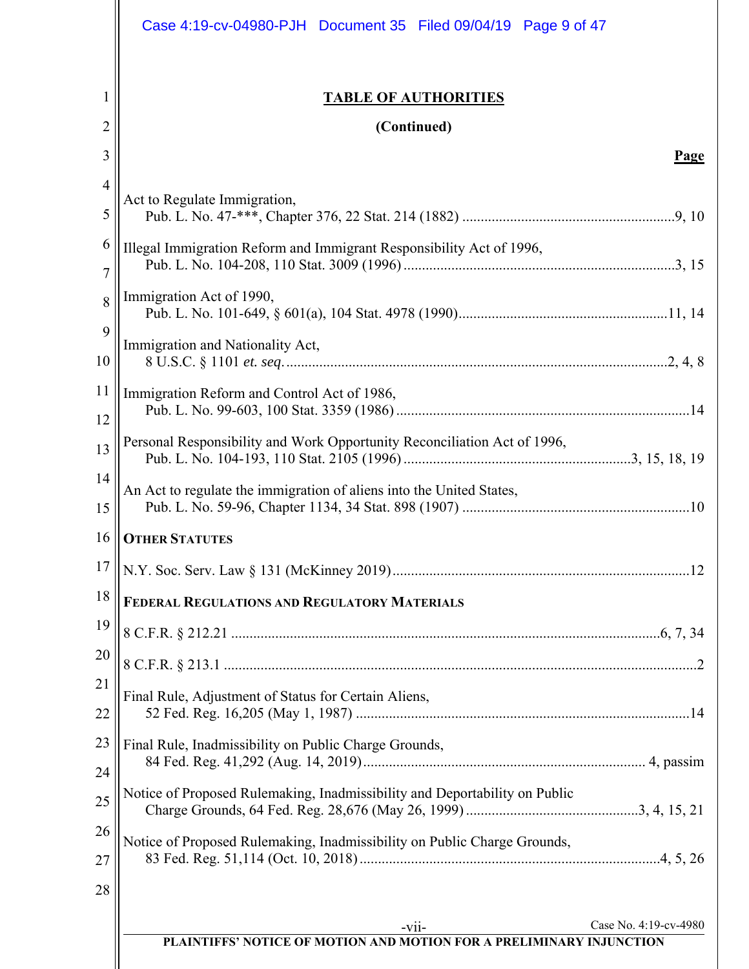|                     | Case 4:19-cv-04980-PJH Document 35 Filed 09/04/19 Page 9 of 47                                            |
|---------------------|-----------------------------------------------------------------------------------------------------------|
| 1<br>$\overline{2}$ | <b>TABLE OF AUTHORITIES</b><br>(Continued)                                                                |
| 3                   | Page                                                                                                      |
| $\overline{4}$      |                                                                                                           |
| 5                   | Act to Regulate Immigration,                                                                              |
| 6<br>$\overline{7}$ | Illegal Immigration Reform and Immigrant Responsibility Act of 1996,                                      |
| 8<br>9              | Immigration Act of 1990,                                                                                  |
| 10                  | Immigration and Nationality Act,                                                                          |
| 11<br>12            | Immigration Reform and Control Act of 1986,                                                               |
| 13                  | Personal Responsibility and Work Opportunity Reconciliation Act of 1996,                                  |
| 14<br>15            | An Act to regulate the immigration of aliens into the United States,                                      |
| 16                  | <b>OTHER STATUTES</b>                                                                                     |
| 17                  |                                                                                                           |
| 18                  | FEDERAL REGULATIONS AND REGULATORY MATERIALS                                                              |
| 19                  |                                                                                                           |
| 20                  |                                                                                                           |
| 21<br>22            | Final Rule, Adjustment of Status for Certain Aliens,                                                      |
| 23<br>24            | Final Rule, Inadmissibility on Public Charge Grounds,                                                     |
| 25                  | Notice of Proposed Rulemaking, Inadmissibility and Deportability on Public                                |
| 26<br>27            | Notice of Proposed Rulemaking, Inadmissibility on Public Charge Grounds,                                  |
| 28                  |                                                                                                           |
|                     | Case No. 4:19-cv-4980<br>$-vii$ -<br>PLAINTIFFS' NOTICE OF MOTION AND MOTION FOR A PRELIMINARY INJUNCTION |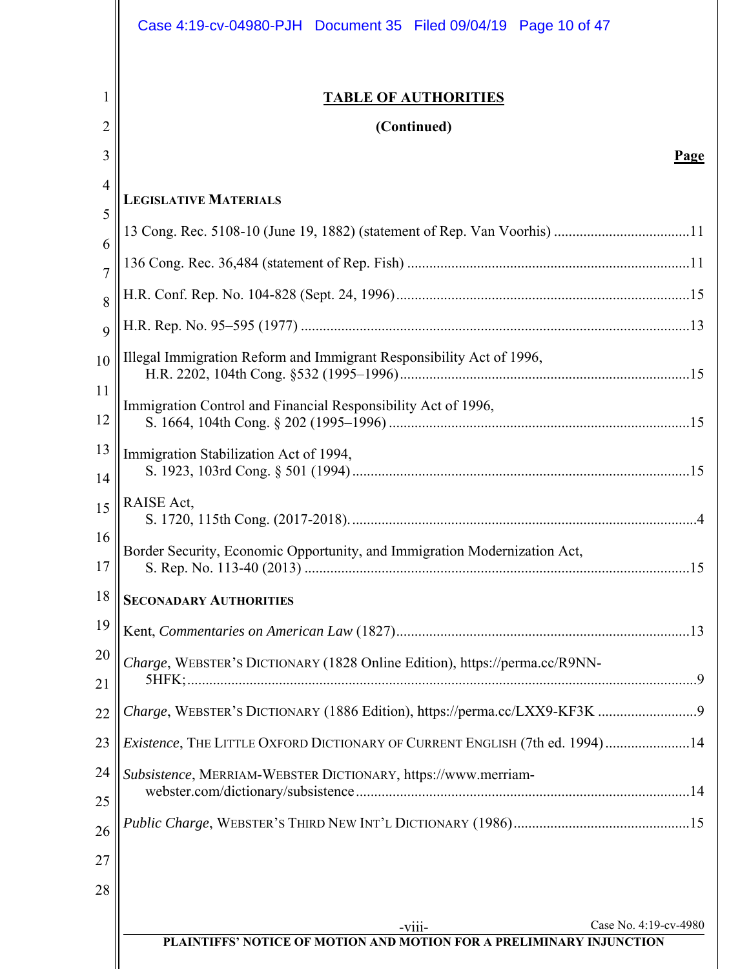|                | Case 4:19-cv-04980-PJH   Document 35   Filed 09/04/19   Page 10 of 47       |
|----------------|-----------------------------------------------------------------------------|
| 1              | <b>TABLE OF AUTHORITIES</b>                                                 |
| 2              | (Continued)                                                                 |
| 3              | Page                                                                        |
| 4              | <b>LEGISLATIVE MATERIALS</b>                                                |
| 5              |                                                                             |
| 6              |                                                                             |
| $\overline{7}$ |                                                                             |
| 8              |                                                                             |
| 9              |                                                                             |
| 10             | Illegal Immigration Reform and Immigrant Responsibility Act of 1996,        |
| 11<br>12       | Immigration Control and Financial Responsibility Act of 1996,               |
| 13<br>14       | Immigration Stabilization Act of 1994,                                      |
| 15             | RAISE Act,                                                                  |
| 16<br>17       | Border Security, Economic Opportunity, and Immigration Modernization Act,   |
| 18             | <b>SECONADARY AUTHORITIES</b>                                               |
| 19             |                                                                             |
| 20             | Charge, WEBSTER's DICTIONARY (1828 Online Edition), https://perma.cc/R9NN-  |
| 21             |                                                                             |
| 22             |                                                                             |
| 23             | Existence, THE LITTLE OXFORD DICTIONARY OF CURRENT ENGLISH (7th ed. 1994)14 |
| 24             | Subsistence, MERRIAM-WEBSTER DICTIONARY, https://www.merriam-               |
| 25             |                                                                             |
| 26             |                                                                             |
| 27             |                                                                             |
| 28             |                                                                             |
|                | Case No. 4:19-cv-4980<br>$-viii$                                            |
|                | PLAINTIFFS' NOTICE OF MOTION AND MOTION FOR A PRELIMINARY INJUNCTION        |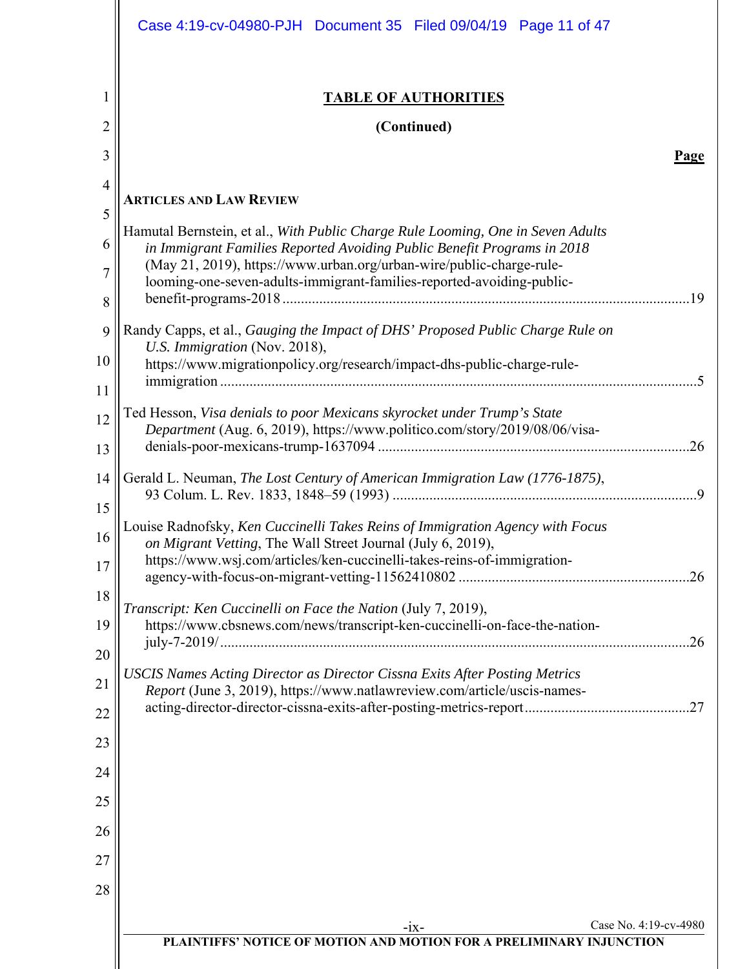|                | Case 4:19-cv-04980-PJH   Document 35   Filed 09/04/19   Page 11 of 47                                                                                         |
|----------------|---------------------------------------------------------------------------------------------------------------------------------------------------------------|
|                | <b>TABLE OF AUTHORITIES</b>                                                                                                                                   |
| $\overline{2}$ | (Continued)                                                                                                                                                   |
| 3              | <b>Page</b>                                                                                                                                                   |
| $\overline{4}$ | <b>ARTICLES AND LAW REVIEW</b>                                                                                                                                |
| 5              | Hamutal Bernstein, et al., With Public Charge Rule Looming, One in Seven Adults                                                                               |
| 6              | in Immigrant Families Reported Avoiding Public Benefit Programs in 2018<br>(May 21, 2019), https://www.urban.org/urban-wire/public-charge-rule-               |
| 7              | looming-one-seven-adults-immigrant-families-reported-avoiding-public-<br>.19                                                                                  |
| 8              |                                                                                                                                                               |
| 9              | Randy Capps, et al., Gauging the Impact of DHS' Proposed Public Charge Rule on<br>U.S. Immigration (Nov. 2018),                                               |
| 10             | https://www.migrationpolicy.org/research/impact-dhs-public-charge-rule-                                                                                       |
| 11<br>12       | Ted Hesson, Visa denials to poor Mexicans skyrocket under Trump's State                                                                                       |
| 13             | Department (Aug. 6, 2019), https://www.politico.com/story/2019/08/06/visa-                                                                                    |
| 14             | Gerald L. Neuman, The Lost Century of American Immigration Law (1776-1875),                                                                                   |
| 15             |                                                                                                                                                               |
| 16             | Louise Radnofsky, Ken Cuccinelli Takes Reins of Immigration Agency with Focus                                                                                 |
| 17             | on Migrant Vetting, The Wall Street Journal (July 6, 2019),<br>https://www.wsj.com/articles/ken-cuccinelli-takes-reins-of-immigration-                        |
| 18             |                                                                                                                                                               |
| 19             | Transcript: Ken Cuccinelli on Face the Nation (July 7, 2019),<br>https://www.cbsnews.com/news/transcript-ken-cuccinelli-on-face-the-nation-                   |
| 20             | .26                                                                                                                                                           |
| 21             | <b>USCIS Names Acting Director as Director Cissna Exits After Posting Metrics</b><br>Report (June 3, 2019), https://www.natlawreview.com/article/uscis-names- |
| 22             |                                                                                                                                                               |
| 23             |                                                                                                                                                               |
| 24             |                                                                                                                                                               |
| 25             |                                                                                                                                                               |
| 26             |                                                                                                                                                               |
| 27             |                                                                                                                                                               |
| 28             |                                                                                                                                                               |
|                | Case No. 4:19-cv-4980<br>$-1X-$                                                                                                                               |
|                | PLAINTIFFS' NOTICE OF MOTION AND MOTION FOR A PRELIMINARY INJUNCTION                                                                                          |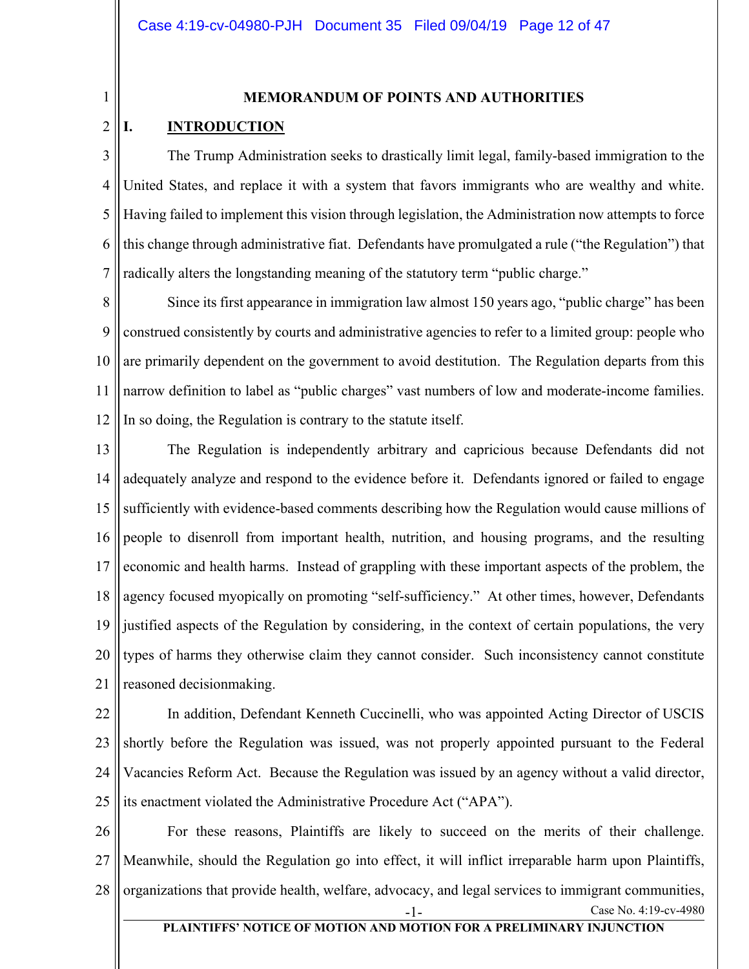1

#### **MEMORANDUM OF POINTS AND AUTHORITIES**

#### 2 **I. INTRODUCTION**

3 4 5 6 7 The Trump Administration seeks to drastically limit legal, family-based immigration to the United States, and replace it with a system that favors immigrants who are wealthy and white. Having failed to implement this vision through legislation, the Administration now attempts to force this change through administrative fiat. Defendants have promulgated a rule ("the Regulation") that radically alters the longstanding meaning of the statutory term "public charge."

8 9 10 11 12 Since its first appearance in immigration law almost 150 years ago, "public charge" has been construed consistently by courts and administrative agencies to refer to a limited group: people who are primarily dependent on the government to avoid destitution. The Regulation departs from this narrow definition to label as "public charges" vast numbers of low and moderate-income families. In so doing, the Regulation is contrary to the statute itself.

13 14 15 16 17 18 19 20 21 The Regulation is independently arbitrary and capricious because Defendants did not adequately analyze and respond to the evidence before it. Defendants ignored or failed to engage sufficiently with evidence-based comments describing how the Regulation would cause millions of people to disenroll from important health, nutrition, and housing programs, and the resulting economic and health harms. Instead of grappling with these important aspects of the problem, the agency focused myopically on promoting "self-sufficiency." At other times, however, Defendants justified aspects of the Regulation by considering, in the context of certain populations, the very types of harms they otherwise claim they cannot consider. Such inconsistency cannot constitute reasoned decisionmaking.

22 23 24 25 In addition, Defendant Kenneth Cuccinelli, who was appointed Acting Director of USCIS shortly before the Regulation was issued, was not properly appointed pursuant to the Federal Vacancies Reform Act. Because the Regulation was issued by an agency without a valid director, its enactment violated the Administrative Procedure Act ("APA").

26 27 28 Case No. 4:19-cv-4980 **PLAINTIFFS' NOTICE OF MOTION AND MOTION FOR A PRELIMINARY INJUNCTION** For these reasons, Plaintiffs are likely to succeed on the merits of their challenge. Meanwhile, should the Regulation go into effect, it will inflict irreparable harm upon Plaintiffs, organizations that provide health, welfare, advocacy, and legal services to immigrant communities,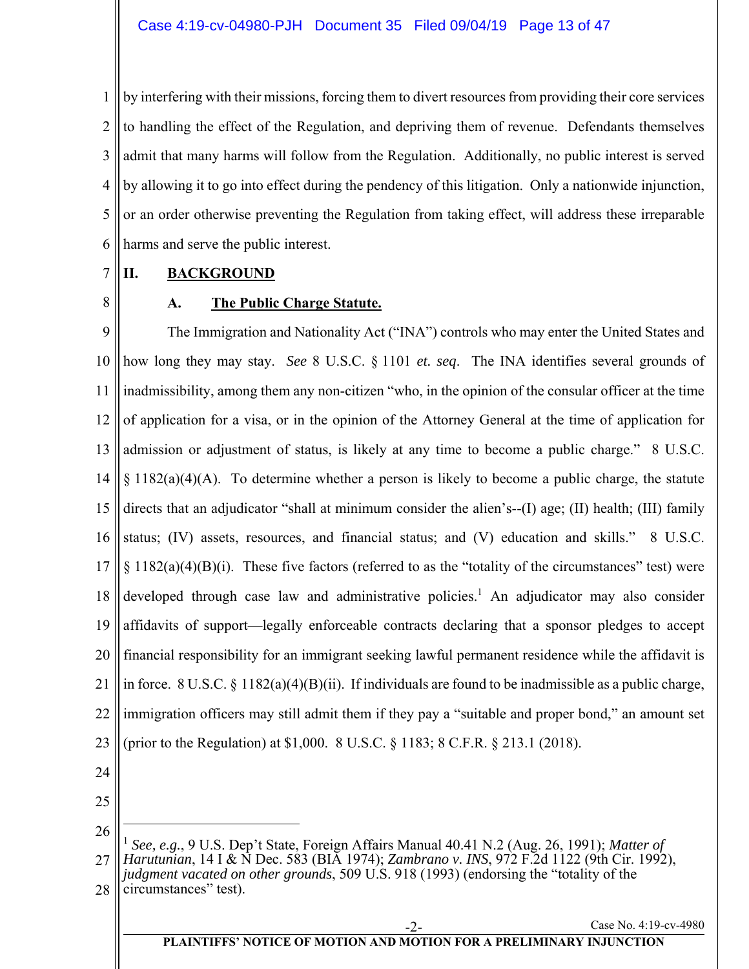1 2 3 4 5 6 by interfering with their missions, forcing them to divert resources from providing their core services to handling the effect of the Regulation, and depriving them of revenue. Defendants themselves admit that many harms will follow from the Regulation. Additionally, no public interest is served by allowing it to go into effect during the pendency of this litigation. Only a nationwide injunction, or an order otherwise preventing the Regulation from taking effect, will address these irreparable harms and serve the public interest.

#### 7 **II. BACKGROUND**

8

## **A. The Public Charge Statute.**

9 10 11 12 13 14 15 16 17 18 19 20 21 22 23 The Immigration and Nationality Act ("INA") controls who may enter the United States and how long they may stay. *See* 8 U.S.C. § 1101 *et. seq*. The INA identifies several grounds of inadmissibility, among them any non-citizen "who, in the opinion of the consular officer at the time of application for a visa, or in the opinion of the Attorney General at the time of application for admission or adjustment of status, is likely at any time to become a public charge." 8 U.S.C.  $\S 1182(a)(4)(A)$ . To determine whether a person is likely to become a public charge, the statute directs that an adjudicator "shall at minimum consider the alien's--(I) age; (II) health; (III) family status; (IV) assets, resources, and financial status; and (V) education and skills." 8 U.S.C.  $\S 1182(a)(4)(B)(i)$ . These five factors (referred to as the "totality of the circumstances" test) were developed through case law and administrative policies.<sup>1</sup> An adjudicator may also consider affidavits of support—legally enforceable contracts declaring that a sponsor pledges to accept financial responsibility for an immigrant seeking lawful permanent residence while the affidavit is in force. 8 U.S.C. § 1182(a)(4)(B)(ii). If individuals are found to be inadmissible as a public charge, immigration officers may still admit them if they pay a "suitable and proper bond," an amount set (prior to the Regulation) at \$1,000. 8 U.S.C. § 1183; 8 C.F.R. § 213.1 (2018).

- 24
- 25

 $\overline{a}$ 

26 27 <sup>1</sup> *See, e.g.*, 9 U.S. Dep't State, Foreign Affairs Manual 40.41 N.2 (Aug. 26, 1991); *Matter of Harutunian*, 14 I & N Dec. 583 (BIA 1974); *Zambrano v. INS*, 972 F.2d 1122 (9th Cir. 1992),

28 *judgment vacated on other grounds*, 509 U.S. 918 (1993) (endorsing the "totality of the circumstances" test).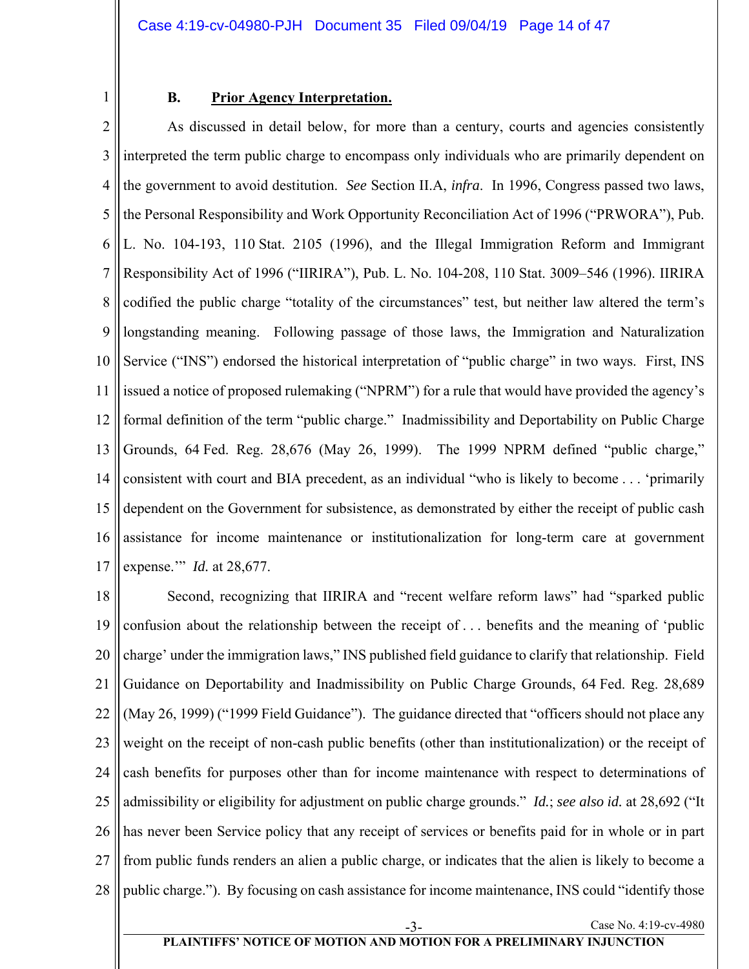1

## **B. Prior Agency Interpretation.**

2 3 4 5 6 7 8 9 10 11 12 13 14 15 16 17 As discussed in detail below, for more than a century, courts and agencies consistently interpreted the term public charge to encompass only individuals who are primarily dependent on the government to avoid destitution. *See* Section II.A, *infra*. In 1996, Congress passed two laws, the Personal Responsibility and Work Opportunity Reconciliation Act of 1996 ("PRWORA"), Pub. L. No. 104-193, 110 Stat. 2105 (1996), and the Illegal Immigration Reform and Immigrant Responsibility Act of 1996 ("IIRIRA"), Pub. L. No. 104-208, 110 Stat. 3009–546 (1996). IIRIRA codified the public charge "totality of the circumstances" test, but neither law altered the term's longstanding meaning. Following passage of those laws, the Immigration and Naturalization Service ("INS") endorsed the historical interpretation of "public charge" in two ways. First, INS issued a notice of proposed rulemaking ("NPRM") for a rule that would have provided the agency's formal definition of the term "public charge." Inadmissibility and Deportability on Public Charge Grounds, 64 Fed. Reg. 28,676 (May 26, 1999). The 1999 NPRM defined "public charge," consistent with court and BIA precedent, as an individual "who is likely to become . . . 'primarily dependent on the Government for subsistence, as demonstrated by either the receipt of public cash assistance for income maintenance or institutionalization for long-term care at government expense.'" *Id.* at 28,677.

18 19 20 21 22 23 24 25 26 27 28 Second, recognizing that IIRIRA and "recent welfare reform laws" had "sparked public confusion about the relationship between the receipt of . . . benefits and the meaning of 'public charge' under the immigration laws," INS published field guidance to clarify that relationship. Field Guidance on Deportability and Inadmissibility on Public Charge Grounds, 64 Fed. Reg. 28,689 (May 26, 1999) ("1999 Field Guidance"). The guidance directed that "officers should not place any weight on the receipt of non-cash public benefits (other than institutionalization) or the receipt of cash benefits for purposes other than for income maintenance with respect to determinations of admissibility or eligibility for adjustment on public charge grounds." *Id.*; *see also id.* at 28,692 ("It has never been Service policy that any receipt of services or benefits paid for in whole or in part from public funds renders an alien a public charge, or indicates that the alien is likely to become a public charge."). By focusing on cash assistance for income maintenance, INS could "identify those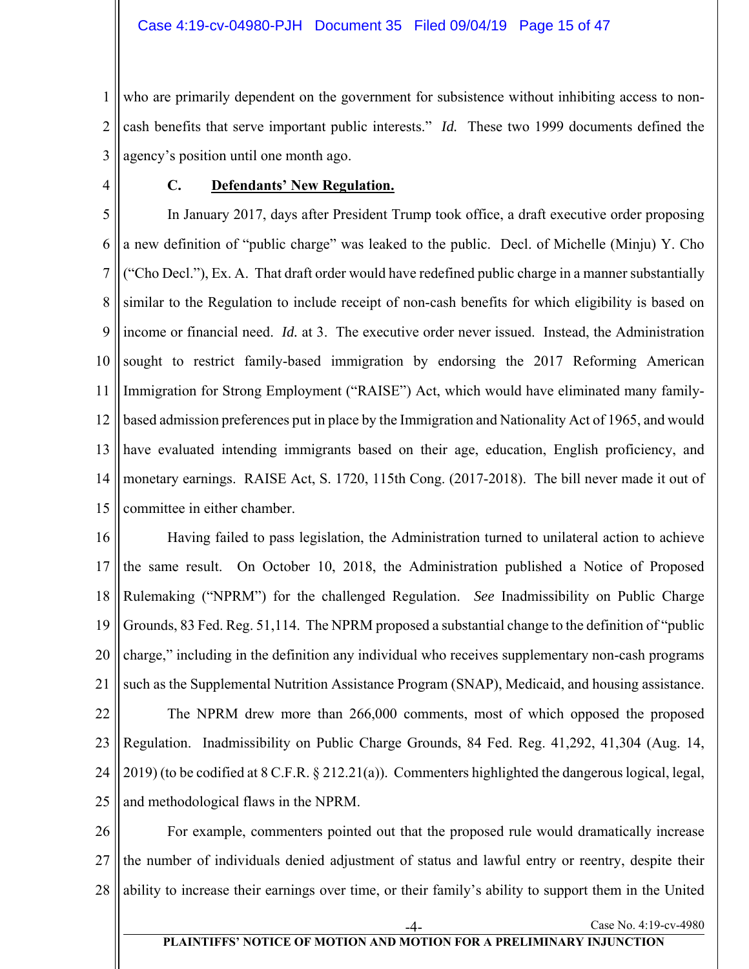1 2 3 who are primarily dependent on the government for subsistence without inhibiting access to noncash benefits that serve important public interests." *Id.* These two 1999 documents defined the agency's position until one month ago.

4

## **C. Defendants' New Regulation.**

5 6 7 8 9 10 11 12 13 14 15 In January 2017, days after President Trump took office, a draft executive order proposing a new definition of "public charge" was leaked to the public. Decl. of Michelle (Minju) Y. Cho ("Cho Decl."), Ex. A. That draft order would have redefined public charge in a manner substantially similar to the Regulation to include receipt of non-cash benefits for which eligibility is based on income or financial need. *Id.* at 3. The executive order never issued. Instead, the Administration sought to restrict family-based immigration by endorsing the 2017 Reforming American Immigration for Strong Employment ("RAISE") Act, which would have eliminated many familybased admission preferences put in place by the Immigration and Nationality Act of 1965, and would have evaluated intending immigrants based on their age, education, English proficiency, and monetary earnings. RAISE Act, S. 1720, 115th Cong. (2017-2018). The bill never made it out of committee in either chamber.

16 17 18 19 20 21 22 Having failed to pass legislation, the Administration turned to unilateral action to achieve the same result. On October 10, 2018, the Administration published a Notice of Proposed Rulemaking ("NPRM") for the challenged Regulation. *See* Inadmissibility on Public Charge Grounds, 83 Fed. Reg. 51,114. The NPRM proposed a substantial change to the definition of "public charge," including in the definition any individual who receives supplementary non-cash programs such as the Supplemental Nutrition Assistance Program (SNAP), Medicaid, and housing assistance. The NPRM drew more than 266,000 comments, most of which opposed the proposed

23 24 25 Regulation. Inadmissibility on Public Charge Grounds, 84 Fed. Reg. 41,292, 41,304 (Aug. 14, 2019) (to be codified at 8 C.F.R. § 212.21(a)). Commenters highlighted the dangerous logical, legal, and methodological flaws in the NPRM.

26 27 28 For example, commenters pointed out that the proposed rule would dramatically increase the number of individuals denied adjustment of status and lawful entry or reentry, despite their ability to increase their earnings over time, or their family's ability to support them in the United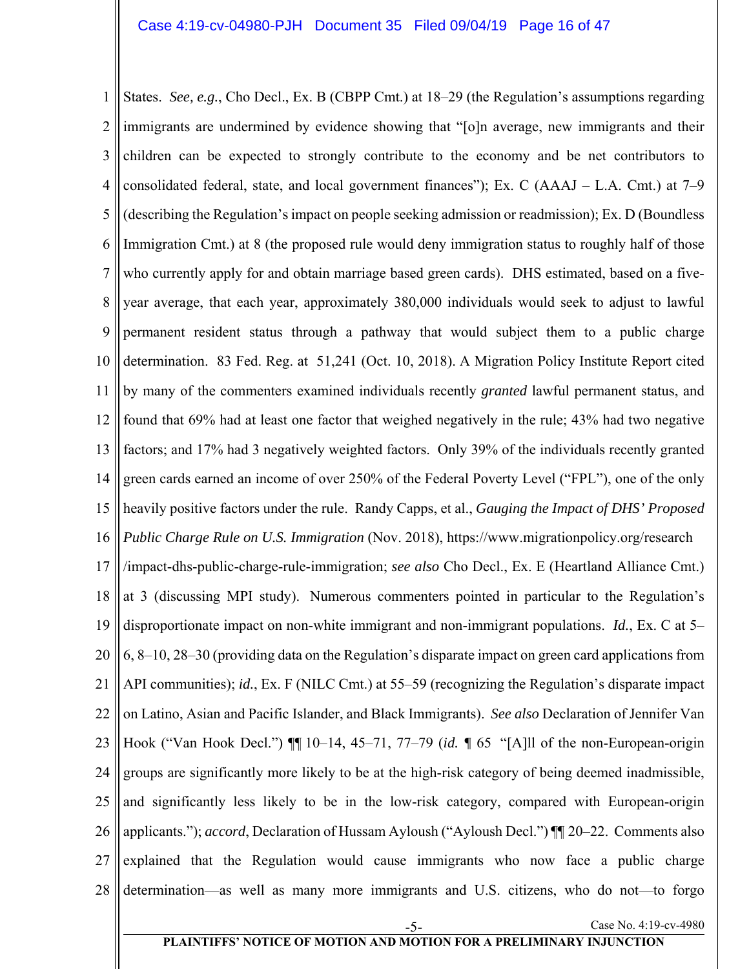1 2 3 4 5 6 7 8 9 10 11 12 13 14 15 16 17 18 19 20 21 22 23 24 25 26 27 28 Case No. 4:19-cv-4980 States. *See, e.g.*, Cho Decl., Ex. B (CBPP Cmt.) at 18–29 (the Regulation's assumptions regarding immigrants are undermined by evidence showing that "[o]n average, new immigrants and their children can be expected to strongly contribute to the economy and be net contributors to consolidated federal, state, and local government finances"); Ex. C (AAAJ – L.A. Cmt.) at 7–9 (describing the Regulation's impact on people seeking admission or readmission); Ex. D (Boundless Immigration Cmt.) at 8 (the proposed rule would deny immigration status to roughly half of those who currently apply for and obtain marriage based green cards). DHS estimated, based on a fiveyear average, that each year, approximately 380,000 individuals would seek to adjust to lawful permanent resident status through a pathway that would subject them to a public charge determination. 83 Fed. Reg. at 51,241 (Oct. 10, 2018). A Migration Policy Institute Report cited by many of the commenters examined individuals recently *granted* lawful permanent status, and found that 69% had at least one factor that weighed negatively in the rule; 43% had two negative factors; and 17% had 3 negatively weighted factors. Only 39% of the individuals recently granted green cards earned an income of over 250% of the Federal Poverty Level ("FPL"), one of the only heavily positive factors under the rule. Randy Capps, et al., *Gauging the Impact of DHS' Proposed Public Charge Rule on U.S. Immigration* (Nov. 2018), https://www.migrationpolicy.org/research /impact-dhs-public-charge-rule-immigration; *see also* Cho Decl., Ex. E (Heartland Alliance Cmt.) at 3 (discussing MPI study). Numerous commenters pointed in particular to the Regulation's disproportionate impact on non-white immigrant and non-immigrant populations. *Id.*, Ex. C at 5– 6, 8–10, 28–30 (providing data on the Regulation's disparate impact on green card applications from API communities); *id.*, Ex. F (NILC Cmt.) at 55–59 (recognizing the Regulation's disparate impact on Latino, Asian and Pacific Islander, and Black Immigrants). *See also* Declaration of Jennifer Van Hook ("Van Hook Decl.") ¶¶ 10–14, 45–71, 77–79 (*id. ¶* 65 "[A]ll of the non-European-origin groups are significantly more likely to be at the high-risk category of being deemed inadmissible, and significantly less likely to be in the low-risk category, compared with European-origin applicants."); *accord*, Declaration of Hussam Ayloush ("Ayloush Decl.") ¶¶ 20–22. Comments also explained that the Regulation would cause immigrants who now face a public charge determination—as well as many more immigrants and U.S. citizens, who do not—to forgo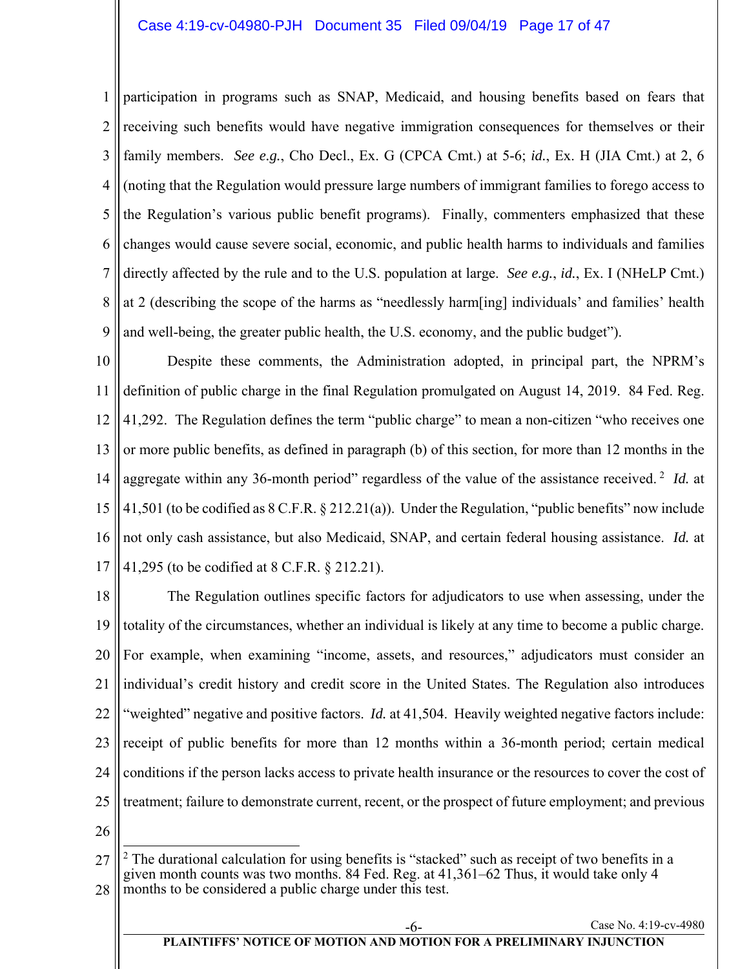1 2 3 4 5 6 7 8 9 participation in programs such as SNAP, Medicaid, and housing benefits based on fears that receiving such benefits would have negative immigration consequences for themselves or their family members. *See e.g.*, Cho Decl., Ex. G (CPCA Cmt.) at 5-6; *id.*, Ex. H (JIA Cmt.) at 2, 6 (noting that the Regulation would pressure large numbers of immigrant families to forego access to the Regulation's various public benefit programs). Finally, commenters emphasized that these changes would cause severe social, economic, and public health harms to individuals and families directly affected by the rule and to the U.S. population at large. *See e.g.*, *id.*, Ex. I (NHeLP Cmt.) at 2 (describing the scope of the harms as "needlessly harm[ing] individuals' and families' health and well-being, the greater public health, the U.S. economy, and the public budget").

10 11 12 13 14 15 16 17 Despite these comments, the Administration adopted, in principal part, the NPRM's definition of public charge in the final Regulation promulgated on August 14, 2019. 84 Fed. Reg. 41,292. The Regulation defines the term "public charge" to mean a non-citizen "who receives one or more public benefits, as defined in paragraph (b) of this section, for more than 12 months in the aggregate within any 36-month period" regardless of the value of the assistance received.<sup>2</sup> *Id.* at 41,501 (to be codified as 8 C.F.R. § 212.21(a)). Under the Regulation, "public benefits" now include not only cash assistance, but also Medicaid, SNAP, and certain federal housing assistance. *Id.* at 41,295 (to be codified at 8 C.F.R. § 212.21).

18 19 20 21 22 23 24 25 The Regulation outlines specific factors for adjudicators to use when assessing, under the totality of the circumstances, whether an individual is likely at any time to become a public charge. For example, when examining "income, assets, and resources," adjudicators must consider an individual's credit history and credit score in the United States. The Regulation also introduces "weighted" negative and positive factors. *Id.* at 41,504. Heavily weighted negative factors include: receipt of public benefits for more than 12 months within a 36-month period; certain medical conditions if the person lacks access to private health insurance or the resources to cover the cost of treatment; failure to demonstrate current, recent, or the prospect of future employment; and previous

26

<sup>27</sup> 28 <sup>2</sup> The durational calculation for using benefits is "stacked" such as receipt of two benefits in a given month counts was two months. 84 Fed. Reg. at 41,361–62 Thus, it would take only 4 months to be considered a public charge under this test.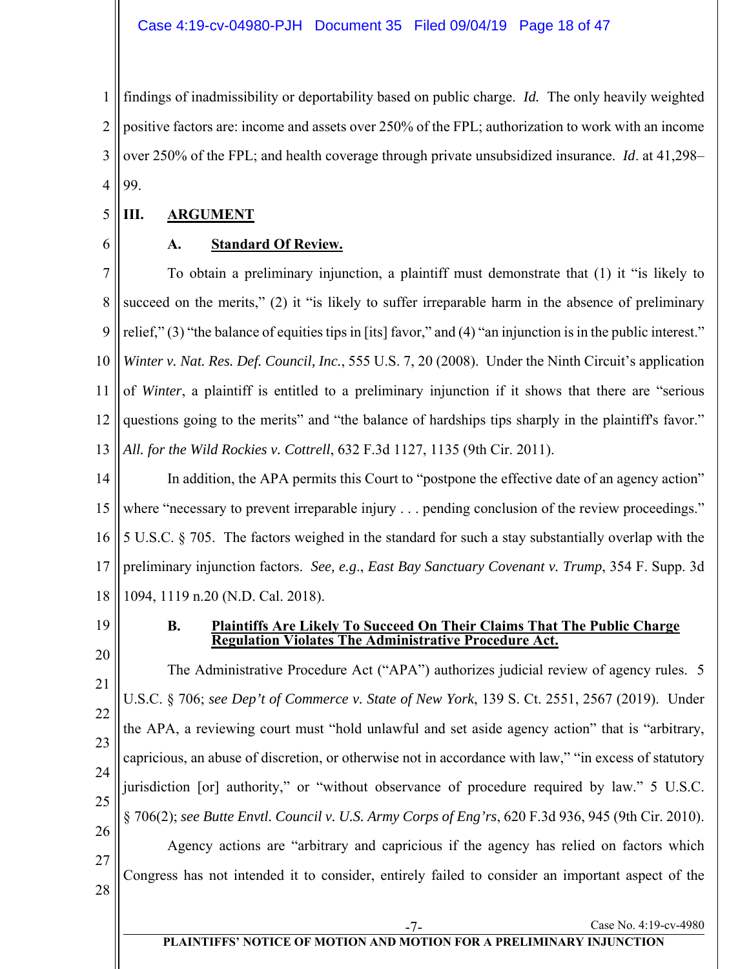1 2 3 4 findings of inadmissibility or deportability based on public charge. *Id.* The only heavily weighted positive factors are: income and assets over 250% of the FPL; authorization to work with an income over 250% of the FPL; and health coverage through private unsubsidized insurance. *Id*. at 41,298– 99.

#### 5 **III. ARGUMENT**

6

## **A. Standard Of Review.**

7 8 9 10 11 12 13 To obtain a preliminary injunction, a plaintiff must demonstrate that (1) it "is likely to succeed on the merits," (2) it "is likely to suffer irreparable harm in the absence of preliminary relief," (3) "the balance of equities tips in [its] favor," and (4) "an injunction is in the public interest." *Winter v. Nat. Res. Def. Council, Inc.*, 555 U.S. 7, 20 (2008). Under the Ninth Circuit's application of *Winter*, a plaintiff is entitled to a preliminary injunction if it shows that there are "serious questions going to the merits" and "the balance of hardships tips sharply in the plaintiff's favor." *All. for the Wild Rockies v. Cottrell*, 632 F.3d 1127, 1135 (9th Cir. 2011).

14 15 16 17 18 In addition, the APA permits this Court to "postpone the effective date of an agency action" where "necessary to prevent irreparable injury . . . pending conclusion of the review proceedings." 5 U.S.C. § 705. The factors weighed in the standard for such a stay substantially overlap with the preliminary injunction factors. *See, e.g*., *East Bay Sanctuary Covenant v. Trump*, 354 F. Supp. 3d 1094, 1119 n.20 (N.D. Cal. 2018).

19

## **B. Plaintiffs Are Likely To Succeed On Their Claims That The Public Charge Regulation Violates The Administrative Procedure Act.**

20 21 22 23 24 25 26 27 28 The Administrative Procedure Act ("APA") authorizes judicial review of agency rules. 5 U.S.C. § 706; *see Dep't of Commerce v. State of New York*, 139 S. Ct. 2551, 2567 (2019). Under the APA, a reviewing court must "hold unlawful and set aside agency action" that is "arbitrary, capricious, an abuse of discretion, or otherwise not in accordance with law," "in excess of statutory jurisdiction [or] authority," or "without observance of procedure required by law." 5 U.S.C. § 706(2); *see Butte Envtl. Council v. U.S. Army Corps of Eng'rs*, 620 F.3d 936, 945 (9th Cir. 2010). Agency actions are "arbitrary and capricious if the agency has relied on factors which Congress has not intended it to consider, entirely failed to consider an important aspect of the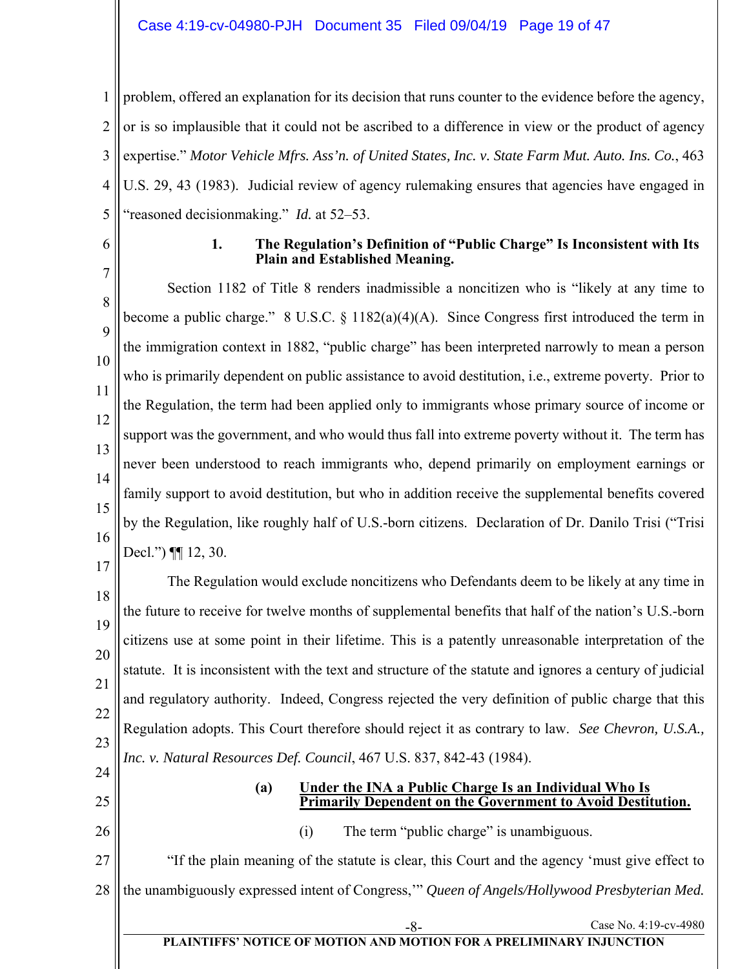1 2 3 4 5 problem, offered an explanation for its decision that runs counter to the evidence before the agency, or is so implausible that it could not be ascribed to a difference in view or the product of agency expertise." *Motor Vehicle Mfrs. Ass'n. of United States, Inc. v. State Farm Mut. Auto. Ins. Co.*, 463 U.S. 29, 43 (1983). Judicial review of agency rulemaking ensures that agencies have engaged in "reasoned decisionmaking." *Id.* at 52–53.

6

7

#### **1. The Regulation's Definition of "Public Charge" Is Inconsistent with Its Plain and Established Meaning.**

8 9 10 11 12 13 14 15 16 Section 1182 of Title 8 renders inadmissible a noncitizen who is "likely at any time to become a public charge." 8 U.S.C.  $\S$  1182(a)(4)(A). Since Congress first introduced the term in the immigration context in 1882, "public charge" has been interpreted narrowly to mean a person who is primarily dependent on public assistance to avoid destitution, i.e., extreme poverty. Prior to the Regulation, the term had been applied only to immigrants whose primary source of income or support was the government, and who would thus fall into extreme poverty without it. The term has never been understood to reach immigrants who, depend primarily on employment earnings or family support to avoid destitution, but who in addition receive the supplemental benefits covered by the Regulation, like roughly half of U.S.-born citizens. Declaration of Dr. Danilo Trisi ("Trisi Decl.")  $\P\P$  12, 30.

# 17

18 19 20 21 22 23 The Regulation would exclude noncitizens who Defendants deem to be likely at any time in the future to receive for twelve months of supplemental benefits that half of the nation's U.S.-born citizens use at some point in their lifetime. This is a patently unreasonable interpretation of the statute. It is inconsistent with the text and structure of the statute and ignores a century of judicial and regulatory authority. Indeed, Congress rejected the very definition of public charge that this Regulation adopts. This Court therefore should reject it as contrary to law. *See Chevron, U.S.A., Inc. v. Natural Resources Def. Council*, 467 U.S. 837, 842-43 (1984).

24 25

#### **(a) Under the INA a Public Charge Is an Individual Who Is Primarily Dependent on the Government to Avoid Destitution.**

Case No. 4:19-cv-4980

26

(i) The term "public charge" is unambiguous.

27 28 "If the plain meaning of the statute is clear, this Court and the agency 'must give effect to the unambiguously expressed intent of Congress,'" *Queen of Angels/Hollywood Presbyterian Med.* 

# **PLAINTIFFS' NOTICE OF MOTION AND MOTION FOR A PRELIMINARY INJUNCTION**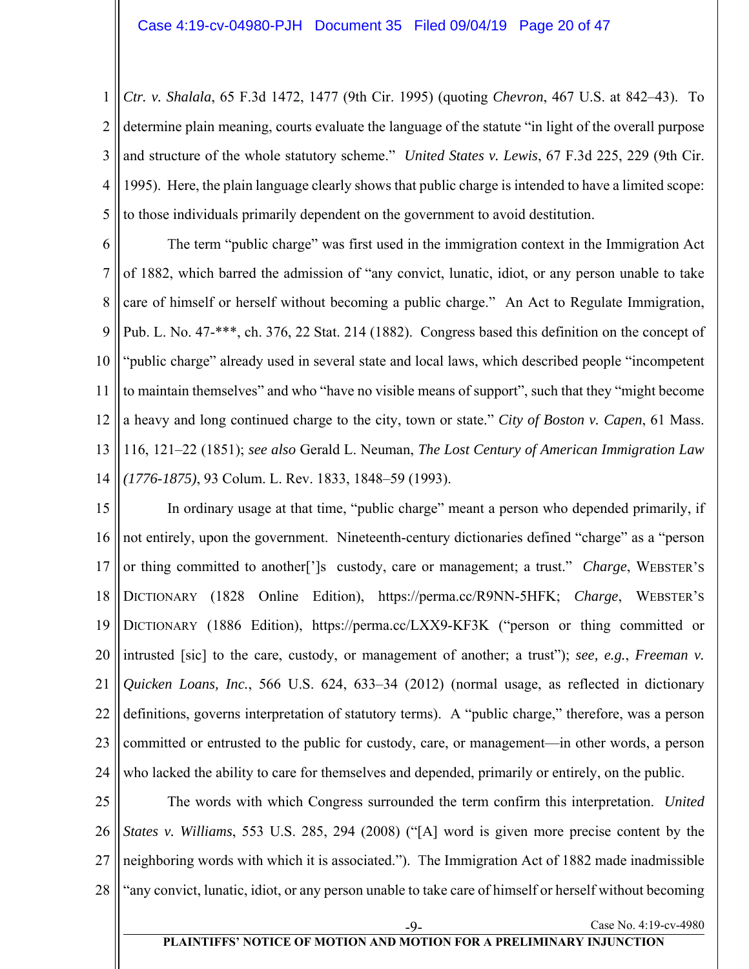1 2 3 4 5 *Ctr. v. Shalala*, 65 F.3d 1472, 1477 (9th Cir. 1995) (quoting *Chevron*, 467 U.S. at 842–43). To determine plain meaning, courts evaluate the language of the statute "in light of the overall purpose and structure of the whole statutory scheme." *United States v. Lewis*, 67 F.3d 225, 229 (9th Cir. 1995). Here, the plain language clearly shows that public charge is intended to have a limited scope: to those individuals primarily dependent on the government to avoid destitution.

6 7 8 9 10 11 12 13 14 The term "public charge" was first used in the immigration context in the Immigration Act of 1882, which barred the admission of "any convict, lunatic, idiot, or any person unable to take care of himself or herself without becoming a public charge." An Act to Regulate Immigration, Pub. L. No. 47-\*\*\*, ch. 376, 22 Stat. 214 (1882). Congress based this definition on the concept of "public charge" already used in several state and local laws, which described people "incompetent to maintain themselves" and who "have no visible means of support", such that they "might become a heavy and long continued charge to the city, town or state." *City of Boston v. Capen*, 61 Mass. 116, 121–22 (1851); *see also* Gerald L. Neuman, *The Lost Century of American Immigration Law (1776-1875)*, 93 Colum. L. Rev. 1833, 1848–59 (1993).

15 16 17 18 19 20 21 22 23 24 In ordinary usage at that time, "public charge" meant a person who depended primarily, if not entirely, upon the government. Nineteenth-century dictionaries defined "charge" as a "person or thing committed to another[']s custody, care or management; a trust." *Charge*, WEBSTER'S DICTIONARY (1828 Online Edition), https://perma.cc/R9NN-5HFK; *Charge*, WEBSTER'S DICTIONARY (1886 Edition), https://perma.cc/LXX9-KF3K ("person or thing committed or intrusted [sic] to the care, custody, or management of another; a trust"); *see, e.g.*, *Freeman v. Quicken Loans, Inc.*, 566 U.S. 624, 633–34 (2012) (normal usage, as reflected in dictionary definitions, governs interpretation of statutory terms). A "public charge," therefore, was a person committed or entrusted to the public for custody, care, or management—in other words, a person who lacked the ability to care for themselves and depended, primarily or entirely, on the public.

25 26 27 28 The words with which Congress surrounded the term confirm this interpretation. *United States v. Williams*, 553 U.S. 285, 294 (2008) ("[A] word is given more precise content by the neighboring words with which it is associated."). The Immigration Act of 1882 made inadmissible "any convict, lunatic, idiot, or any person unable to take care of himself or herself without becoming

#### **PLAINTIFFS' NOTICE OF MOTION AND MOTION FOR A PRELIMINARY INJUNCTION**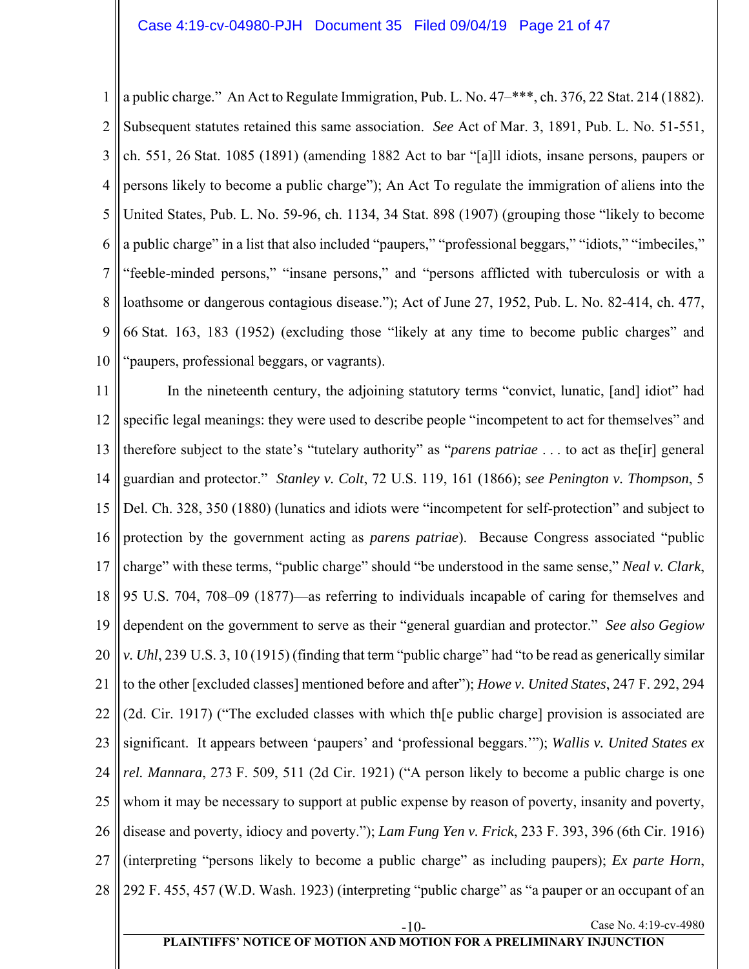1 2 3 4 5 6 7 8 9 10 a public charge." An Act to Regulate Immigration, Pub. L. No. 47–\*\*\*, ch. 376, 22 Stat. 214 (1882). Subsequent statutes retained this same association. *See* Act of Mar. 3, 1891, Pub. L. No. 51-551, ch. 551, 26 Stat. 1085 (1891) (amending 1882 Act to bar "[a]ll idiots, insane persons, paupers or persons likely to become a public charge"); An Act To regulate the immigration of aliens into the United States, Pub. L. No. 59-96, ch. 1134, 34 Stat. 898 (1907) (grouping those "likely to become a public charge" in a list that also included "paupers," "professional beggars," "idiots," "imbeciles," "feeble-minded persons," "insane persons," and "persons afflicted with tuberculosis or with a loathsome or dangerous contagious disease."); Act of June 27, 1952, Pub. L. No. 82-414, ch. 477, 66 Stat. 163, 183 (1952) (excluding those "likely at any time to become public charges" and "paupers, professional beggars, or vagrants).

11 12 13 14 15 16 17 18 19 20 21 22 23 24 25 26 27 28 In the nineteenth century, the adjoining statutory terms "convict, lunatic, [and] idiot" had specific legal meanings: they were used to describe people "incompetent to act for themselves" and therefore subject to the state's "tutelary authority" as "*parens patriae* . . . to act as the[ir] general guardian and protector." *Stanley v. Colt*, 72 U.S. 119, 161 (1866); *see Penington v. Thompson*, 5 Del. Ch. 328, 350 (1880) (lunatics and idiots were "incompetent for self-protection" and subject to protection by the government acting as *parens patriae*). Because Congress associated "public charge" with these terms, "public charge" should "be understood in the same sense," *Neal v. Clark*, 95 U.S. 704, 708–09 (1877)—as referring to individuals incapable of caring for themselves and dependent on the government to serve as their "general guardian and protector." *See also Gegiow v. Uhl*, 239 U.S. 3, 10 (1915) (finding that term "public charge" had "to be read as generically similar to the other [excluded classes] mentioned before and after"); *Howe v. United States*, 247 F. 292, 294 (2d. Cir. 1917) ("The excluded classes with which th[e public charge] provision is associated are significant. It appears between 'paupers' and 'professional beggars.'"); *Wallis v. United States ex rel. Mannara*, 273 F. 509, 511 (2d Cir. 1921) ("A person likely to become a public charge is one whom it may be necessary to support at public expense by reason of poverty, insanity and poverty, disease and poverty, idiocy and poverty."); *Lam Fung Yen v. Frick*, 233 F. 393, 396 (6th Cir. 1916) (interpreting "persons likely to become a public charge" as including paupers); *Ex parte Horn*, 292 F. 455, 457 (W.D. Wash. 1923) (interpreting "public charge" as "a pauper or an occupant of an

-10- Case No. 4:19-cv-4980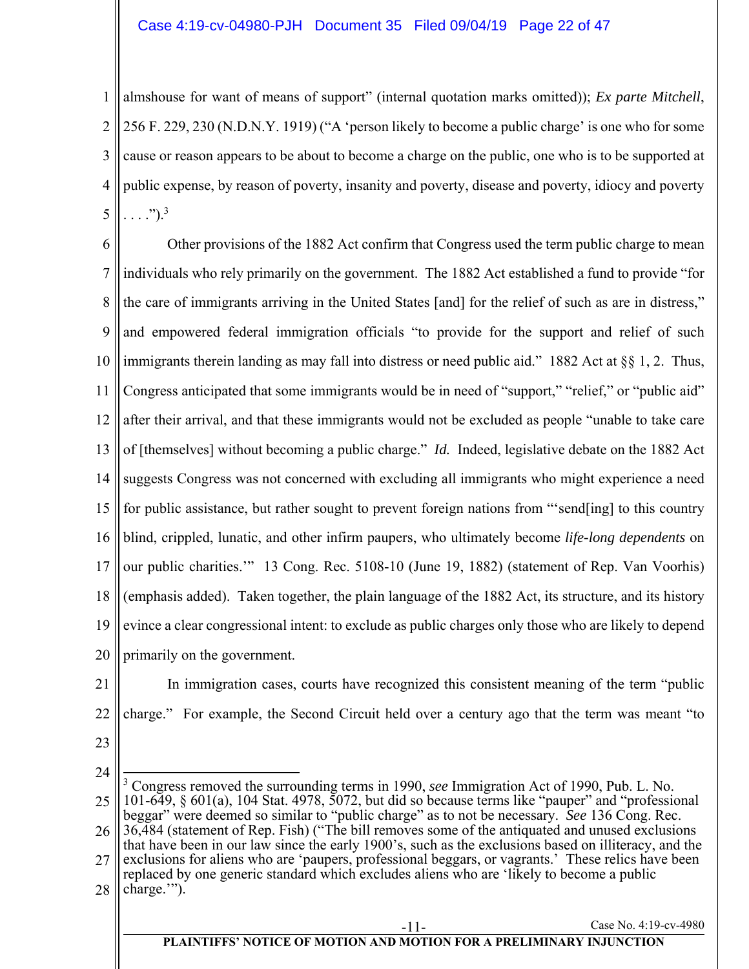1 2 3 4 5 almshouse for want of means of support" (internal quotation marks omitted)); *Ex parte Mitchell*, 256 F. 229, 230 (N.D.N.Y. 1919) ("A 'person likely to become a public charge' is one who for some cause or reason appears to be about to become a charge on the public, one who is to be supported at public expense, by reason of poverty, insanity and poverty, disease and poverty, idiocy and poverty  $\ldots$  .").<sup>3</sup>

6 7 8 9 10 11 12 13 14 15 16 17 18 19 20 Other provisions of the 1882 Act confirm that Congress used the term public charge to mean individuals who rely primarily on the government. The 1882 Act established a fund to provide "for the care of immigrants arriving in the United States [and] for the relief of such as are in distress," and empowered federal immigration officials "to provide for the support and relief of such immigrants therein landing as may fall into distress or need public aid." 1882 Act at §§ 1, 2. Thus, Congress anticipated that some immigrants would be in need of "support," "relief," or "public aid" after their arrival, and that these immigrants would not be excluded as people "unable to take care of [themselves] without becoming a public charge." *Id.* Indeed, legislative debate on the 1882 Act suggests Congress was not concerned with excluding all immigrants who might experience a need for public assistance, but rather sought to prevent foreign nations from "'send[ing] to this country blind, crippled, lunatic, and other infirm paupers, who ultimately become *life-long dependents* on our public charities.'" 13 Cong. Rec. 5108-10 (June 19, 1882) (statement of Rep. Van Voorhis) (emphasis added). Taken together, the plain language of the 1882 Act, its structure, and its history evince a clear congressional intent: to exclude as public charges only those who are likely to depend primarily on the government.

21 22

In immigration cases, courts have recognized this consistent meaning of the term "public charge." For example, the Second Circuit held over a century ago that the term was meant "to

23

<sup>24</sup> 25 26 27 28 Case No. 4:19-cv-4980  $\overline{a}$ 3 Congress removed the surrounding terms in 1990, *see* Immigration Act of 1990, Pub. L. No. 101-649, § 601(a), 104 Stat. 4978, 5072, but did so because terms like "pauper" and "professional beggar" were deemed so similar to "public charge" as to not be necessary. *See* 136 Cong. Rec. 36,484 (statement of Rep. Fish) ("The bill removes some of the antiquated and unused exclusions that have been in our law since the early 1900's, such as the exclusions based on illiteracy, and the exclusions for aliens who are 'paupers, professional beggars, or vagrants.' These relics have been replaced by one generic standard which excludes aliens who are 'likely to become a public charge."").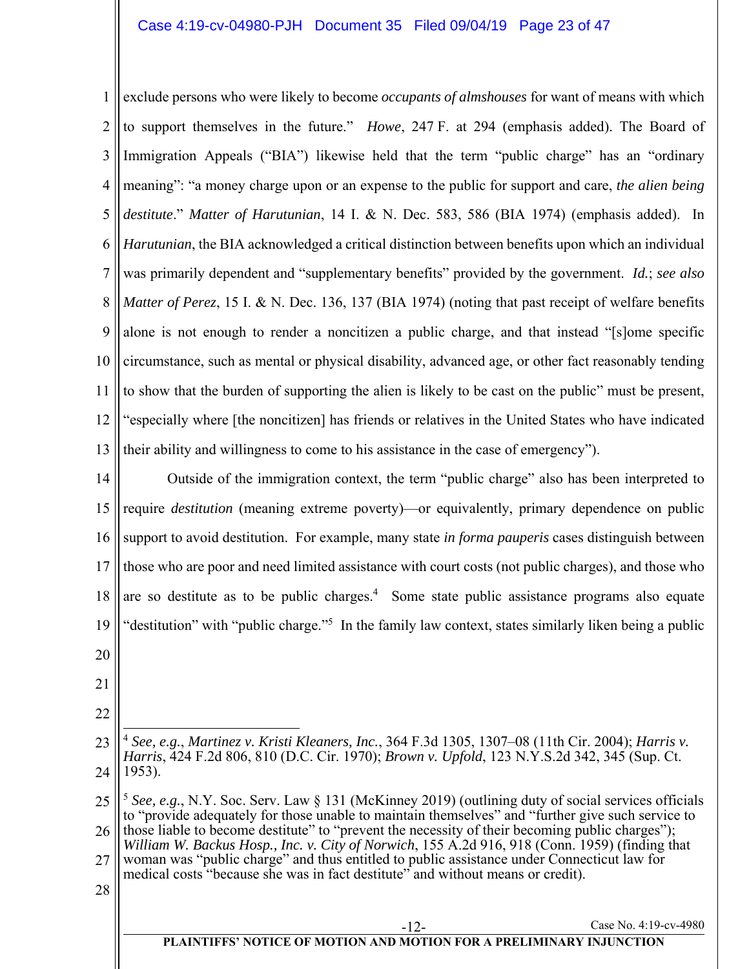## Case 4:19-cv-04980-PJH Document 35 Filed 09/04/19 Page 23 of 47

1 2 3 4 5 6 7 8 9 10 11 12 13 exclude persons who were likely to become *occupants of almshouses* for want of means with which to support themselves in the future." *Howe*, 247 F. at 294 (emphasis added). The Board of Immigration Appeals ("BIA") likewise held that the term "public charge" has an "ordinary meaning": "a money charge upon or an expense to the public for support and care, *the alien being destitute*." *Matter of Harutunian*, 14 I. & N. Dec. 583, 586 (BIA 1974) (emphasis added). In *Harutunian*, the BIA acknowledged a critical distinction between benefits upon which an individual was primarily dependent and "supplementary benefits" provided by the government. *Id.*; *see also Matter of Perez*, 15 I. & N. Dec. 136, 137 (BIA 1974) (noting that past receipt of welfare benefits alone is not enough to render a noncitizen a public charge, and that instead "[s]ome specific circumstance, such as mental or physical disability, advanced age, or other fact reasonably tending to show that the burden of supporting the alien is likely to be cast on the public" must be present, "especially where [the noncitizen] has friends or relatives in the United States who have indicated their ability and willingness to come to his assistance in the case of emergency").

14 15 16 17 18 19 Outside of the immigration context, the term "public charge" also has been interpreted to require *destitution* (meaning extreme poverty)—or equivalently, primary dependence on public support to avoid destitution. For example, many state *in forma pauperis* cases distinguish between those who are poor and need limited assistance with court costs (not public charges), and those who are so destitute as to be public charges.<sup>4</sup> Some state public assistance programs also equate "destitution" with "public charge."<sup>5</sup> In the family law context, states similarly liken being a public

- 20
- 21
- 22
- 23 24  $\overline{a}$ <sup>4</sup> *See, e.g.*, *Martinez v. Kristi Kleaners, Inc.*, 364 F.3d 1305, 1307–08 (11th Cir. 2004); *Harris v. Harris*, 424 F.2d 806, 810 (D.C. Cir. 1970); *Brown v. Upfold*, 123 N.Y.S.2d 342, 345 (Sup. Ct. 1953).

28

<sup>25</sup> 26 <sup>5</sup> *See, e.g.*, N.Y. Soc. Serv. Law § 131 (McKinney 2019) (outlining duty of social services officials to "provide adequately for those unable to maintain themselves" and "further give such service to those liable to become destitute" to "prevent the necessity of their becoming public charges"); *William W. Backus Hosp., Inc. v. City of Norwich*, 155 A.2d 916, 918 (Conn. 1959) (finding that

<sup>27</sup> woman was "public charge" and thus entitled to public assistance under Connecticut law for medical costs "because she was in fact destitute" and without means or credit).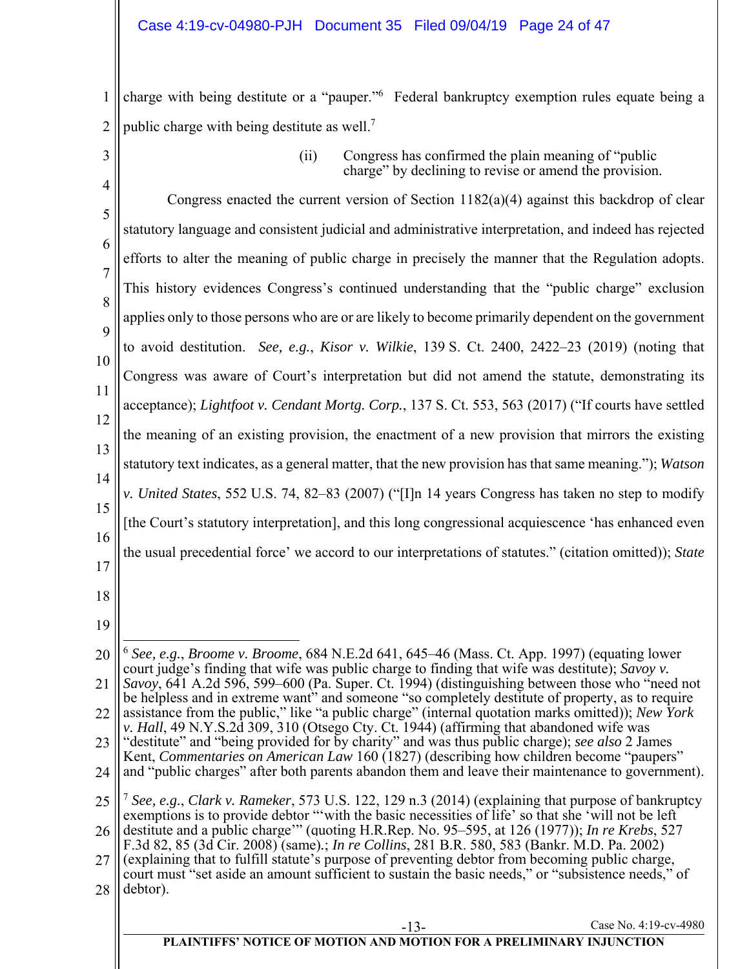1 2 charge with being destitute or a "pauper."<sup>6</sup> Federal bankruptcy exemption rules equate being a public charge with being destitute as well.<sup>7</sup>

3

(ii) Congress has confirmed the plain meaning of "public charge" by declining to revise or amend the provision.

4 5 6 7 8 9 10 11 12 13 14 15 16 17 Congress enacted the current version of Section 1182(a)(4) against this backdrop of clear statutory language and consistent judicial and administrative interpretation, and indeed has rejected efforts to alter the meaning of public charge in precisely the manner that the Regulation adopts. This history evidences Congress's continued understanding that the "public charge" exclusion applies only to those persons who are or are likely to become primarily dependent on the government to avoid destitution. *See, e.g.*, *Kisor v. Wilkie*, 139 S. Ct. 2400, 2422–23 (2019) (noting that Congress was aware of Court's interpretation but did not amend the statute, demonstrating its acceptance); *Lightfoot v. Cendant Mortg. Corp.*, 137 S. Ct. 553, 563 (2017) ("If courts have settled the meaning of an existing provision, the enactment of a new provision that mirrors the existing statutory text indicates, as a general matter, that the new provision has that same meaning."); *Watson v. United States*, 552 U.S. 74, 82–83 (2007) ("[I]n 14 years Congress has taken no step to modify [the Court's statutory interpretation], and this long congressional acquiescence 'has enhanced even the usual precedential force' we accord to our interpretations of statutes." (citation omitted)); *State* 

- 18
- 19

20 21  $\overline{a}$ <sup>6</sup> *See, e.g.*, *Broome v. Broome*, 684 N.E.2d 641, 645–46 (Mass. Ct. App. 1997) (equating lower court judge's finding that wife was public charge to finding that wife was destitute); *Savoy v. Savoy*, 641 A.2d 596, 599–600 (Pa. Super. Ct. 1994) (distinguishing between those who "need not be helpless and in extreme want" and someone "so completely destitute of property, as to require

- 22 23 assistance from the public," like "a public charge" (internal quotation marks omitted)); *New York v. Hall*, 49 N.Y.S.2d 309, 310 (Otsego Cty. Ct. 1944) (affirming that abandoned wife was "destitute" and "being provided for by charity" and was thus public charge); *see also* 2 James
- 24 Kent, *Commentaries on American Law* 160 (1827) (describing how children become "paupers" and "public charges" after both parents abandon them and leave their maintenance to government).
- 25 26 <sup>7</sup> *See, e.g.*, *Clark v. Rameker*, 573 U.S. 122, 129 n.3 (2014) (explaining that purpose of bankruptcy exemptions is to provide debtor "'with the basic necessities of life' so that she 'will not be left destitute and a public charge'" (quoting H.R.Rep. No. 95–595, at 126 (1977)); *In re Krebs*, 527
- F.3d 82, 85 (3d Cir. 2008) (same)*.*; *In re Collins*, 281 B.R. 580, 583 (Bankr. M.D. Pa. 2002)
- 27 28 (explaining that to fulfill statute's purpose of preventing debtor from becoming public charge, court must "set aside an amount sufficient to sustain the basic needs," or "subsistence needs," of debtor).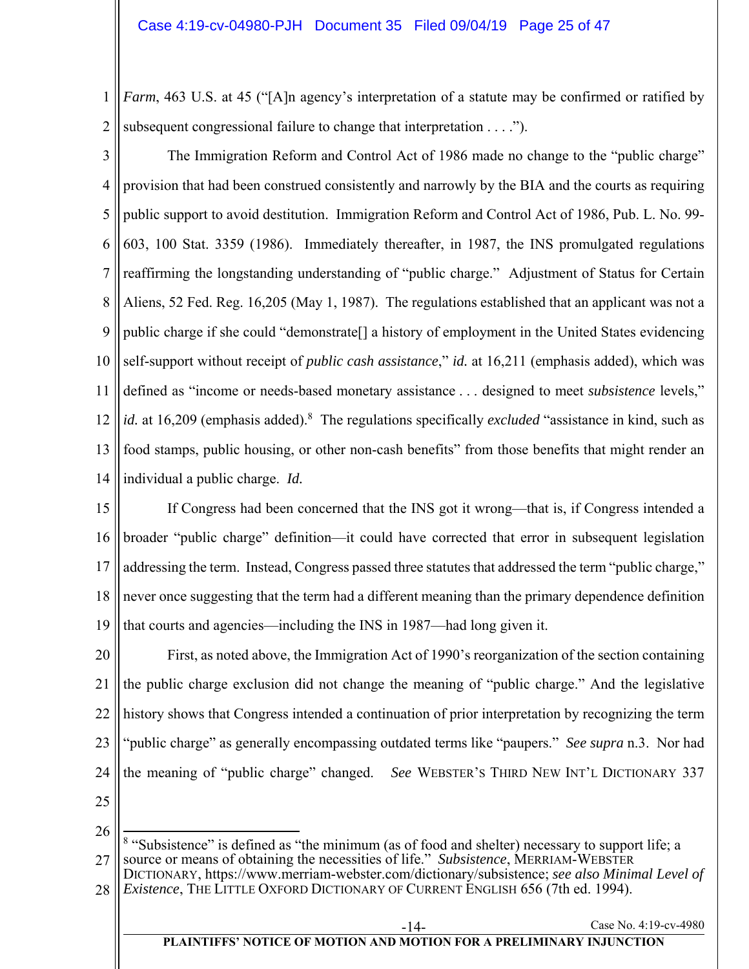1 2 *Farm*, 463 U.S. at 45 ("[A]n agency's interpretation of a statute may be confirmed or ratified by subsequent congressional failure to change that interpretation . . . .").

3 4 5 6 7 8 9 10 11 12 13 14 The Immigration Reform and Control Act of 1986 made no change to the "public charge" provision that had been construed consistently and narrowly by the BIA and the courts as requiring public support to avoid destitution. Immigration Reform and Control Act of 1986, Pub. L. No. 99- 603, 100 Stat. 3359 (1986). Immediately thereafter, in 1987, the INS promulgated regulations reaffirming the longstanding understanding of "public charge." Adjustment of Status for Certain Aliens, 52 Fed. Reg. 16,205 (May 1, 1987). The regulations established that an applicant was not a public charge if she could "demonstrate[] a history of employment in the United States evidencing self-support without receipt of *public cash assistance*," *id.* at 16,211 (emphasis added), which was defined as "income or needs-based monetary assistance . . . designed to meet *subsistence* levels," id. at 16,209 (emphasis added).<sup>8</sup> The regulations specifically *excluded* "assistance in kind, such as food stamps, public housing, or other non-cash benefits" from those benefits that might render an individual a public charge. *Id.* 

15 16 17 18 19 If Congress had been concerned that the INS got it wrong—that is, if Congress intended a broader "public charge" definition—it could have corrected that error in subsequent legislation addressing the term. Instead, Congress passed three statutes that addressed the term "public charge," never once suggesting that the term had a different meaning than the primary dependence definition that courts and agencies—including the INS in 1987—had long given it.

20 21 22 23 24 First, as noted above, the Immigration Act of 1990's reorganization of the section containing the public charge exclusion did not change the meaning of "public charge." And the legislative history shows that Congress intended a continuation of prior interpretation by recognizing the term "public charge" as generally encompassing outdated terms like "paupers." *See supra* n.3. Nor had the meaning of "public charge" changed. *See* WEBSTER'S THIRD NEW INT'L DICTIONARY 337

25

26

27  $\overline{a}$ <sup>8</sup> "Subsistence" is defined as "the minimum (as of food and shelter) necessary to support life; a source or means of obtaining the necessities of life." *Subsistence*, MERRIAM-WEBSTER

28 DICTIONARY, https://www.merriam-webster.com/dictionary/subsistence; *see also Minimal Level of Existence*, THE LITTLE OXFORD DICTIONARY OF CURRENT ENGLISH 656 (7th ed. 1994).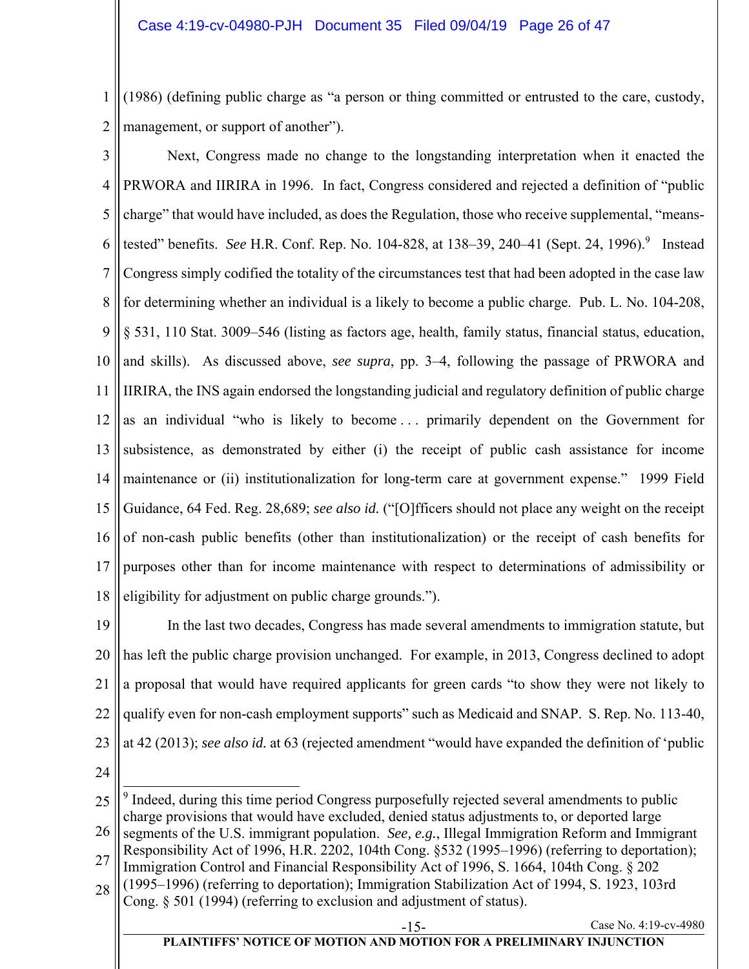1 2 (1986) (defining public charge as "a person or thing committed or entrusted to the care, custody, management, or support of another").

3 4 5 6 7 8 9 10 11 12 13 14 15 16 17 18 Next, Congress made no change to the longstanding interpretation when it enacted the PRWORA and IIRIRA in 1996. In fact, Congress considered and rejected a definition of "public charge" that would have included, as does the Regulation, those who receive supplemental, "meanstested" benefits. *See* H.R. Conf. Rep. No. 104-828, at 138–39, 240–41 (Sept. 24, 1996). 9 Instead Congress simply codified the totality of the circumstances test that had been adopted in the case law for determining whether an individual is a likely to become a public charge. Pub. L. No. 104-208, § 531, 110 Stat. 3009–546 (listing as factors age, health, family status, financial status, education, and skills). As discussed above, *see supra*, pp. 3–4, following the passage of PRWORA and IIRIRA, the INS again endorsed the longstanding judicial and regulatory definition of public charge as an individual "who is likely to become . . . primarily dependent on the Government for subsistence, as demonstrated by either (i) the receipt of public cash assistance for income maintenance or (ii) institutionalization for long-term care at government expense." 1999 Field Guidance, 64 Fed. Reg. 28,689; *see also id.* ("[O]fficers should not place any weight on the receipt of non-cash public benefits (other than institutionalization) or the receipt of cash benefits for purposes other than for income maintenance with respect to determinations of admissibility or eligibility for adjustment on public charge grounds.").

19 20 21 22 23 In the last two decades, Congress has made several amendments to immigration statute, but has left the public charge provision unchanged. For example, in 2013, Congress declined to adopt a proposal that would have required applicants for green cards "to show they were not likely to qualify even for non-cash employment supports" such as Medicaid and SNAP. S. Rep. No. 113-40, at 42 (2013); *see also id.* at 63 (rejected amendment "would have expanded the definition of 'public

24

25  $\overline{\phantom{a}}$ <sup>9</sup> Indeed, during this time period Congress purposefully rejected several amendments to public charge provisions that would have excluded, denied status adjustments to, or deported large

- 26 segments of the U.S. immigrant population. *See, e.g.*, Illegal Immigration Reform and Immigrant
- 27 Responsibility Act of 1996, H.R. 2202, 104th Cong. §532 (1995–1996) (referring to deportation); Immigration Control and Financial Responsibility Act of 1996, S. 1664, 104th Cong. § 202
- 28 (1995–1996) (referring to deportation); Immigration Stabilization Act of 1994, S. 1923, 103rd

Cong. § 501 (1994) (referring to exclusion and adjustment of status).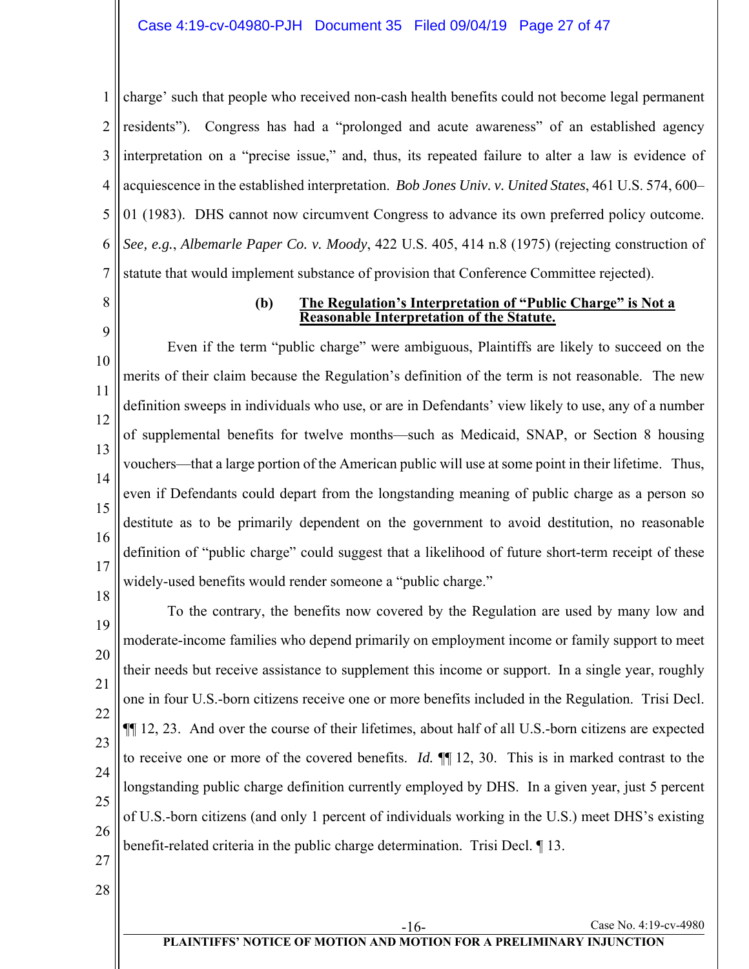1 2 3 4 5 6 7 charge' such that people who received non-cash health benefits could not become legal permanent residents"). Congress has had a "prolonged and acute awareness" of an established agency interpretation on a "precise issue," and, thus, its repeated failure to alter a law is evidence of acquiescence in the established interpretation. *Bob Jones Univ. v. United States*, 461 U.S. 574, 600– 01 (1983). DHS cannot now circumvent Congress to advance its own preferred policy outcome. *See, e.g.*, *Albemarle Paper Co. v. Moody*, 422 U.S. 405, 414 n.8 (1975) (rejecting construction of statute that would implement substance of provision that Conference Committee rejected).

8

9

#### **(b) The Regulation's Interpretation of "Public Charge" is Not a Reasonable Interpretation of the Statute.**

10 11 12 13 14 15 16 17 Even if the term "public charge" were ambiguous, Plaintiffs are likely to succeed on the merits of their claim because the Regulation's definition of the term is not reasonable. The new definition sweeps in individuals who use, or are in Defendants' view likely to use, any of a number of supplemental benefits for twelve months—such as Medicaid, SNAP, or Section 8 housing vouchers—that a large portion of the American public will use at some point in their lifetime. Thus, even if Defendants could depart from the longstanding meaning of public charge as a person so destitute as to be primarily dependent on the government to avoid destitution, no reasonable definition of "public charge" could suggest that a likelihood of future short-term receipt of these widely-used benefits would render someone a "public charge."

19 20 21 22 23 24 25 26 To the contrary, the benefits now covered by the Regulation are used by many low and moderate-income families who depend primarily on employment income or family support to meet their needs but receive assistance to supplement this income or support. In a single year, roughly one in four U.S.-born citizens receive one or more benefits included in the Regulation. Trisi Decl. ¶¶ 12, 23. And over the course of their lifetimes, about half of all U.S.-born citizens are expected to receive one or more of the covered benefits. *Id.* ¶¶ 12, 30. This is in marked contrast to the longstanding public charge definition currently employed by DHS. In a given year, just 5 percent of U.S.-born citizens (and only 1 percent of individuals working in the U.S.) meet DHS's existing benefit-related criteria in the public charge determination. Trisi Decl. ¶ 13.

27

18

28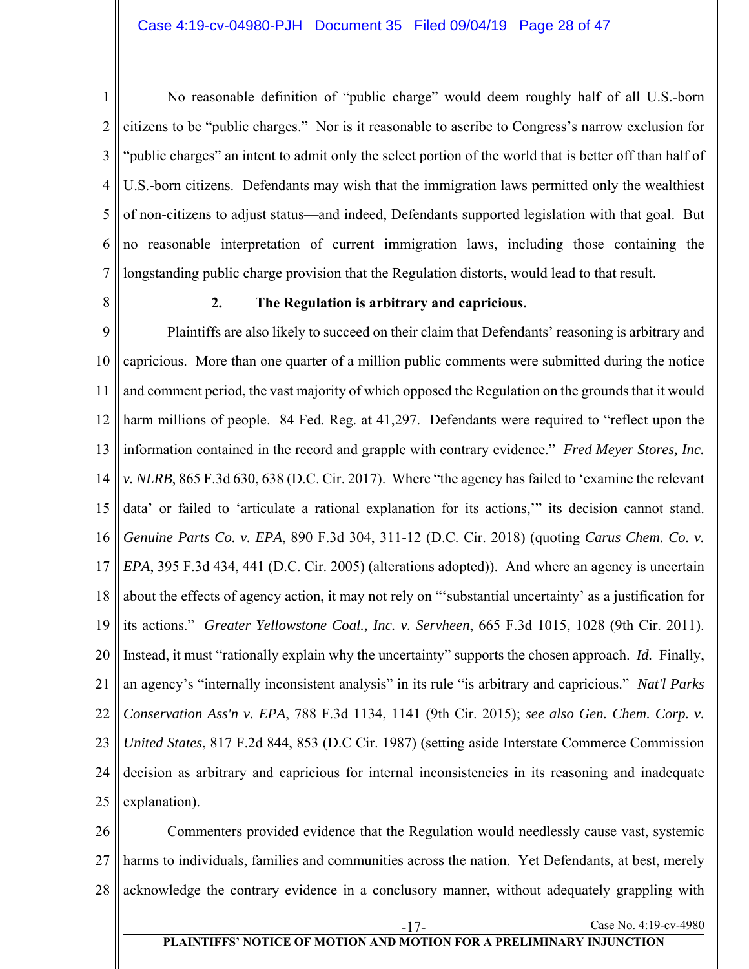1 2 3 4 5 6 7 No reasonable definition of "public charge" would deem roughly half of all U.S.-born citizens to be "public charges." Nor is it reasonable to ascribe to Congress's narrow exclusion for "public charges" an intent to admit only the select portion of the world that is better off than half of U.S.-born citizens. Defendants may wish that the immigration laws permitted only the wealthiest of non-citizens to adjust status—and indeed, Defendants supported legislation with that goal. But no reasonable interpretation of current immigration laws, including those containing the longstanding public charge provision that the Regulation distorts, would lead to that result.

8

## **2. The Regulation is arbitrary and capricious.**

9 10 11 12 13 14 15 16 17 18 19 20 21 22 23 24 25 Plaintiffs are also likely to succeed on their claim that Defendants' reasoning is arbitrary and capricious. More than one quarter of a million public comments were submitted during the notice and comment period, the vast majority of which opposed the Regulation on the grounds that it would harm millions of people. 84 Fed. Reg. at 41,297. Defendants were required to "reflect upon the information contained in the record and grapple with contrary evidence." *Fred Meyer Stores, Inc. v. NLRB*, 865 F.3d 630, 638 (D.C. Cir. 2017). Where "the agency has failed to 'examine the relevant data' or failed to 'articulate a rational explanation for its actions,'" its decision cannot stand. *Genuine Parts Co. v. EPA*, 890 F.3d 304, 311-12 (D.C. Cir. 2018) (quoting *Carus Chem. Co. v. EPA*, 395 F.3d 434, 441 (D.C. Cir. 2005) (alterations adopted)). And where an agency is uncertain about the effects of agency action, it may not rely on "'substantial uncertainty' as a justification for its actions." *Greater Yellowstone Coal., Inc. v. Servheen*, 665 F.3d 1015, 1028 (9th Cir. 2011). Instead, it must "rationally explain why the uncertainty" supports the chosen approach. *Id.* Finally, an agency's "internally inconsistent analysis" in its rule "is arbitrary and capricious." *Nat'l Parks Conservation Ass'n v. EPA*, 788 F.3d 1134, 1141 (9th Cir. 2015); *see also Gen. Chem. Corp. v. United States*, 817 F.2d 844, 853 (D.C Cir. 1987) (setting aside Interstate Commerce Commission decision as arbitrary and capricious for internal inconsistencies in its reasoning and inadequate explanation).

26 27 28 Commenters provided evidence that the Regulation would needlessly cause vast, systemic harms to individuals, families and communities across the nation. Yet Defendants, at best, merely acknowledge the contrary evidence in a conclusory manner, without adequately grappling with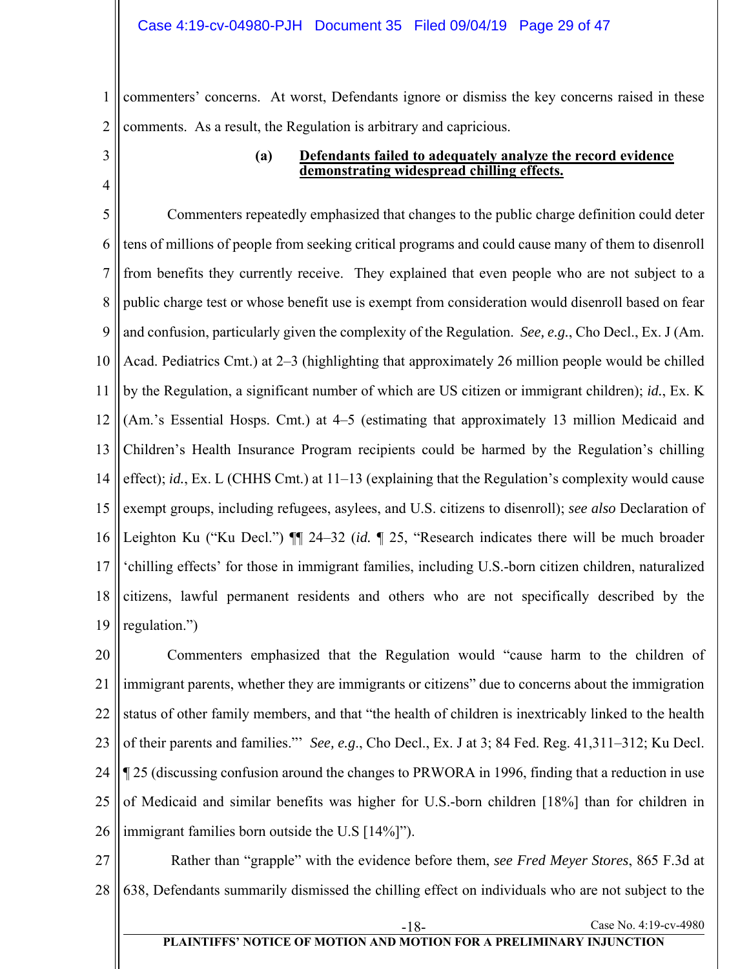1 2 commenters' concerns. At worst, Defendants ignore or dismiss the key concerns raised in these comments. As a result, the Regulation is arbitrary and capricious.

3 4

## **(a) Defendants failed to adequately analyze the record evidence demonstrating widespread chilling effects.**

5 6 7 8 9 10 11 12 13 14 15 16 17 18 19 Commenters repeatedly emphasized that changes to the public charge definition could deter tens of millions of people from seeking critical programs and could cause many of them to disenroll from benefits they currently receive. They explained that even people who are not subject to a public charge test or whose benefit use is exempt from consideration would disenroll based on fear and confusion, particularly given the complexity of the Regulation. *See, e.g.*, Cho Decl., Ex. J (Am. Acad. Pediatrics Cmt.) at 2–3 (highlighting that approximately 26 million people would be chilled by the Regulation, a significant number of which are US citizen or immigrant children); *id.*, Ex. K (Am.'s Essential Hosps. Cmt.) at 4–5 (estimating that approximately 13 million Medicaid and Children's Health Insurance Program recipients could be harmed by the Regulation's chilling effect); *id.*, Ex. L (CHHS Cmt.) at 11–13 (explaining that the Regulation's complexity would cause exempt groups, including refugees, asylees, and U.S. citizens to disenroll); *see also* Declaration of Leighton Ku ("Ku Decl.") ¶¶ 24–32 (*id.* ¶ 25, "Research indicates there will be much broader 'chilling effects' for those in immigrant families, including U.S.-born citizen children, naturalized citizens, lawful permanent residents and others who are not specifically described by the regulation.")

20 21 22 23 24 25 26 Commenters emphasized that the Regulation would "cause harm to the children of immigrant parents, whether they are immigrants or citizens" due to concerns about the immigration status of other family members, and that "the health of children is inextricably linked to the health of their parents and families."' *See, e.g*., Cho Decl., Ex. J at 3; 84 Fed. Reg. 41,311–312; Ku Decl. ¶ 25 (discussing confusion around the changes to PRWORA in 1996, finding that a reduction in use of Medicaid and similar benefits was higher for U.S.-born children [18%] than for children in immigrant families born outside the U.S [14%]").

27 28 Rather than "grapple" with the evidence before them, *see Fred Meyer Stores*, 865 F.3d at 638, Defendants summarily dismissed the chilling effect on individuals who are not subject to the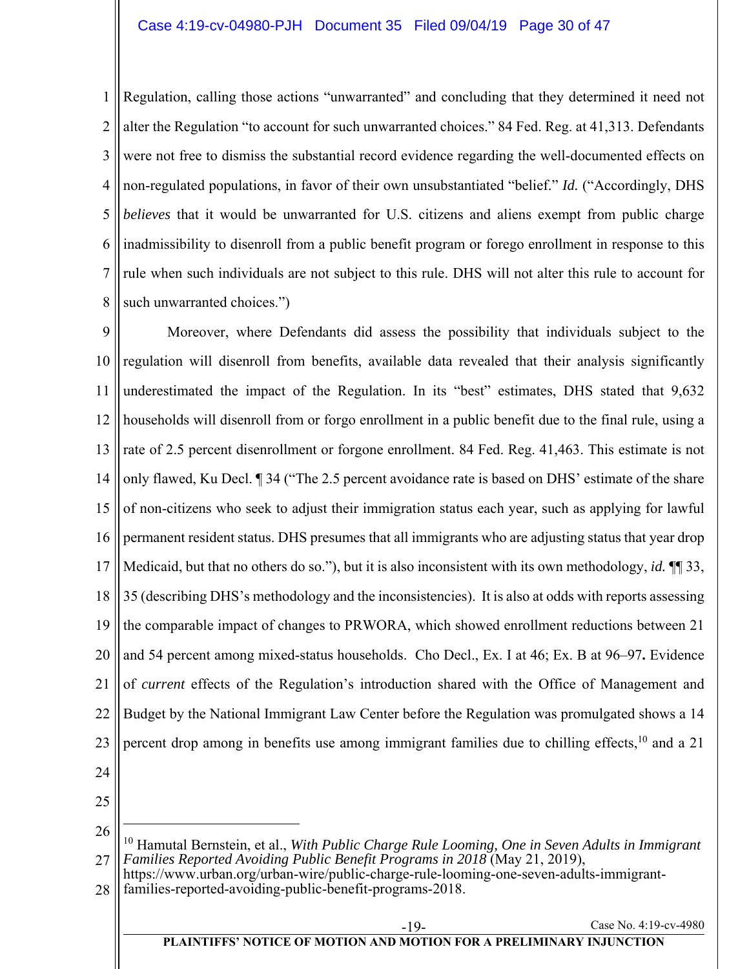1 2 3 4 5 6 7 8 Regulation, calling those actions "unwarranted" and concluding that they determined it need not alter the Regulation "to account for such unwarranted choices." 84 Fed. Reg. at 41,313. Defendants were not free to dismiss the substantial record evidence regarding the well-documented effects on non-regulated populations, in favor of their own unsubstantiated "belief." *Id.* ("Accordingly, DHS *believes* that it would be unwarranted for U.S. citizens and aliens exempt from public charge inadmissibility to disenroll from a public benefit program or forego enrollment in response to this rule when such individuals are not subject to this rule. DHS will not alter this rule to account for such unwarranted choices.")

9 10 11 12 13 14 15 16 17 18 19 20 21 22 23 24 Moreover, where Defendants did assess the possibility that individuals subject to the regulation will disenroll from benefits, available data revealed that their analysis significantly underestimated the impact of the Regulation. In its "best" estimates, DHS stated that 9,632 households will disenroll from or forgo enrollment in a public benefit due to the final rule, using a rate of 2.5 percent disenrollment or forgone enrollment. 84 Fed. Reg. 41,463. This estimate is not only flawed, Ku Decl. ¶ 34 ("The 2.5 percent avoidance rate is based on DHS' estimate of the share of non-citizens who seek to adjust their immigration status each year, such as applying for lawful permanent resident status. DHS presumes that all immigrants who are adjusting status that year drop Medicaid, but that no others do so."), but it is also inconsistent with its own methodology, *id.* ¶¶ 33, 35 (describing DHS's methodology and the inconsistencies). It is also at odds with reports assessing the comparable impact of changes to PRWORA, which showed enrollment reductions between 21 and 54 percent among mixed-status households. Cho Decl., Ex. I at 46; Ex. B at 96–97**.** Evidence of *current* effects of the Regulation's introduction shared with the Office of Management and Budget by the National Immigrant Law Center before the Regulation was promulgated shows a 14 percent drop among in benefits use among immigrant families due to chilling effects,<sup>10</sup> and a 21

25

26

 $\overline{a}$ 

<sup>27</sup> 10 Hamutal Bernstein, et al., *With Public Charge Rule Looming, One in Seven Adults in Immigrant Families Reported Avoiding Public Benefit Programs in 2018* (May 21, 2019),

<sup>28</sup> https://www.urban.org/urban-wire/public-charge-rule-looming-one-seven-adults-immigrantfamilies-reported-avoiding-public-benefit-programs-2018.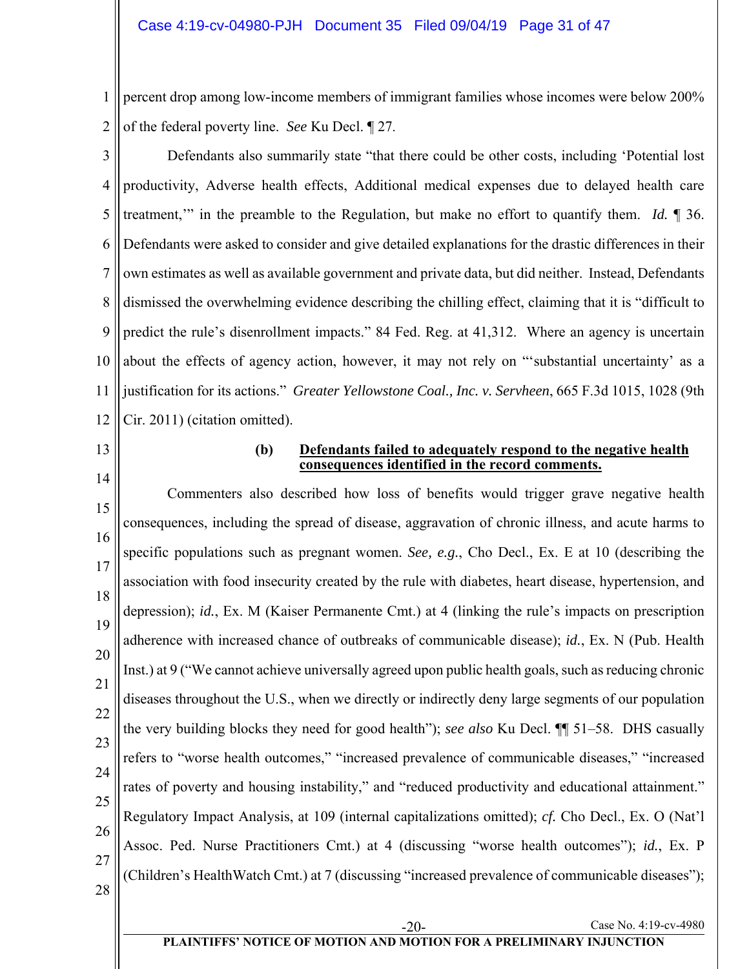1 2 percent drop among low-income members of immigrant families whose incomes were below 200% of the federal poverty line. *See* Ku Decl. ¶ 27.

3 4 5 6 7 8 9 10 11 12 Defendants also summarily state "that there could be other costs, including 'Potential lost productivity, Adverse health effects, Additional medical expenses due to delayed health care treatment,'" in the preamble to the Regulation, but make no effort to quantify them. *Id.* ¶ 36. Defendants were asked to consider and give detailed explanations for the drastic differences in their own estimates as well as available government and private data, but did neither. Instead, Defendants dismissed the overwhelming evidence describing the chilling effect, claiming that it is "difficult to predict the rule's disenrollment impacts." 84 Fed. Reg. at 41,312. Where an agency is uncertain about the effects of agency action, however, it may not rely on "'substantial uncertainty' as a justification for its actions." *Greater Yellowstone Coal., Inc. v. Servheen*, 665 F.3d 1015, 1028 (9th Cir. 2011) (citation omitted).

13

14

#### **(b) Defendants failed to adequately respond to the negative health consequences identified in the record comments.**

15 16 17 18 19 20 21 22 23 24 25 26 27 28 Commenters also described how loss of benefits would trigger grave negative health consequences, including the spread of disease, aggravation of chronic illness, and acute harms to specific populations such as pregnant women. *See, e.g.*, Cho Decl., Ex. E at 10 (describing the association with food insecurity created by the rule with diabetes, heart disease, hypertension, and depression); *id.*, Ex. M (Kaiser Permanente Cmt.) at 4 (linking the rule's impacts on prescription adherence with increased chance of outbreaks of communicable disease); *id.*, Ex. N (Pub. Health Inst.) at 9 ("We cannot achieve universally agreed upon public health goals, such as reducing chronic diseases throughout the U.S., when we directly or indirectly deny large segments of our population the very building blocks they need for good health"); *see also* Ku Decl. ¶¶ 51–58. DHS casually refers to "worse health outcomes," "increased prevalence of communicable diseases," "increased rates of poverty and housing instability," and "reduced productivity and educational attainment." Regulatory Impact Analysis, at 109 (internal capitalizations omitted); *cf.* Cho Decl., Ex. O (Nat'l Assoc. Ped. Nurse Practitioners Cmt.) at 4 (discussing "worse health outcomes"); *id.*, Ex. P (Children's HealthWatch Cmt.) at 7 (discussing "increased prevalence of communicable diseases");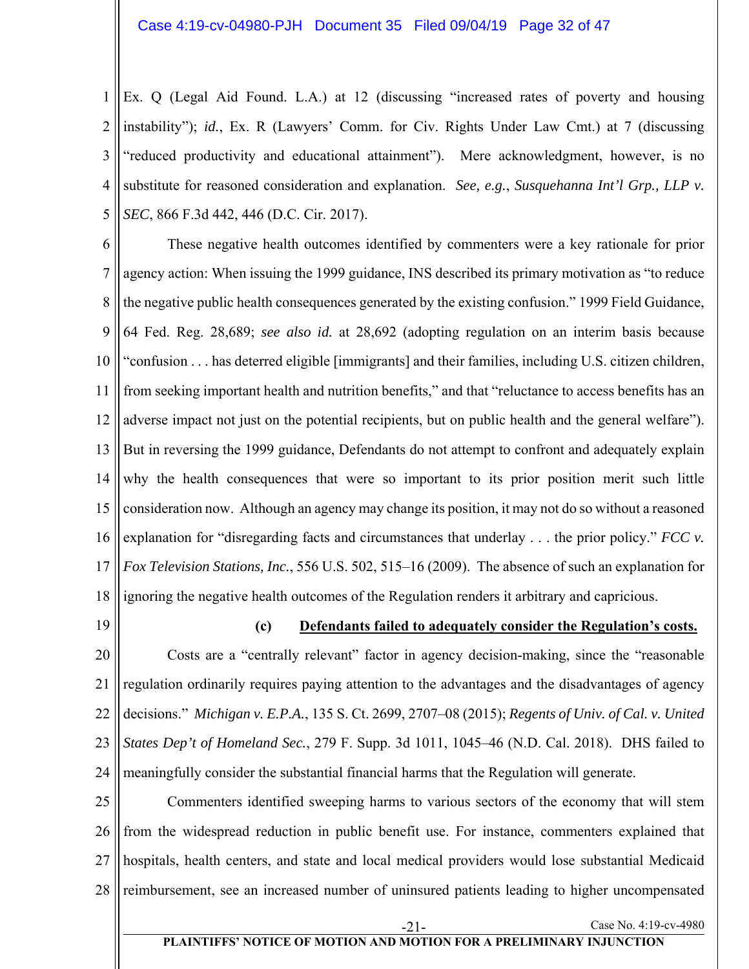1 2 3 4 5 Ex. Q (Legal Aid Found. L.A.) at 12 (discussing "increased rates of poverty and housing instability"); *id.*, Ex. R (Lawyers' Comm. for Civ. Rights Under Law Cmt.) at 7 (discussing "reduced productivity and educational attainment"). Mere acknowledgment, however, is no substitute for reasoned consideration and explanation. *See, e.g.*, *Susquehanna Int'l Grp., LLP v. SEC*, 866 F.3d 442, 446 (D.C. Cir. 2017).

6 7 8 9 10 11 12 13 14 15 16 17 18 These negative health outcomes identified by commenters were a key rationale for prior agency action: When issuing the 1999 guidance, INS described its primary motivation as "to reduce the negative public health consequences generated by the existing confusion." 1999 Field Guidance, 64 Fed. Reg. 28,689; *see also id.* at 28,692 (adopting regulation on an interim basis because "confusion . . . has deterred eligible [immigrants] and their families, including U.S. citizen children, from seeking important health and nutrition benefits," and that "reluctance to access benefits has an adverse impact not just on the potential recipients, but on public health and the general welfare"). But in reversing the 1999 guidance, Defendants do not attempt to confront and adequately explain why the health consequences that were so important to its prior position merit such little consideration now. Although an agency may change its position, it may not do so without a reasoned explanation for "disregarding facts and circumstances that underlay . . . the prior policy." *FCC v. Fox Television Stations, Inc.*, 556 U.S. 502, 515–16 (2009). The absence of such an explanation for ignoring the negative health outcomes of the Regulation renders it arbitrary and capricious.

19

#### **(c) Defendants failed to adequately consider the Regulation's costs.**

Case No. 4:19-cv-4980

20 21 22 23 24 Costs are a "centrally relevant" factor in agency decision-making, since the "reasonable regulation ordinarily requires paying attention to the advantages and the disadvantages of agency decisions." *Michigan v. E.P.A.*, 135 S. Ct. 2699, 2707–08 (2015); *Regents of Univ. of Cal. v. United States Dep't of Homeland Sec.*, 279 F. Supp. 3d 1011, 1045–46 (N.D. Cal. 2018). DHS failed to meaningfully consider the substantial financial harms that the Regulation will generate.

25 26 27 28 Commenters identified sweeping harms to various sectors of the economy that will stem from the widespread reduction in public benefit use. For instance, commenters explained that hospitals, health centers, and state and local medical providers would lose substantial Medicaid reimbursement, see an increased number of uninsured patients leading to higher uncompensated

#### **PLAINTIFFS' NOTICE OF MOTION AND MOTION FOR A PRELIMINARY INJUNCTION**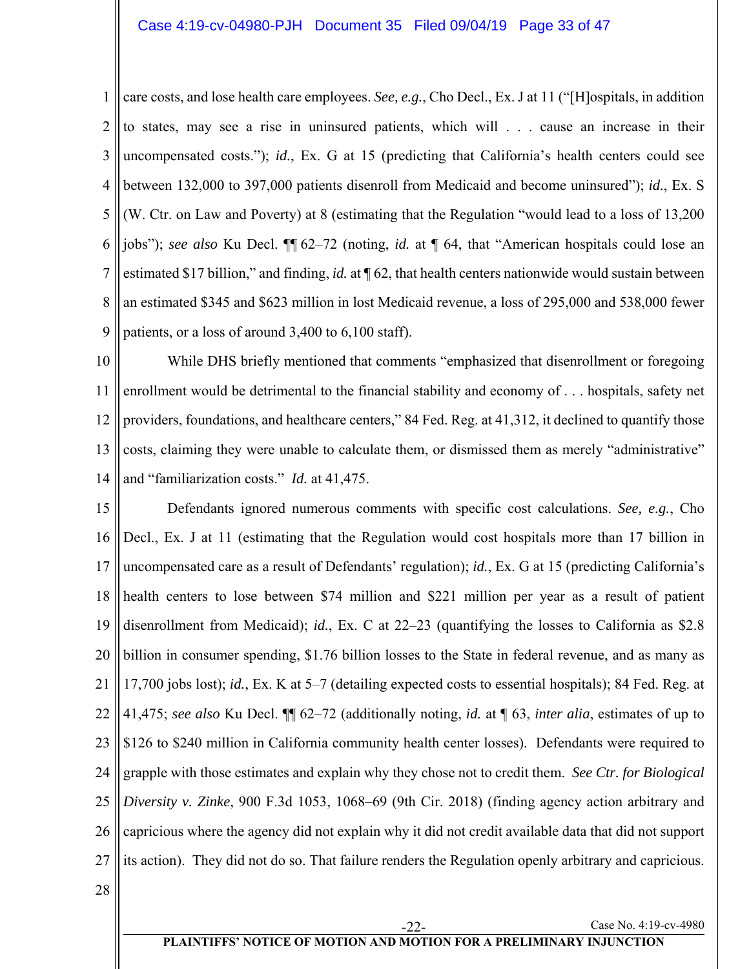1 2 3 4 5 6 7 8 9 care costs, and lose health care employees. *See, e.g.*, Cho Decl., Ex. J at 11 ("[H]ospitals, in addition to states, may see a rise in uninsured patients, which will . . . cause an increase in their uncompensated costs."); *id.*, Ex. G at 15 (predicting that California's health centers could see between 132,000 to 397,000 patients disenroll from Medicaid and become uninsured"); *id.*, Ex. S (W. Ctr. on Law and Poverty) at 8 (estimating that the Regulation "would lead to a loss of 13,200 jobs"); *see also* Ku Decl. ¶¶ 62–72 (noting, *id.* at ¶ 64, that "American hospitals could lose an estimated \$17 billion," and finding, *id.* at ¶ 62, that health centers nationwide would sustain between an estimated \$345 and \$623 million in lost Medicaid revenue, a loss of 295,000 and 538,000 fewer patients, or a loss of around 3,400 to 6,100 staff).

10 11 12 13 14 While DHS briefly mentioned that comments "emphasized that disenrollment or foregoing enrollment would be detrimental to the financial stability and economy of . . . hospitals, safety net providers, foundations, and healthcare centers," 84 Fed. Reg. at 41,312, it declined to quantify those costs, claiming they were unable to calculate them, or dismissed them as merely "administrative" and "familiarization costs." *Id.* at 41,475.

15 16 17 18 19 20 21 22 23 24 25 26 27 Defendants ignored numerous comments with specific cost calculations. *See, e.g.*, Cho Decl., Ex. J at 11 (estimating that the Regulation would cost hospitals more than 17 billion in uncompensated care as a result of Defendants' regulation); *id.*, Ex. G at 15 (predicting California's health centers to lose between \$74 million and \$221 million per year as a result of patient disenrollment from Medicaid); *id.*, Ex. C at 22–23 (quantifying the losses to California as \$2.8 billion in consumer spending, \$1.76 billion losses to the State in federal revenue, and as many as 17,700 jobs lost); *id.*, Ex. K at 5–7 (detailing expected costs to essential hospitals); 84 Fed. Reg. at 41,475; *see also* Ku Decl. ¶¶ 62–72 (additionally noting, *id.* at ¶ 63, *inter alia*, estimates of up to \$126 to \$240 million in California community health center losses). Defendants were required to grapple with those estimates and explain why they chose not to credit them. *See Ctr. for Biological Diversity v. Zinke*, 900 F.3d 1053, 1068–69 (9th Cir. 2018) (finding agency action arbitrary and capricious where the agency did not explain why it did not credit available data that did not support its action). They did not do so. That failure renders the Regulation openly arbitrary and capricious.

28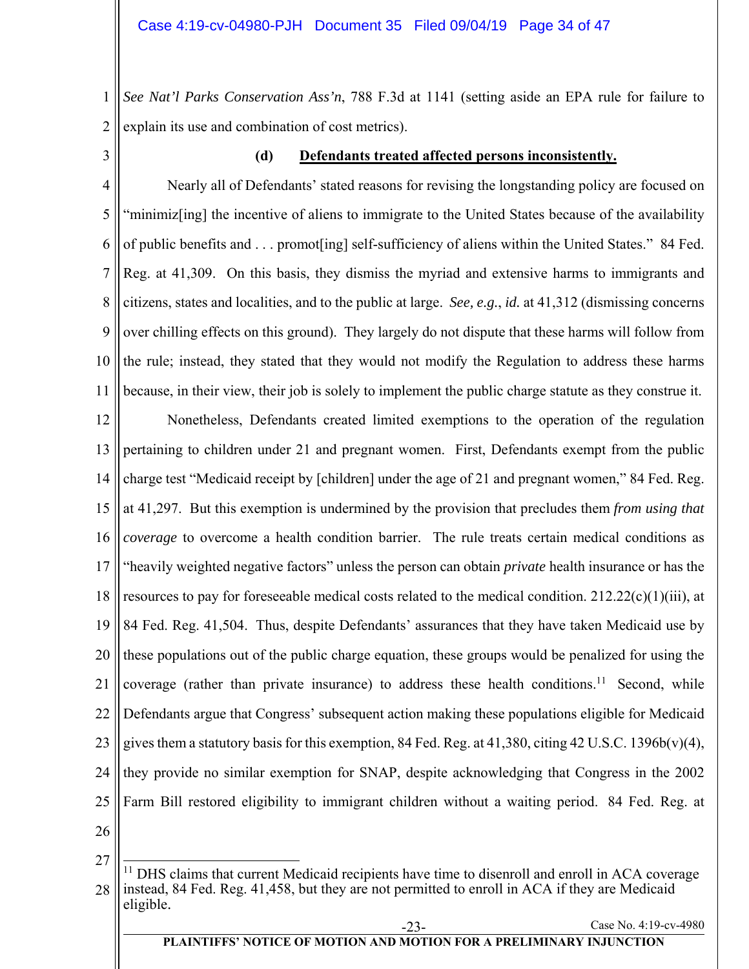1 2 *See Nat'l Parks Conservation Ass'n*, 788 F.3d at 1141 (setting aside an EPA rule for failure to explain its use and combination of cost metrics).

3

## **(d) Defendants treated affected persons inconsistently.**

4 5 6 7 8 9 10 11 Nearly all of Defendants' stated reasons for revising the longstanding policy are focused on "minimiz[ing] the incentive of aliens to immigrate to the United States because of the availability of public benefits and . . . promot[ing] self-sufficiency of aliens within the United States." 84 Fed. Reg. at 41,309. On this basis, they dismiss the myriad and extensive harms to immigrants and citizens, states and localities, and to the public at large. *See, e.g.*, *id.* at 41,312 (dismissing concerns over chilling effects on this ground). They largely do not dispute that these harms will follow from the rule; instead, they stated that they would not modify the Regulation to address these harms because, in their view, their job is solely to implement the public charge statute as they construe it.

12 13 14 15 16 17 18 19 20 21 22 23 24 25 Nonetheless, Defendants created limited exemptions to the operation of the regulation pertaining to children under 21 and pregnant women. First, Defendants exempt from the public charge test "Medicaid receipt by [children] under the age of 21 and pregnant women," 84 Fed. Reg. at 41,297. But this exemption is undermined by the provision that precludes them *from using that coverage* to overcome a health condition barrier. The rule treats certain medical conditions as "heavily weighted negative factors" unless the person can obtain *private* health insurance or has the resources to pay for foreseeable medical costs related to the medical condition.  $212.22(c)(1)(iii)$ , at 84 Fed. Reg. 41,504. Thus, despite Defendants' assurances that they have taken Medicaid use by these populations out of the public charge equation, these groups would be penalized for using the coverage (rather than private insurance) to address these health conditions.<sup>11</sup> Second, while Defendants argue that Congress' subsequent action making these populations eligible for Medicaid gives them a statutory basis for this exemption, 84 Fed. Reg. at 41,380, citing 42 U.S.C. 1396b(v)(4), they provide no similar exemption for SNAP, despite acknowledging that Congress in the 2002 Farm Bill restored eligibility to immigrant children without a waiting period. 84 Fed. Reg. at

26

27

<sup>28</sup>  $\overline{a}$ <sup>11</sup> DHS claims that current Medicaid recipients have time to disenroll and enroll in ACA coverage instead, 84 Fed. Reg. 41,458, but they are not permitted to enroll in ACA if they are Medicaid eligible.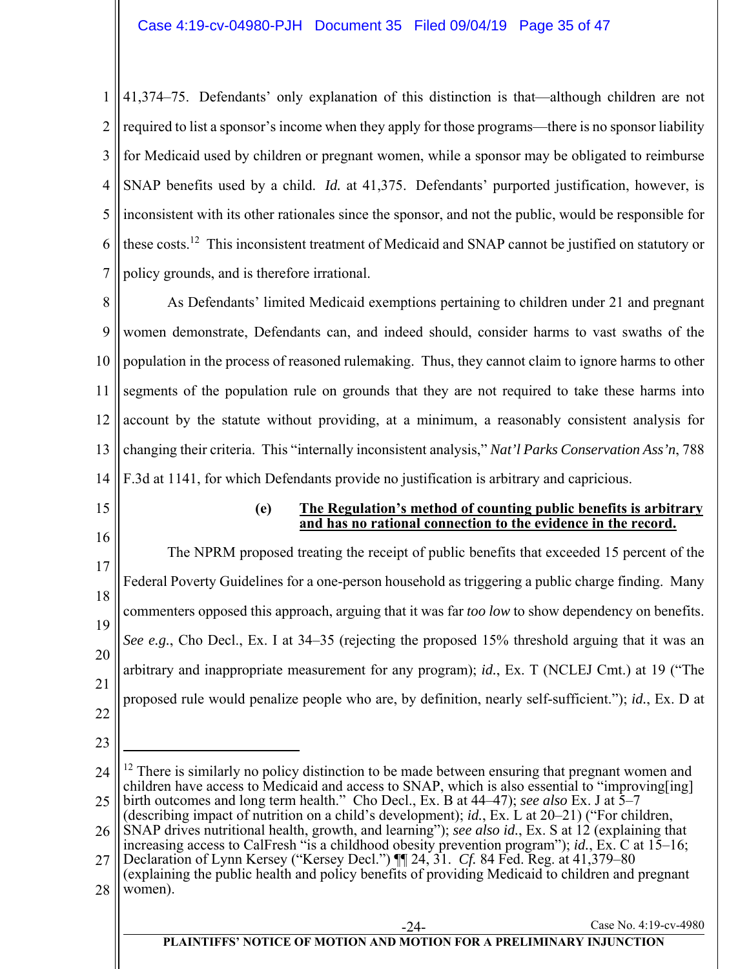1 2 3 4 5 6 7 41,374–75. Defendants' only explanation of this distinction is that—although children are not required to list a sponsor's income when they apply for those programs—there is no sponsor liability for Medicaid used by children or pregnant women, while a sponsor may be obligated to reimburse SNAP benefits used by a child. *Id.* at 41,375. Defendants' purported justification, however, is inconsistent with its other rationales since the sponsor, and not the public, would be responsible for these costs.12 This inconsistent treatment of Medicaid and SNAP cannot be justified on statutory or policy grounds, and is therefore irrational.

8 9 10 11 12 13 14 As Defendants' limited Medicaid exemptions pertaining to children under 21 and pregnant women demonstrate, Defendants can, and indeed should, consider harms to vast swaths of the population in the process of reasoned rulemaking. Thus, they cannot claim to ignore harms to other segments of the population rule on grounds that they are not required to take these harms into account by the statute without providing, at a minimum, a reasonably consistent analysis for changing their criteria. This "internally inconsistent analysis," *Nat'l Parks Conservation Ass'n*, 788 F.3d at 1141, for which Defendants provide no justification is arbitrary and capricious.

- 15
- 16

## **(e) The Regulation's method of counting public benefits is arbitrary and has no rational connection to the evidence in the record.**

17 18 19 20 21 22 The NPRM proposed treating the receipt of public benefits that exceeded 15 percent of the Federal Poverty Guidelines for a one-person household as triggering a public charge finding. Many commenters opposed this approach, arguing that it was far *too low* to show dependency on benefits. *See e.g.*, Cho Decl., Ex. I at 34–35 (rejecting the proposed 15% threshold arguing that it was an arbitrary and inappropriate measurement for any program); *id.*, Ex. T (NCLEJ Cmt.) at 19 ("The proposed rule would penalize people who are, by definition, nearly self-sufficient."); *id.*, Ex. D at

23

 $\overline{a}$ 

<sup>24</sup> 25  $12$  There is similarly no policy distinction to be made between ensuring that pregnant women and children have access to Medicaid and access to SNAP, which is also essential to "improving[ing] birth outcomes and long term health." Cho Decl., Ex. B at 44–47); *see also* Ex. J at 5–7

<sup>(</sup>describing impact of nutrition on a child's development); *id.*, Ex. L at 20–21) ("For children,

<sup>26</sup> SNAP drives nutritional health, growth, and learning"); *see also id.*, Ex. S at 12 (explaining that increasing access to CalFresh "is a childhood obesity prevention program"); *id.*, Ex. C at 15–16;

<sup>27</sup> Declaration of Lynn Kersey ("Kersey Decl.") ¶¶ 24, 31. *Cf.* 84 Fed. Reg. at 41,379–80 (explaining the public health and policy benefits of providing Medicaid to children and pregnant

<sup>28</sup> women).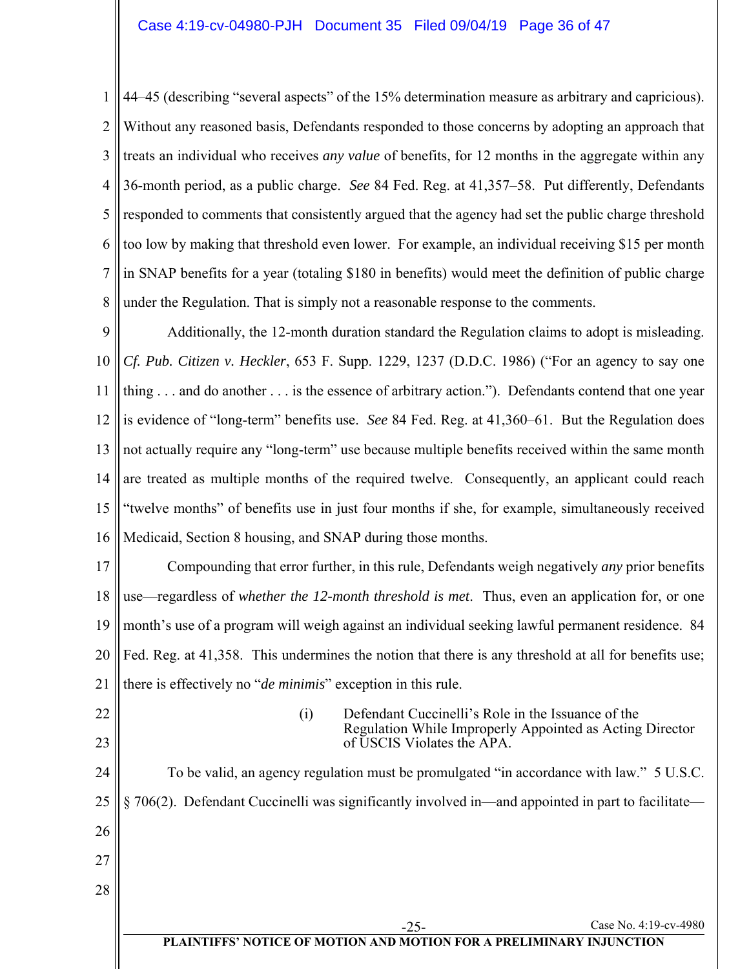1 2 3 4 5 6 7 8 44–45 (describing "several aspects" of the 15% determination measure as arbitrary and capricious). Without any reasoned basis, Defendants responded to those concerns by adopting an approach that treats an individual who receives *any value* of benefits, for 12 months in the aggregate within any 36-month period, as a public charge. *See* 84 Fed. Reg. at 41,357–58. Put differently, Defendants responded to comments that consistently argued that the agency had set the public charge threshold too low by making that threshold even lower. For example, an individual receiving \$15 per month in SNAP benefits for a year (totaling \$180 in benefits) would meet the definition of public charge under the Regulation. That is simply not a reasonable response to the comments.

9 10 11 12 13 14 15 16 Additionally, the 12-month duration standard the Regulation claims to adopt is misleading. *Cf. Pub. Citizen v. Heckler*, 653 F. Supp. 1229, 1237 (D.D.C. 1986) ("For an agency to say one thing . . . and do another . . . is the essence of arbitrary action."). Defendants contend that one year is evidence of "long-term" benefits use. *See* 84 Fed. Reg. at 41,360–61. But the Regulation does not actually require any "long-term" use because multiple benefits received within the same month are treated as multiple months of the required twelve. Consequently, an applicant could reach "twelve months" of benefits use in just four months if she, for example, simultaneously received Medicaid, Section 8 housing, and SNAP during those months.

17 18 19 20 21 Compounding that error further, in this rule, Defendants weigh negatively *any* prior benefits use—regardless of *whether the 12-month threshold is met*. Thus, even an application for, or one month's use of a program will weigh against an individual seeking lawful permanent residence. 84 Fed. Reg. at 41,358. This undermines the notion that there is any threshold at all for benefits use; there is effectively no "*de minimis*" exception in this rule.

22 23 (i) Defendant Cuccinelli's Role in the Issuance of the Regulation While Improperly Appointed as Acting Director of USCIS Violates the APA.

24 25 26 27 28 Case No. 4:19-cv-4980 To be valid, an agency regulation must be promulgated "in accordance with law." 5 U.S.C. § 706(2). Defendant Cuccinelli was significantly involved in—and appointed in part to facilitate—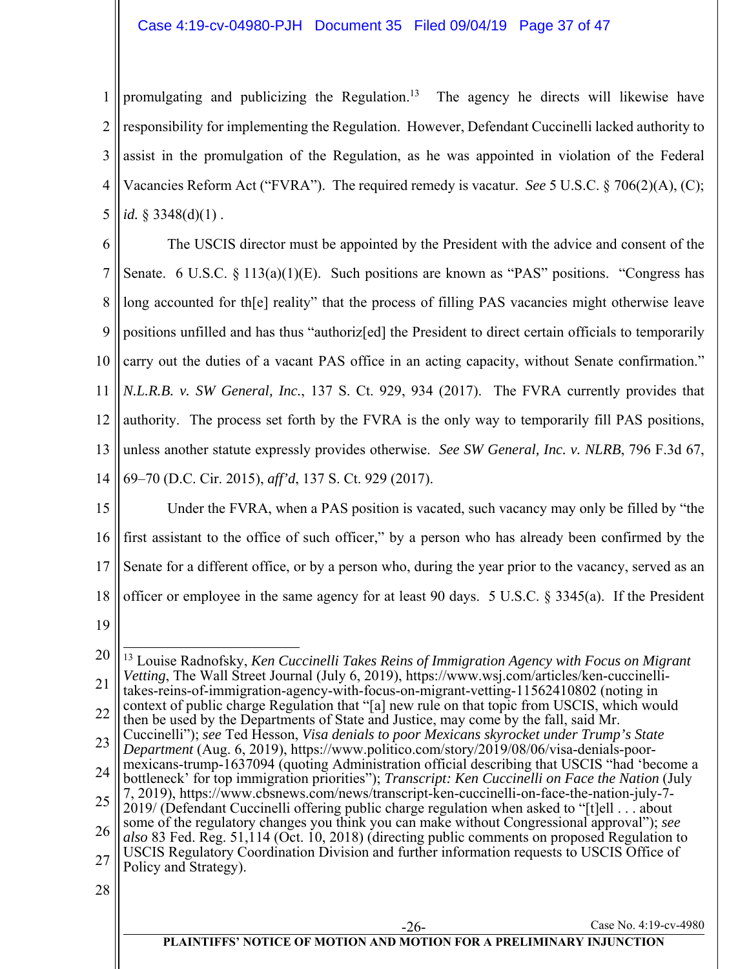1 2 3 4 5 promulgating and publicizing the Regulation.<sup>13</sup> The agency he directs will likewise have responsibility for implementing the Regulation. However, Defendant Cuccinelli lacked authority to assist in the promulgation of the Regulation, as he was appointed in violation of the Federal Vacancies Reform Act ("FVRA"). The required remedy is vacatur. *See* 5 U.S.C. § 706(2)(A), (C); *id.* § 3348(d)(1) .

6 7 8 9 10 11 12 13 14 The USCIS director must be appointed by the President with the advice and consent of the Senate. 6 U.S.C. § 113(a)(1)(E). Such positions are known as "PAS" positions. "Congress has long accounted for the reality" that the process of filling PAS vacancies might otherwise leave positions unfilled and has thus "authoriz[ed] the President to direct certain officials to temporarily carry out the duties of a vacant PAS office in an acting capacity, without Senate confirmation." *N.L.R.B. v. SW General, Inc.*, 137 S. Ct. 929, 934 (2017). The FVRA currently provides that authority. The process set forth by the FVRA is the only way to temporarily fill PAS positions, unless another statute expressly provides otherwise. *See SW General, Inc. v. NLRB*, 796 F.3d 67, 69–70 (D.C. Cir. 2015), *aff'd*, 137 S. Ct. 929 (2017).

- 15 16 17 18 Under the FVRA, when a PAS position is vacated, such vacancy may only be filled by "the first assistant to the office of such officer," by a person who has already been confirmed by the Senate for a different office, or by a person who, during the year prior to the vacancy, served as an officer or employee in the same agency for at least 90 days. 5 U.S.C. § 3345(a). If the President
- 19

<sup>20</sup> 21 22 23 24 25 26 27 28 Case No. 4:19-cv-4980 **PLAINTIFFS' NOTICE OF MOTION AND MOTION FOR A PRELIMINARY INJUNCTION**  $\overline{a}$ 13 Louise Radnofsky, *Ken Cuccinelli Takes Reins of Immigration Agency with Focus on Migrant Vetting*, The Wall Street Journal (July 6, 2019), https://www.wsj.com/articles/ken-cuccinellitakes-reins-of-immigration-agency-with-focus-on-migrant-vetting-11562410802 (noting in context of public charge Regulation that "[a] new rule on that topic from USCIS, which would then be used by the Departments of State and Justice, may come by the fall, said Mr. Cuccinelli"); *see* Ted Hesson, *Visa denials to poor Mexicans skyrocket under Trump's State Department* (Aug. 6, 2019), https://www.politico.com/story/2019/08/06/visa-denials-poormexicans-trump-1637094 (quoting Administration official describing that USCIS "had 'become a bottleneck' for top immigration priorities"); *Transcript: Ken Cuccinelli on Face the Nation* (July 7, 2019), https://www.cbsnews.com/news/transcript-ken-cuccinelli-on-face-the-nation-july-7- 2019/ (Defendant Cuccinelli offering public charge regulation when asked to "[t]ell . . . about some of the regulatory changes you think you can make without Congressional approval"); *see also* 83 Fed. Reg. 51,114 (Oct. 10, 2018) (directing public comments on proposed Regulation to USCIS Regulatory Coordination Division and further information requests to USCIS Office of Policy and Strategy).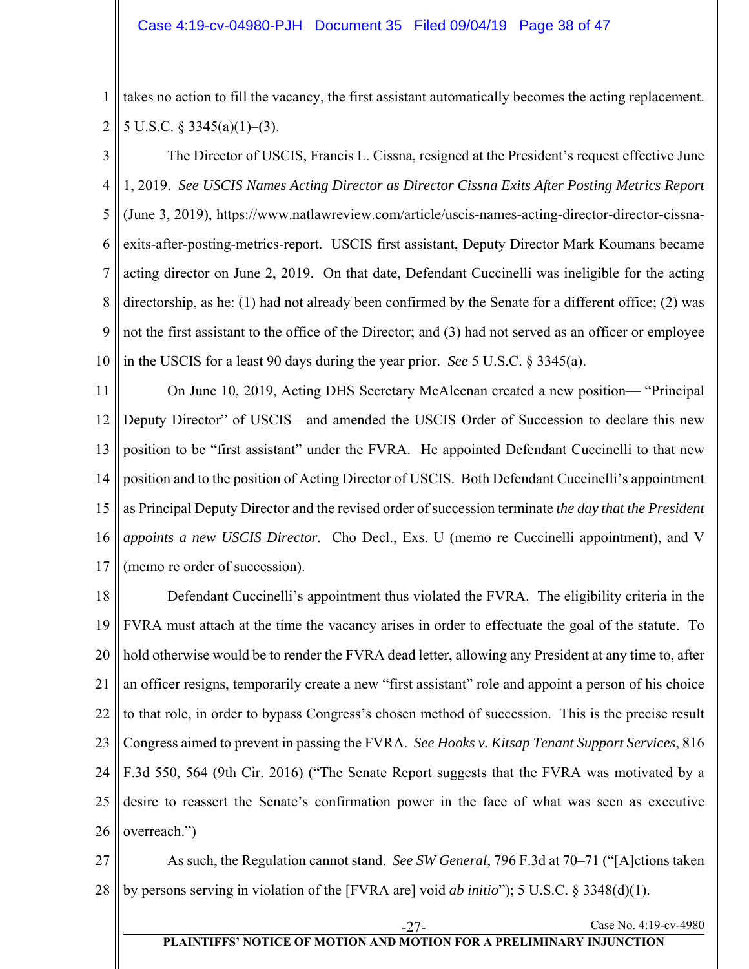1 2 takes no action to fill the vacancy, the first assistant automatically becomes the acting replacement. 5 U.S.C.  $\S$  3345(a)(1)–(3).

3 4 5 6 7 8 9 10 The Director of USCIS, Francis L. Cissna, resigned at the President's request effective June 1, 2019. *See USCIS Names Acting Director as Director Cissna Exits After Posting Metrics Report* (June 3, 2019), https://www.natlawreview.com/article/uscis-names-acting-director-director-cissnaexits-after-posting-metrics-report. USCIS first assistant, Deputy Director Mark Koumans became acting director on June 2, 2019. On that date, Defendant Cuccinelli was ineligible for the acting directorship, as he: (1) had not already been confirmed by the Senate for a different office; (2) was not the first assistant to the office of the Director; and (3) had not served as an officer or employee in the USCIS for a least 90 days during the year prior. *See* 5 U.S.C. § 3345(a).

11 12 13 14 15 16 17 On June 10, 2019, Acting DHS Secretary McAleenan created a new position— "Principal Deputy Director" of USCIS—and amended the USCIS Order of Succession to declare this new position to be "first assistant" under the FVRA. He appointed Defendant Cuccinelli to that new position and to the position of Acting Director of USCIS. Both Defendant Cuccinelli's appointment as Principal Deputy Director and the revised order of succession terminate *the day that the President appoints a new USCIS Director.* Cho Decl., Exs. U (memo re Cuccinelli appointment), and V (memo re order of succession).

18 19 20 21 22 23 24 25 26 Defendant Cuccinelli's appointment thus violated the FVRA. The eligibility criteria in the FVRA must attach at the time the vacancy arises in order to effectuate the goal of the statute. To hold otherwise would be to render the FVRA dead letter, allowing any President at any time to, after an officer resigns, temporarily create a new "first assistant" role and appoint a person of his choice to that role, in order to bypass Congress's chosen method of succession. This is the precise result Congress aimed to prevent in passing the FVRA. *See Hooks v. Kitsap Tenant Support Services*, 816 F.3d 550, 564 (9th Cir. 2016) ("The Senate Report suggests that the FVRA was motivated by a desire to reassert the Senate's confirmation power in the face of what was seen as executive overreach.")

27 28 As such, the Regulation cannot stand. *See SW General*, 796 F.3d at 70–71 ("[A]ctions taken by persons serving in violation of the [FVRA are] void *ab initio*"); 5 U.S.C. § 3348(d)(1).

# **PLAINTIFFS' NOTICE OF MOTION AND MOTION FOR A PRELIMINARY INJUNCTION**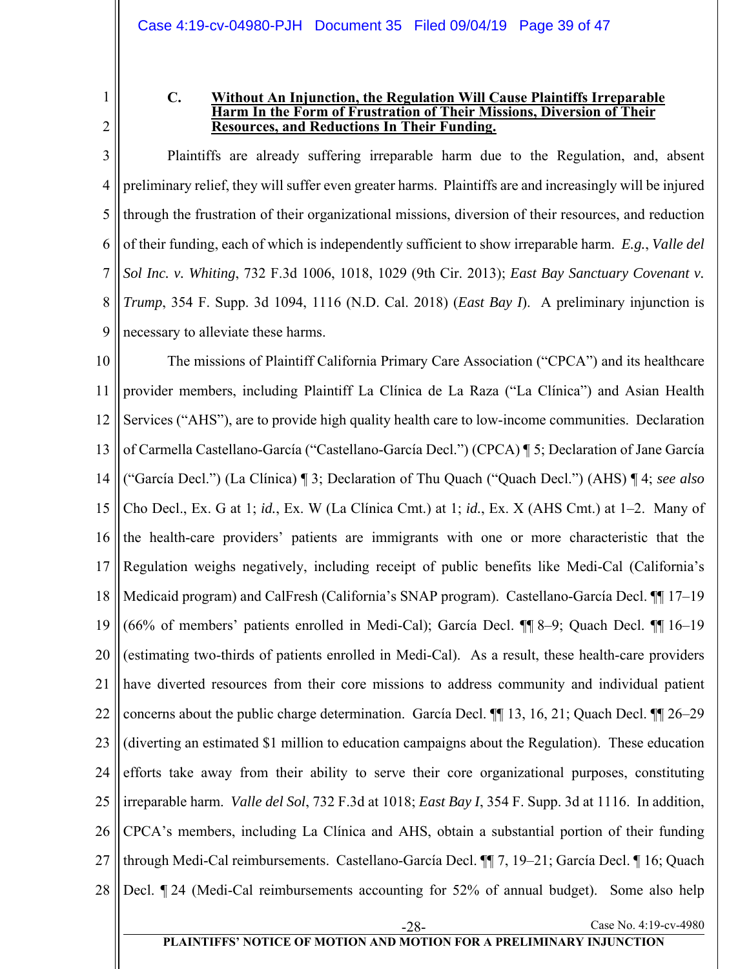1 2

#### **C. Without An Injunction, the Regulation Will Cause Plaintiffs Irreparable Harm In the Form of Frustration of Their Missions, Diversion of Their Resources, and Reductions In Their Funding.**

3 4 5 6 7 8 9 Plaintiffs are already suffering irreparable harm due to the Regulation, and, absent preliminary relief, they will suffer even greater harms. Plaintiffs are and increasingly will be injured through the frustration of their organizational missions, diversion of their resources, and reduction of their funding, each of which is independently sufficient to show irreparable harm. *E.g.*, *Valle del Sol Inc. v. Whiting*, 732 F.3d 1006, 1018, 1029 (9th Cir. 2013); *East Bay Sanctuary Covenant v. Trump*, 354 F. Supp. 3d 1094, 1116 (N.D. Cal. 2018) (*East Bay I*). A preliminary injunction is necessary to alleviate these harms.

10 11 12 13 14 15 16 17 18 19 20 21 22 23 24 25 26 27 28 Case No. 4:19-cv-4980 The missions of Plaintiff California Primary Care Association ("CPCA") and its healthcare provider members, including Plaintiff La Clínica de La Raza ("La Clínica") and Asian Health Services ("AHS"), are to provide high quality health care to low-income communities. Declaration of Carmella Castellano-García ("Castellano-García Decl.") (CPCA) ¶ 5; Declaration of Jane García ("García Decl.") (La Clínica) ¶ 3; Declaration of Thu Quach ("Quach Decl.") (AHS) ¶ 4; *see also* Cho Decl., Ex. G at 1; *id.*, Ex. W (La Clínica Cmt.) at 1; *id.*, Ex. X (AHS Cmt.) at 1–2. Many of the health-care providers' patients are immigrants with one or more characteristic that the Regulation weighs negatively, including receipt of public benefits like Medi-Cal (California's Medicaid program) and CalFresh (California's SNAP program). Castellano-García Decl. ¶¶ 17–19 (66% of members' patients enrolled in Medi-Cal); García Decl. ¶¶ 8–9; Quach Decl. ¶¶ 16–19 (estimating two-thirds of patients enrolled in Medi-Cal). As a result, these health-care providers have diverted resources from their core missions to address community and individual patient concerns about the public charge determination. García Decl. ¶¶ 13, 16, 21; Quach Decl. ¶¶ 26–29 (diverting an estimated \$1 million to education campaigns about the Regulation). These education efforts take away from their ability to serve their core organizational purposes, constituting irreparable harm. *Valle del Sol*, 732 F.3d at 1018; *East Bay I*, 354 F. Supp. 3d at 1116. In addition, CPCA's members, including La Clínica and AHS, obtain a substantial portion of their funding through Medi-Cal reimbursements. Castellano-García Decl. ¶¶ 7, 19–21; García Decl. ¶ 16; Quach Decl. ¶ 24 (Medi-Cal reimbursements accounting for 52% of annual budget). Some also help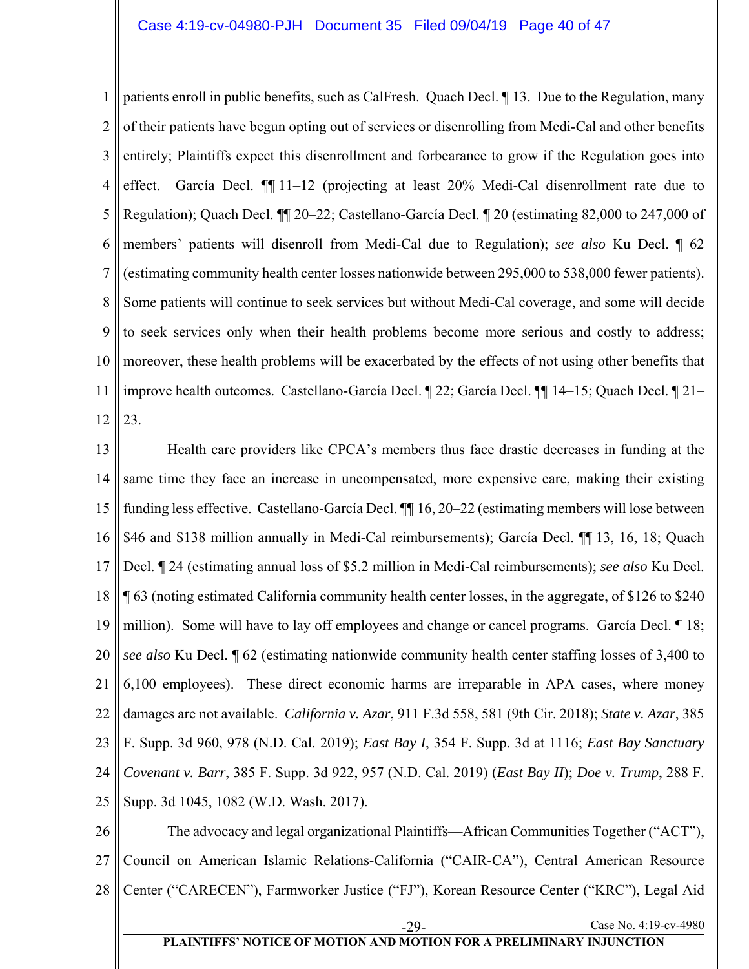1 2 3 4 5 6 7 8 9 10 11 12 patients enroll in public benefits, such as CalFresh. Quach Decl. ¶ 13. Due to the Regulation, many of their patients have begun opting out of services or disenrolling from Medi-Cal and other benefits entirely; Plaintiffs expect this disenrollment and forbearance to grow if the Regulation goes into effect. García Decl. ¶¶ 11–12 (projecting at least 20% Medi-Cal disenrollment rate due to Regulation); Quach Decl. ¶¶ 20–22; Castellano-García Decl. ¶ 20 (estimating 82,000 to 247,000 of members' patients will disenroll from Medi-Cal due to Regulation); *see also* Ku Decl. ¶ 62 (estimating community health center losses nationwide between 295,000 to 538,000 fewer patients). Some patients will continue to seek services but without Medi-Cal coverage, and some will decide to seek services only when their health problems become more serious and costly to address; moreover, these health problems will be exacerbated by the effects of not using other benefits that improve health outcomes. Castellano-García Decl. ¶ 22; García Decl. ¶¶ 14–15; Quach Decl. ¶ 21– 23.

13 14 15 16 17 18 19 20 21 22 23 24 25 Health care providers like CPCA's members thus face drastic decreases in funding at the same time they face an increase in uncompensated, more expensive care, making their existing funding less effective. Castellano-García Decl. ¶¶ 16, 20–22 (estimating members will lose between \$46 and \$138 million annually in Medi-Cal reimbursements); García Decl. ¶¶ 13, 16, 18; Quach Decl. ¶ 24 (estimating annual loss of \$5.2 million in Medi-Cal reimbursements); *see also* Ku Decl. ¶ 63 (noting estimated California community health center losses, in the aggregate, of \$126 to \$240 million). Some will have to lay off employees and change or cancel programs. García Decl. ¶ 18; *see also* Ku Decl. ¶ 62 (estimating nationwide community health center staffing losses of 3,400 to 6,100 employees). These direct economic harms are irreparable in APA cases, where money damages are not available. *California v. Azar*, 911 F.3d 558, 581 (9th Cir. 2018); *State v. Azar*, 385 F. Supp. 3d 960, 978 (N.D. Cal. 2019); *East Bay I*, 354 F. Supp. 3d at 1116; *East Bay Sanctuary Covenant v. Barr*, 385 F. Supp. 3d 922, 957 (N.D. Cal. 2019) (*East Bay II*); *Doe v. Trump*, 288 F. Supp. 3d 1045, 1082 (W.D. Wash. 2017).

26 27 28 The advocacy and legal organizational Plaintiffs—African Communities Together ("ACT"), Council on American Islamic Relations-California ("CAIR-CA"), Central American Resource Center ("CARECEN"), Farmworker Justice ("FJ"), Korean Resource Center ("KRC"), Legal Aid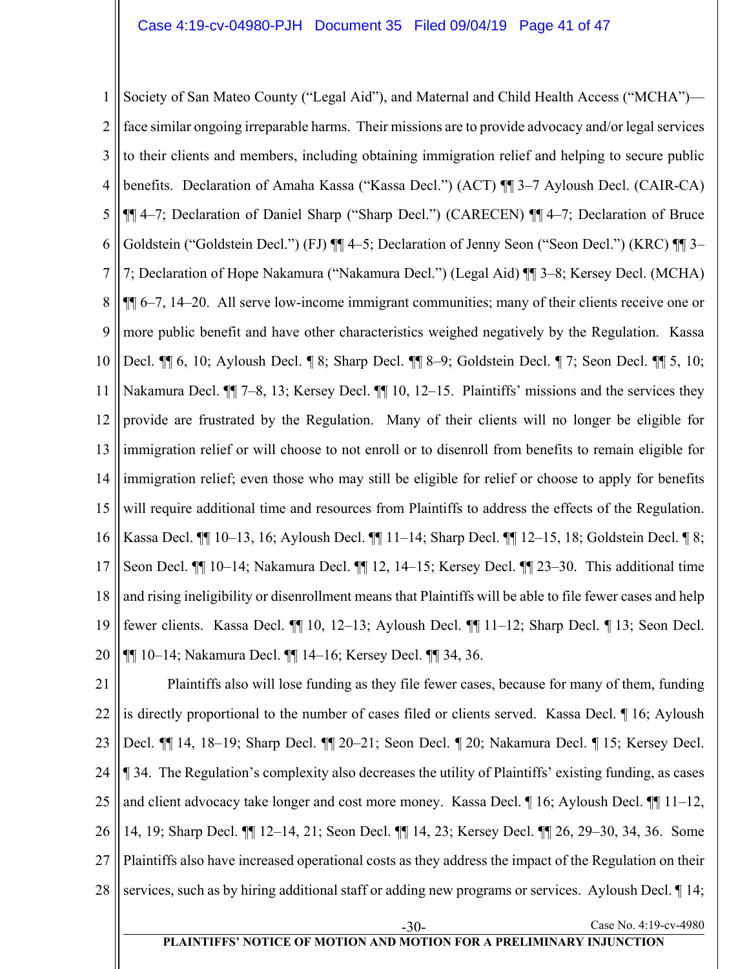1 2 3 4 5 6 7 8 9 10 11 12 13 14 15 16 17 18 19 20 Society of San Mateo County ("Legal Aid"), and Maternal and Child Health Access ("MCHA") face similar ongoing irreparable harms. Their missions are to provide advocacy and/or legal services to their clients and members, including obtaining immigration relief and helping to secure public benefits. Declaration of Amaha Kassa ("Kassa Decl.") (ACT) ¶¶ 3–7 Ayloush Decl. (CAIR-CA) ¶¶ 4–7; Declaration of Daniel Sharp ("Sharp Decl.") (CARECEN) ¶¶ 4–7; Declaration of Bruce Goldstein ("Goldstein Decl.") (FJ)  $\P\P$  4–5; Declaration of Jenny Seon ("Seon Decl.") (KRC)  $\P\P$  3– 7; Declaration of Hope Nakamura ("Nakamura Decl.") (Legal Aid) ¶¶ 3–8; Kersey Decl. (MCHA) ¶¶ 6–7, 14–20. All serve low-income immigrant communities; many of their clients receive one or more public benefit and have other characteristics weighed negatively by the Regulation. Kassa Decl. ¶¶ 6, 10; Ayloush Decl. ¶ 8; Sharp Decl. ¶¶ 8–9; Goldstein Decl. ¶ 7; Seon Decl. ¶¶ 5, 10; Nakamura Decl.  $\P$  7–8, 13; Kersey Decl.  $\P$  10, 12–15. Plaintiffs' missions and the services they provide are frustrated by the Regulation. Many of their clients will no longer be eligible for immigration relief or will choose to not enroll or to disenroll from benefits to remain eligible for immigration relief; even those who may still be eligible for relief or choose to apply for benefits will require additional time and resources from Plaintiffs to address the effects of the Regulation. Kassa Decl. ¶¶ 10–13, 16; Ayloush Decl. ¶¶ 11–14; Sharp Decl. ¶¶ 12–15, 18; Goldstein Decl. ¶ 8; Seon Decl. ¶¶ 10–14; Nakamura Decl. ¶¶ 12, 14–15; Kersey Decl. ¶¶ 23–30. This additional time and rising ineligibility or disenrollment means that Plaintiffs will be able to file fewer cases and help fewer clients. Kassa Decl. ¶¶ 10, 12–13; Ayloush Decl. ¶¶ 11–12; Sharp Decl. ¶ 13; Seon Decl. ¶¶ 10–14; Nakamura Decl. ¶¶ 14–16; Kersey Decl. ¶¶ 34, 36.

21 22 23 24 25 26 27 28 Plaintiffs also will lose funding as they file fewer cases, because for many of them, funding is directly proportional to the number of cases filed or clients served. Kassa Decl. ¶ 16; Ayloush Decl. ¶¶ 14, 18–19; Sharp Decl. ¶¶ 20–21; Seon Decl. ¶ 20; Nakamura Decl. ¶ 15; Kersey Decl. ¶ 34. The Regulation's complexity also decreases the utility of Plaintiffs' existing funding, as cases and client advocacy take longer and cost more money. Kassa Decl. ¶ 16; Ayloush Decl. ¶ 11–12, 14, 19; Sharp Decl. ¶¶ 12–14, 21; Seon Decl. ¶¶ 14, 23; Kersey Decl. ¶¶ 26, 29–30, 34, 36. Some Plaintiffs also have increased operational costs as they address the impact of the Regulation on their services, such as by hiring additional staff or adding new programs or services. Ayloush Decl.  $\llbracket$  14;

-30- Case No. 4:19-cv-4980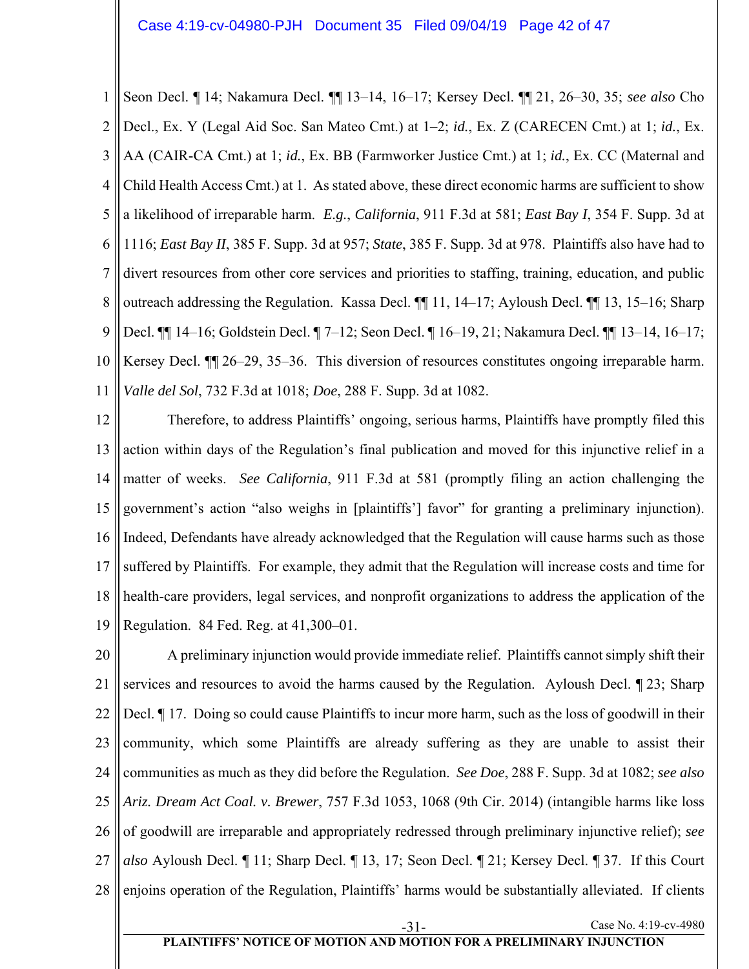1 2 3 4 5 6 7 8 9 10 11 Seon Decl. ¶ 14; Nakamura Decl. ¶¶ 13–14, 16–17; Kersey Decl. ¶¶ 21, 26–30, 35; *see also* Cho Decl., Ex. Y (Legal Aid Soc. San Mateo Cmt.) at 1–2; *id.*, Ex. Z (CARECEN Cmt.) at 1; *id.*, Ex. AA (CAIR-CA Cmt.) at 1; *id.*, Ex. BB (Farmworker Justice Cmt.) at 1; *id.*, Ex. CC (Maternal and Child Health Access Cmt.) at 1. As stated above, these direct economic harms are sufficient to show a likelihood of irreparable harm. *E.g.*, *California*, 911 F.3d at 581; *East Bay I*, 354 F. Supp. 3d at 1116; *East Bay II*, 385 F. Supp. 3d at 957; *State*, 385 F. Supp. 3d at 978. Plaintiffs also have had to divert resources from other core services and priorities to staffing, training, education, and public outreach addressing the Regulation. Kassa Decl. ¶¶ 11, 14–17; Ayloush Decl. ¶¶ 13, 15–16; Sharp Decl. ¶¶ 14–16; Goldstein Decl. ¶ 7–12; Seon Decl. ¶ 16–19, 21; Nakamura Decl. ¶¶ 13–14, 16–17; Kersey Decl. ¶¶ 26–29, 35–36. This diversion of resources constitutes ongoing irreparable harm. *Valle del Sol*, 732 F.3d at 1018; *Doe*, 288 F. Supp. 3d at 1082.

12 13 14 15 16 17 18 19 Therefore, to address Plaintiffs' ongoing, serious harms, Plaintiffs have promptly filed this action within days of the Regulation's final publication and moved for this injunctive relief in a matter of weeks. *See California*, 911 F.3d at 581 (promptly filing an action challenging the government's action "also weighs in [plaintiffs'] favor" for granting a preliminary injunction). Indeed, Defendants have already acknowledged that the Regulation will cause harms such as those suffered by Plaintiffs. For example, they admit that the Regulation will increase costs and time for health-care providers, legal services, and nonprofit organizations to address the application of the Regulation. 84 Fed. Reg. at 41,300–01.

20 21 22 23 24 25 26 27 28 A preliminary injunction would provide immediate relief. Plaintiffs cannot simply shift their services and resources to avoid the harms caused by the Regulation. Ayloush Decl. ¶ 23; Sharp Decl. ¶ 17. Doing so could cause Plaintiffs to incur more harm, such as the loss of goodwill in their community, which some Plaintiffs are already suffering as they are unable to assist their communities as much as they did before the Regulation. *See Doe*, 288 F. Supp. 3d at 1082; *see also Ariz. Dream Act Coal. v. Brewer*, 757 F.3d 1053, 1068 (9th Cir. 2014) (intangible harms like loss of goodwill are irreparable and appropriately redressed through preliminary injunctive relief); *see also* Ayloush Decl. ¶ 11; Sharp Decl. ¶ 13, 17; Seon Decl. ¶ 21; Kersey Decl. ¶ 37. If this Court enjoins operation of the Regulation, Plaintiffs' harms would be substantially alleviated. If clients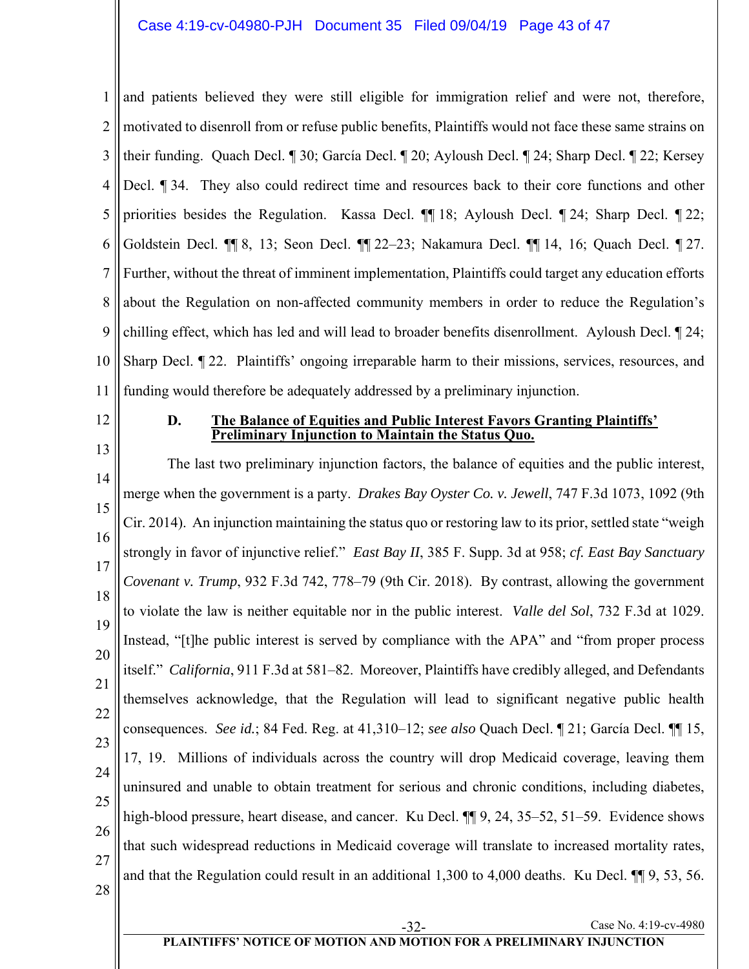1 2 3 4 5 6 7 8 9 10 11 and patients believed they were still eligible for immigration relief and were not, therefore, motivated to disenroll from or refuse public benefits, Plaintiffs would not face these same strains on their funding. Quach Decl. ¶ 30; García Decl. ¶ 20; Ayloush Decl. ¶ 24; Sharp Decl. ¶ 22; Kersey Decl. ¶ 34. They also could redirect time and resources back to their core functions and other priorities besides the Regulation. Kassa Decl. ¶¶ 18; Ayloush Decl. ¶ 24; Sharp Decl. ¶ 22; Goldstein Decl. ¶¶ 8, 13; Seon Decl. ¶¶ 22–23; Nakamura Decl. ¶¶ 14, 16; Quach Decl. ¶ 27. Further, without the threat of imminent implementation, Plaintiffs could target any education efforts about the Regulation on non-affected community members in order to reduce the Regulation's chilling effect, which has led and will lead to broader benefits disenrollment. Ayloush Decl. ¶ 24; Sharp Decl. ¶ 22. Plaintiffs' ongoing irreparable harm to their missions, services, resources, and funding would therefore be adequately addressed by a preliminary injunction.

12

13

#### **D. The Balance of Equities and Public Interest Favors Granting Plaintiffs' Preliminary Injunction to Maintain the Status Quo.**

14 15 16 17 18 19 20 21 22 23 24 25 26 27 28 The last two preliminary injunction factors, the balance of equities and the public interest, merge when the government is a party. *Drakes Bay Oyster Co. v. Jewell*, 747 F.3d 1073, 1092 (9th Cir. 2014). An injunction maintaining the status quo or restoring law to its prior, settled state "weigh strongly in favor of injunctive relief." *East Bay II*, 385 F. Supp. 3d at 958; *cf. East Bay Sanctuary Covenant v. Trump*, 932 F.3d 742, 778–79 (9th Cir. 2018). By contrast, allowing the government to violate the law is neither equitable nor in the public interest. *Valle del Sol*, 732 F.3d at 1029. Instead, "[t]he public interest is served by compliance with the APA" and "from proper process itself." *California*, 911 F.3d at 581–82. Moreover, Plaintiffs have credibly alleged, and Defendants themselves acknowledge, that the Regulation will lead to significant negative public health consequences. *See id.*; 84 Fed. Reg. at 41,310–12; *see also* Quach Decl. ¶ 21; García Decl. ¶¶ 15, 17, 19. Millions of individuals across the country will drop Medicaid coverage, leaving them uninsured and unable to obtain treatment for serious and chronic conditions, including diabetes, high-blood pressure, heart disease, and cancer. Ku Decl.  $\P\P$  9, 24, 35–52, 51–59. Evidence shows that such widespread reductions in Medicaid coverage will translate to increased mortality rates, and that the Regulation could result in an additional 1,300 to 4,000 deaths. Ku Decl. ¶¶ 9, 53, 56.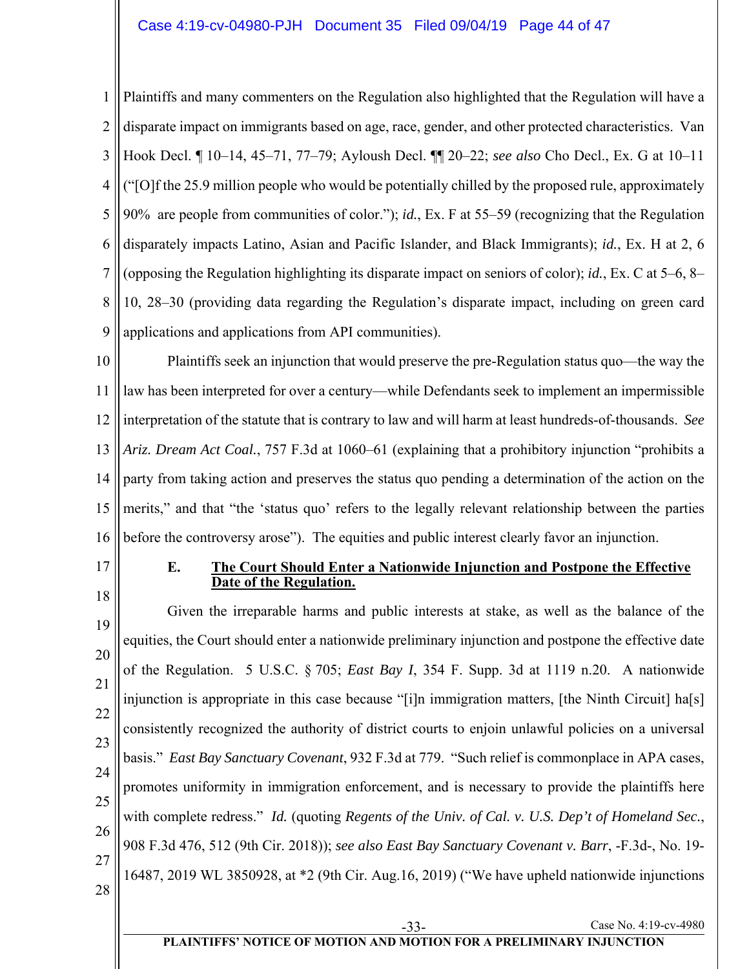1 2 3 4 5 6 7 8 9 Plaintiffs and many commenters on the Regulation also highlighted that the Regulation will have a disparate impact on immigrants based on age, race, gender, and other protected characteristics. Van Hook Decl. ¶ 10–14, 45–71, 77–79; Ayloush Decl. ¶¶ 20–22; *see also* Cho Decl., Ex. G at 10–11 ("[O]f the 25.9 million people who would be potentially chilled by the proposed rule, approximately 90% are people from communities of color."); *id.*, Ex. F at 55–59 (recognizing that the Regulation disparately impacts Latino, Asian and Pacific Islander, and Black Immigrants); *id.*, Ex. H at 2, 6 (opposing the Regulation highlighting its disparate impact on seniors of color); *id.*, Ex. C at 5–6, 8– 10, 28–30 (providing data regarding the Regulation's disparate impact, including on green card applications and applications from API communities).

10 11 12 13 14 15 16 Plaintiffs seek an injunction that would preserve the pre-Regulation status quo—the way the law has been interpreted for over a century—while Defendants seek to implement an impermissible interpretation of the statute that is contrary to law and will harm at least hundreds-of-thousands. *See Ariz. Dream Act Coal.*, 757 F.3d at 1060–61 (explaining that a prohibitory injunction "prohibits a party from taking action and preserves the status quo pending a determination of the action on the merits," and that "the 'status quo' refers to the legally relevant relationship between the parties before the controversy arose"). The equities and public interest clearly favor an injunction.

17

#### **E. The Court Should Enter a Nationwide Injunction and Postpone the Effective Date of the Regulation.**

18 19 20 21 22 23 24 25 26 27 28 Given the irreparable harms and public interests at stake, as well as the balance of the equities, the Court should enter a nationwide preliminary injunction and postpone the effective date of the Regulation. 5 U.S.C. § 705; *East Bay I*, 354 F. Supp. 3d at 1119 n.20. A nationwide injunction is appropriate in this case because "[i]n immigration matters, [the Ninth Circuit] ha[s] consistently recognized the authority of district courts to enjoin unlawful policies on a universal basis." *East Bay Sanctuary Covenant*, 932 F.3d at 779. "Such relief is commonplace in APA cases, promotes uniformity in immigration enforcement, and is necessary to provide the plaintiffs here with complete redress." *Id.* (quoting *Regents of the Univ. of Cal. v. U.S. Dep't of Homeland Sec.*, 908 F.3d 476, 512 (9th Cir. 2018)); *see also East Bay Sanctuary Covenant v. Barr*, -F.3d-, No. 19- 16487, 2019 WL 3850928, at \*2 (9th Cir. Aug.16, 2019) ("We have upheld nationwide injunctions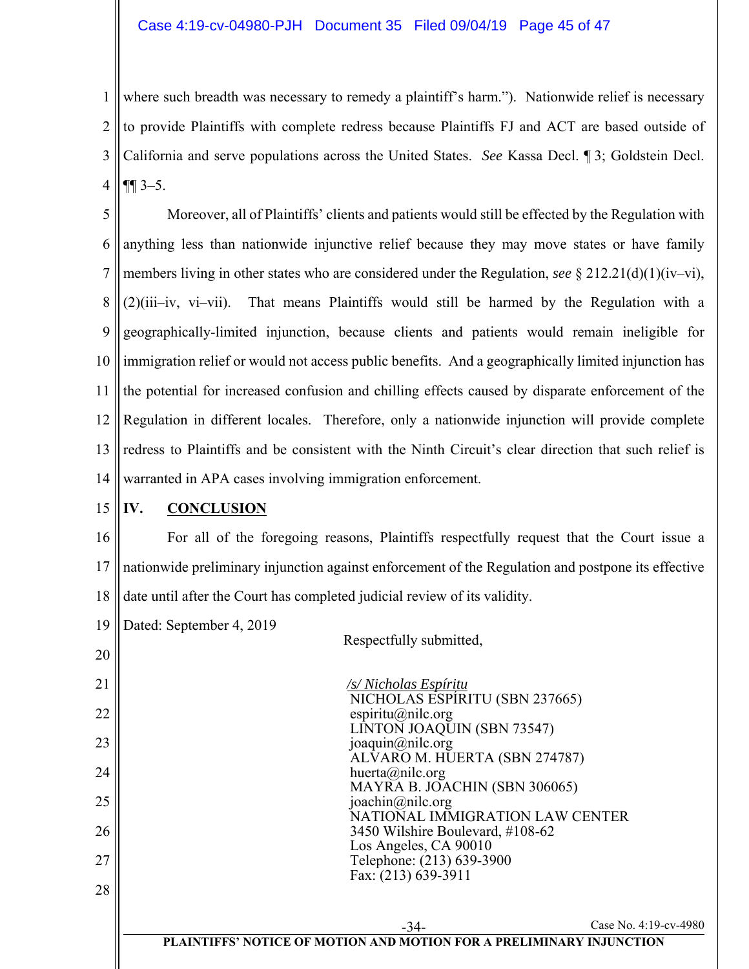1 2 3 4 where such breadth was necessary to remedy a plaintiff's harm."). Nationwide relief is necessary to provide Plaintiffs with complete redress because Plaintiffs FJ and ACT are based outside of California and serve populations across the United States. *See* Kassa Decl. ¶ 3; Goldstein Decl.  $\P\P$  3–5.

5 6 7 8 9 10 11 12 13 14 Moreover, all of Plaintiffs' clients and patients would still be effected by the Regulation with anything less than nationwide injunctive relief because they may move states or have family members living in other states who are considered under the Regulation, *see* § 212.21(d)(1)(iv–vi), (2)(iii–iv, vi–vii). That means Plaintiffs would still be harmed by the Regulation with a geographically-limited injunction, because clients and patients would remain ineligible for immigration relief or would not access public benefits. And a geographically limited injunction has the potential for increased confusion and chilling effects caused by disparate enforcement of the Regulation in different locales. Therefore, only a nationwide injunction will provide complete redress to Plaintiffs and be consistent with the Ninth Circuit's clear direction that such relief is warranted in APA cases involving immigration enforcement.

#### 15 **IV. CONCLUSION**

16 17 18 For all of the foregoing reasons, Plaintiffs respectfully request that the Court issue a nationwide preliminary injunction against enforcement of the Regulation and postpone its effective date until after the Court has completed judicial review of its validity.

19 Dated: September 4, 2019

20

Respectfully submitted,

| 21 | /s/Nicholas Espíritu                                                 |
|----|----------------------------------------------------------------------|
|    | NICHOLAS ESPIRITU (SBN 237665)                                       |
| 22 | espiritu@nilc.org                                                    |
|    | LÍNTOŇ JOAQUIN (SBN 73547)                                           |
| 23 | joaquin@nilc.org                                                     |
| 24 | ALVARO M. HUERTA (SBN 274787)                                        |
|    | huerta@nilc.org<br>MAYRA B. JOACHIN (SBN 306065)                     |
| 25 | joachin@nilc.org                                                     |
|    | NATIONAL IMMIGRATION LAW CENTER                                      |
| 26 | 3450 Wilshire Boulevard, #108-62                                     |
|    | Los Angeles, CA 90010                                                |
| 27 | Telephone: (213) 639-3900                                            |
|    | Fax: (213) 639-3911                                                  |
| 28 |                                                                      |
|    |                                                                      |
|    | Case No. 4:19-cv-4980<br>$-34-$                                      |
|    | PLAINTIFFS' NOTICE OF MOTION AND MOTION FOR A PRELIMINARY INJUNCTION |
|    |                                                                      |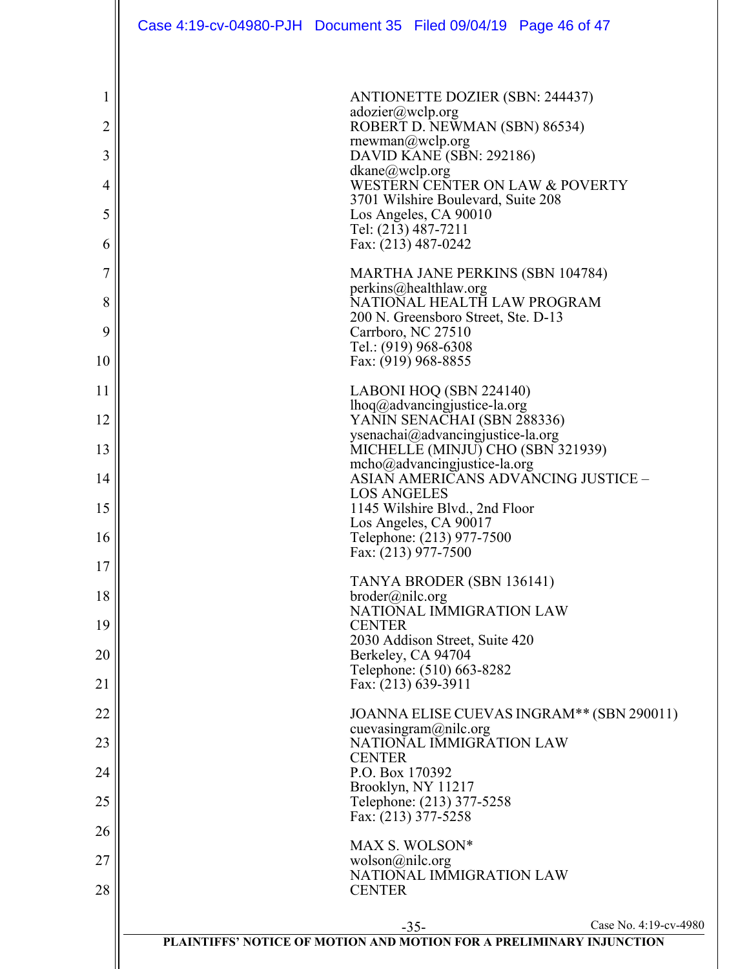|    | Case 4:19-cv-04980-PJH Document 35 Filed 09/04/19 Page 46 of 47 |                    |                                                                        |                                                                      |
|----|-----------------------------------------------------------------|--------------------|------------------------------------------------------------------------|----------------------------------------------------------------------|
|    |                                                                 |                    |                                                                        |                                                                      |
| 1  |                                                                 | adozier@wclp.org   | <b>ANTIONETTE DOZIER (SBN: 244437)</b>                                 |                                                                      |
| 2  |                                                                 |                    | ROBERT D. NEWMAN (SBN) 86534)<br>rnewman@wclp.org                      |                                                                      |
| 3  |                                                                 | dkane@wclp.org     | DAVID KANE (SBN: 292186)                                               |                                                                      |
| 4  |                                                                 |                    | 3701 Wilshire Boulevard, Suite 208                                     | WESTERN CENTER ON LAW & POVERTY                                      |
| 5  |                                                                 |                    | Los Angeles, CA 90010<br>Tel: (213) 487-7211                           |                                                                      |
| 6  |                                                                 |                    | Fax: (213) 487-0242                                                    |                                                                      |
| 7  |                                                                 |                    | MARTHA JANE PERKINS (SBN 104784)                                       |                                                                      |
| 8  |                                                                 |                    | perkins@healthlaw.org<br>NATIONAL HEALTH LAW PROGRAM                   |                                                                      |
| 9  |                                                                 |                    | 200 N. Greensboro Street, Ste. D-13<br>Carrboro, NC 27510              |                                                                      |
| 10 |                                                                 |                    | Tel.: (919) 968-6308<br>Fax: (919) 968-8855                            |                                                                      |
| 11 |                                                                 |                    | LABONI HOQ (SBN 224140)                                                |                                                                      |
| 12 |                                                                 |                    | lhoq@advancingjustice-la.org<br>YANIN SENACHAI (SBN 288336)            |                                                                      |
| 13 |                                                                 |                    | ysenachai@advancingjustice-la.org<br>MICHELLE (MINJU) CHO (SBN 321939) |                                                                      |
| 14 |                                                                 |                    | mcho@advancingjustice-la.org                                           | ASIAN AMERICANS ADVANCING JUSTICE -                                  |
| 15 |                                                                 | <b>LOS ANGELES</b> | 1145 Wilshire Blvd., 2nd Floor                                         |                                                                      |
| 16 |                                                                 |                    | Los Angeles, CA 90017<br>Telephone: (213) 977-7500                     |                                                                      |
| 17 |                                                                 |                    | Fax: $(213)$ 977-7500                                                  |                                                                      |
| 18 |                                                                 | broder@nilc.org    | TANYA BRODER (SBN 136141)                                              |                                                                      |
| 19 |                                                                 | <b>CENTER</b>      | NATIONAL IMMIGRATION LAW                                               |                                                                      |
|    |                                                                 |                    | 2030 Addison Street, Suite 420                                         |                                                                      |
| 20 |                                                                 |                    | Berkeley, CA 94704<br>Telephone: (510) 663-8282                        |                                                                      |
| 21 |                                                                 |                    | Fax: (213) 639-3911                                                    |                                                                      |
| 22 |                                                                 |                    | cuevasingram@nilc.org                                                  | JOANNA ELISE CUEVAS INGRAM <sup>**</sup> (SBN 290011)                |
| 23 |                                                                 | <b>CENTER</b>      | NATIONAL IMMIGRATION LAW                                               |                                                                      |
| 24 |                                                                 | P.O. Box 170392    | Brooklyn, NY 11217                                                     |                                                                      |
| 25 |                                                                 |                    | Telephone: (213) 377-5258<br>Fax: (213) 377-5258                       |                                                                      |
| 26 |                                                                 |                    | MAX S. WOLSON*                                                         |                                                                      |
| 27 |                                                                 | wolson@nile.org    | NATIONAL IMMIGRATION LAW                                               |                                                                      |
| 28 |                                                                 | <b>CENTER</b>      |                                                                        |                                                                      |
|    |                                                                 |                    | $-35-$                                                                 | Case No. 4:19-cv-4980                                                |
|    |                                                                 |                    |                                                                        | PLAINTIFFS' NOTICE OF MOTION AND MOTION FOR A PRELIMINARY INJUNCTION |